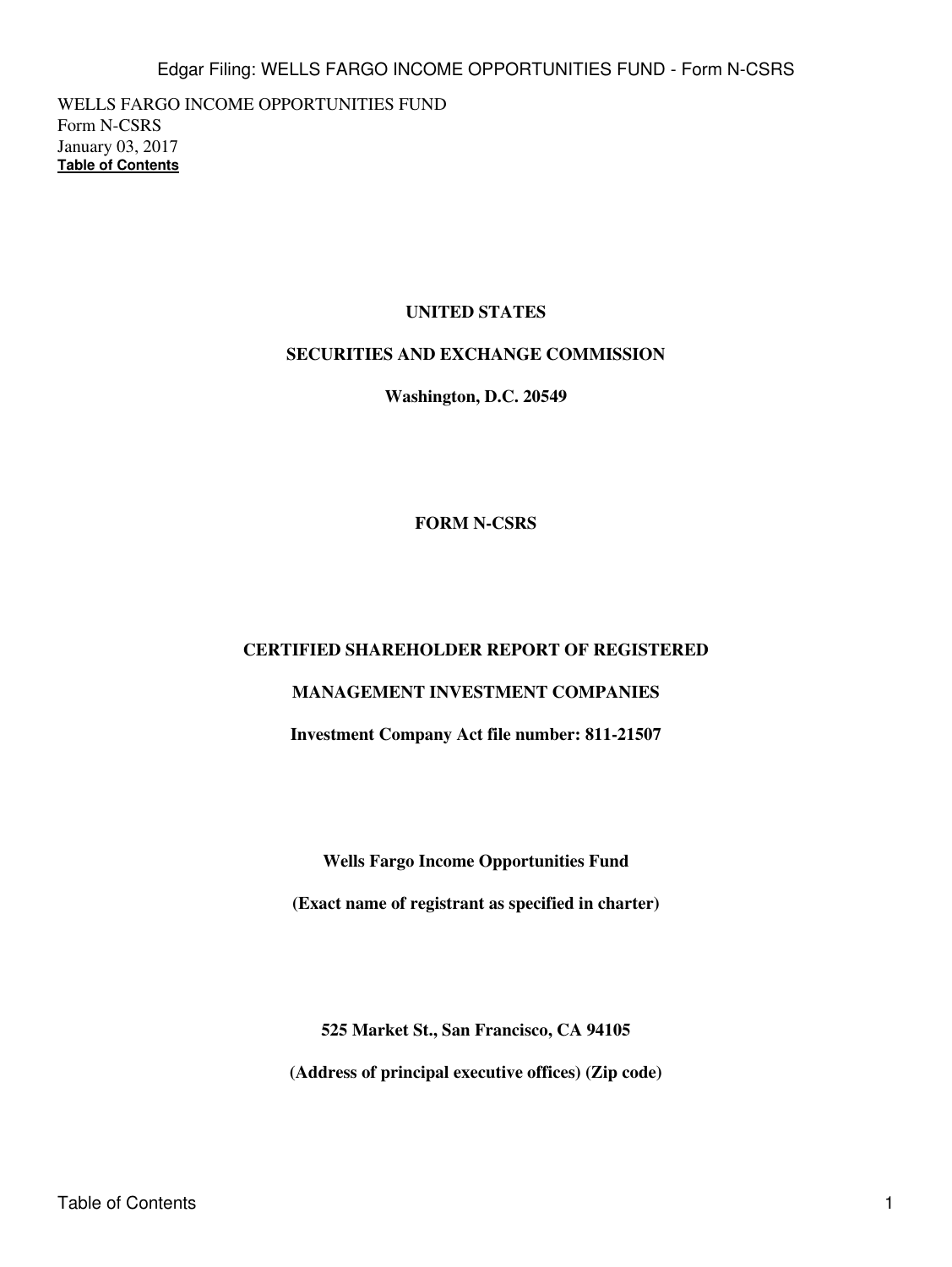WELLS FARGO INCOME OPPORTUNITIES FUND Form N-CSRS January 03, 2017 **[Table of Contents](#page-4-0)**

# **UNITED STATES**

## **SECURITIES AND EXCHANGE COMMISSION**

**Washington, D.C. 20549**

## **FORM N-CSRS**

### **CERTIFIED SHAREHOLDER REPORT OF REGISTERED**

# **MANAGEMENT INVESTMENT COMPANIES**

**Investment Company Act file number: 811-21507**

**Wells Fargo Income Opportunities Fund**

**(Exact name of registrant as specified in charter)**

**525 Market St., San Francisco, CA 94105**

**(Address of principal executive offices) (Zip code)**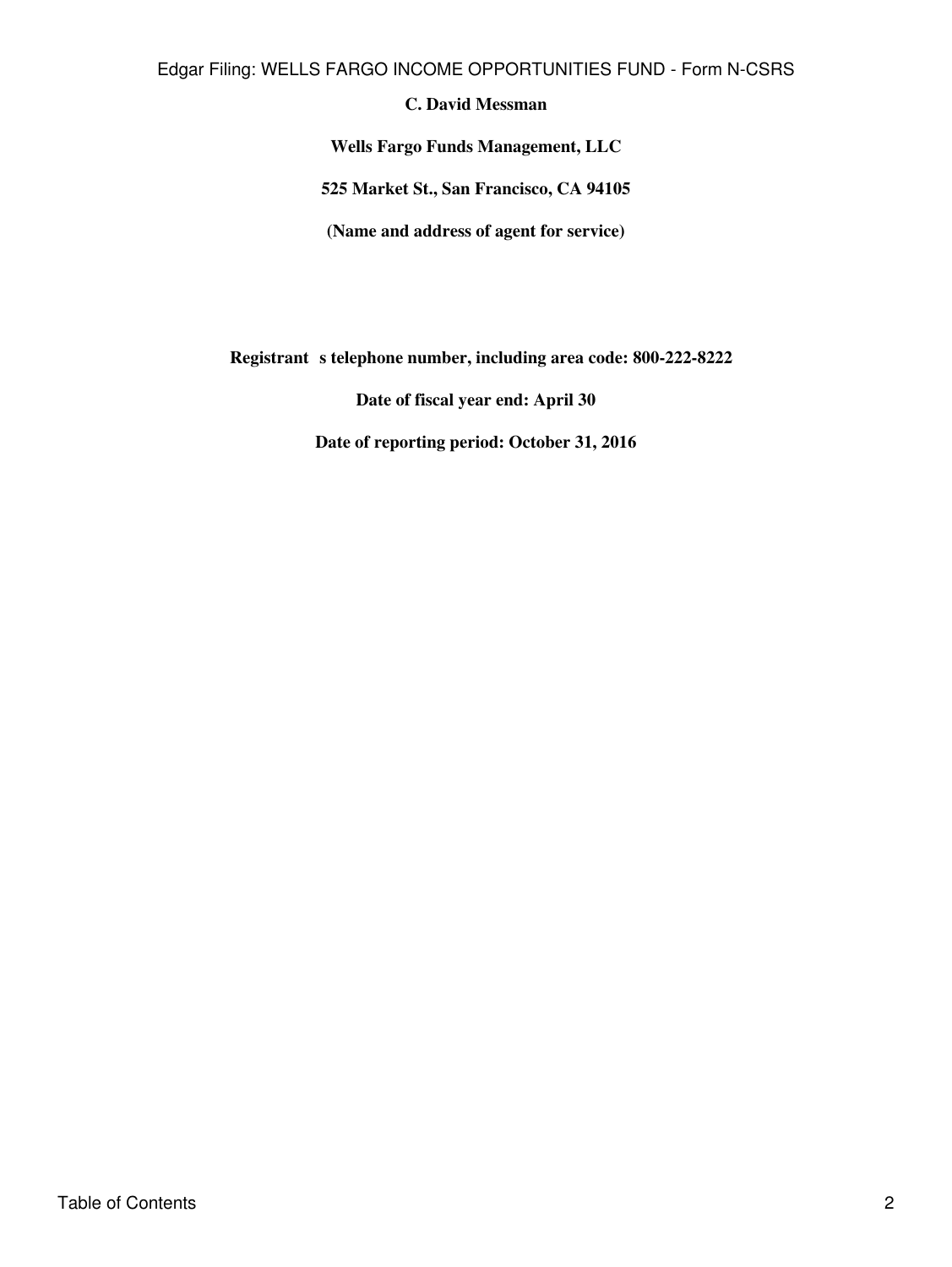Edgar Filing: WELLS FARGO INCOME OPPORTUNITIES FUND - Form N-CSRS

# **C. David Messman**

**Wells Fargo Funds Management, LLC**

**525 Market St., San Francisco, CA 94105**

**(Name and address of agent for service)**

Registrant s telephone number, including area code: 800-222-8222

**Date of fiscal year end: April 30**

**Date of reporting period: October 31, 2016**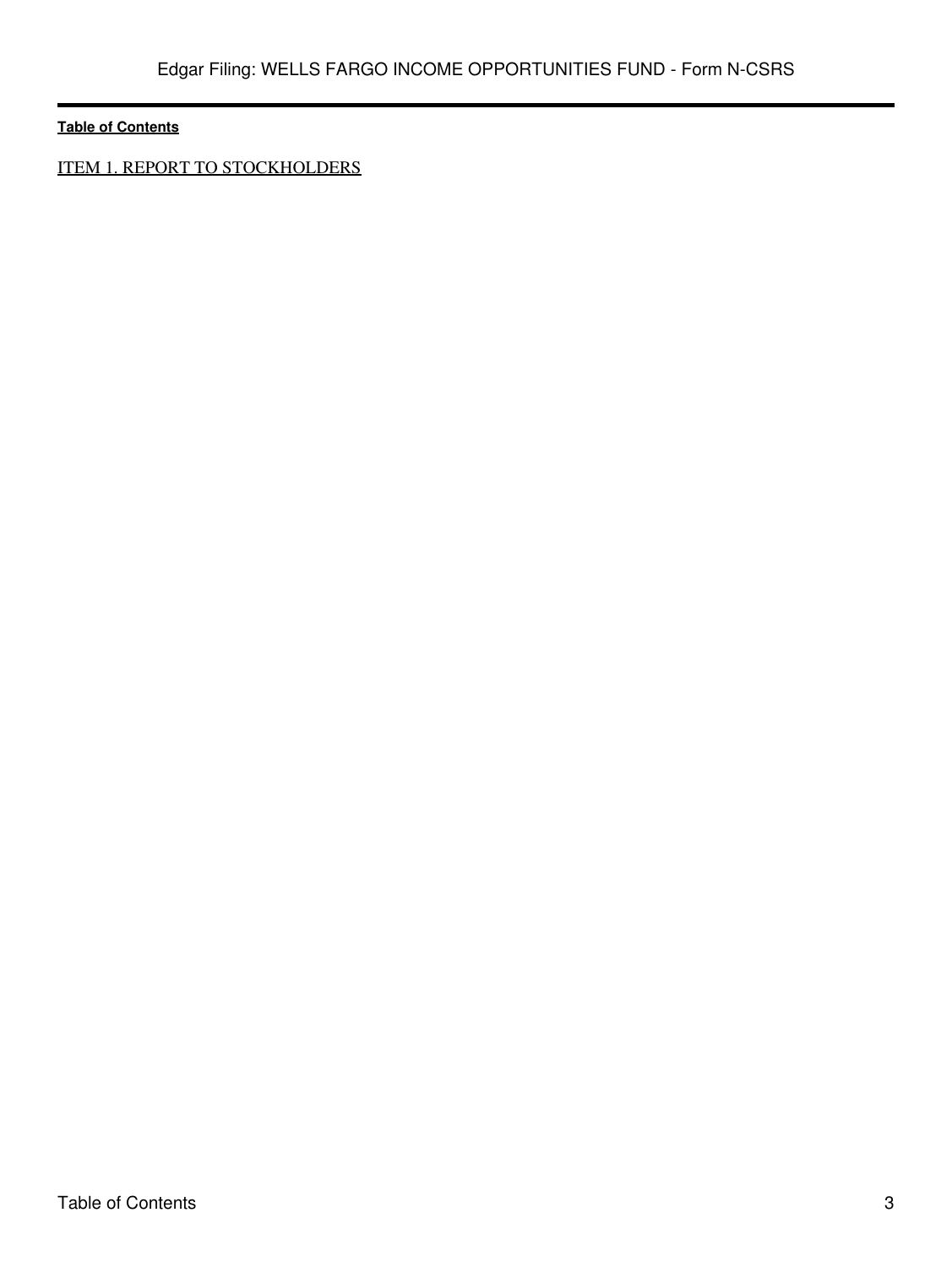ITEM 1. REPORT TO STOCKHOLDERS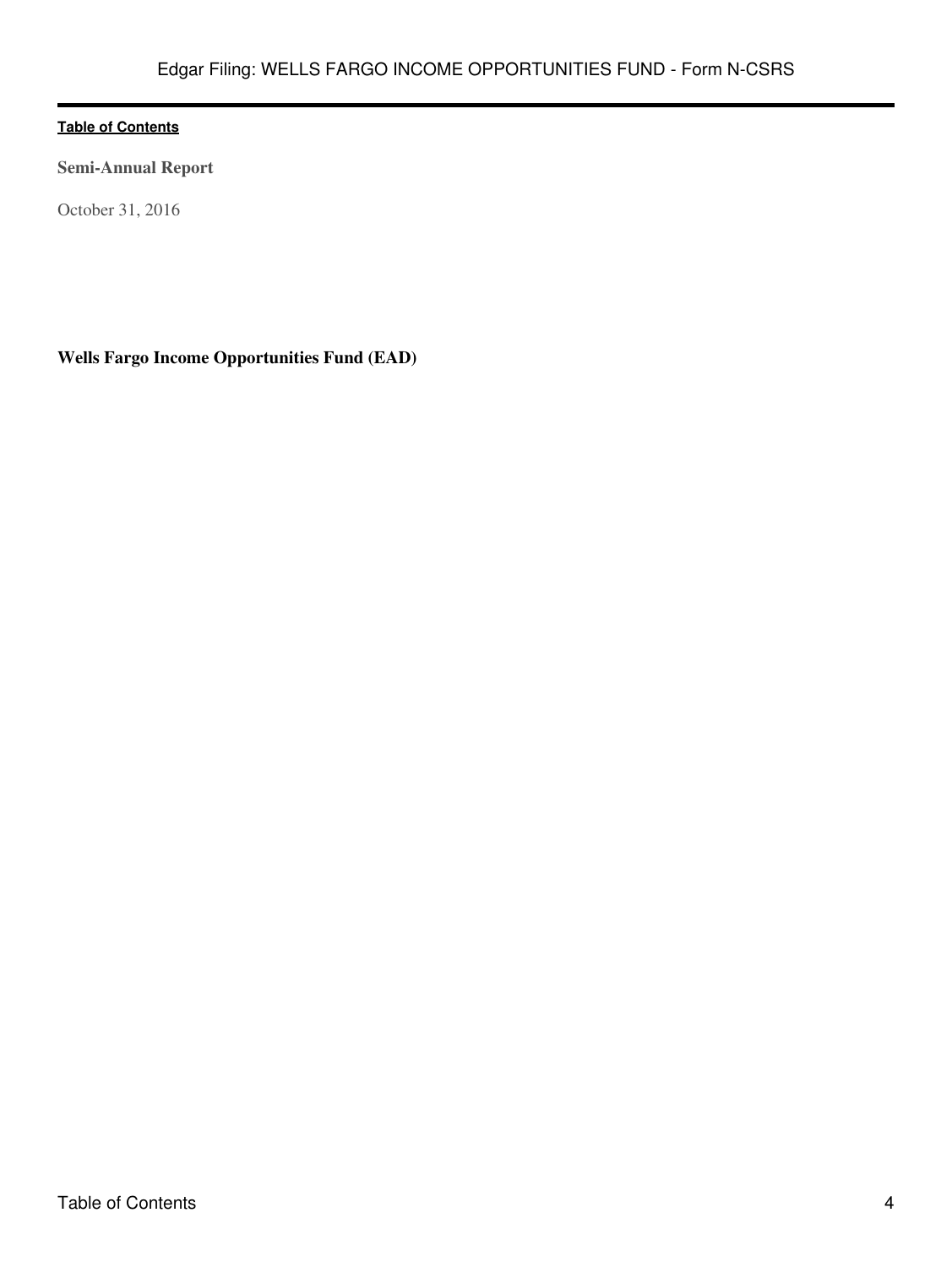**Semi-Annual Report**

October 31, 2016

**Wells Fargo Income Opportunities Fund (EAD)**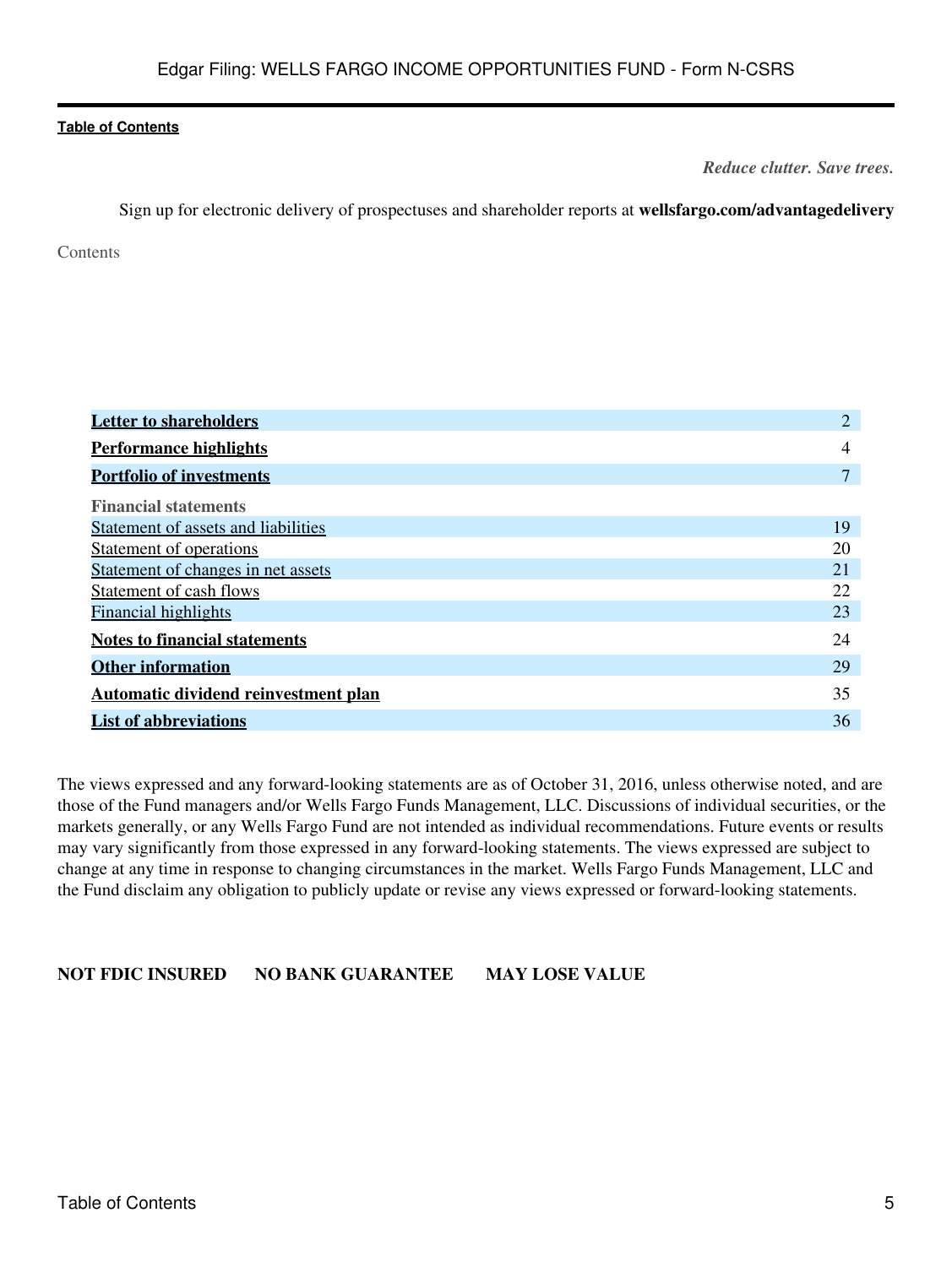*Reduce clutter. Save trees.*

Sign up for electronic delivery of prospectuses and shareholder reports at **wellsfargo.com/advantagedelivery**

<span id="page-4-0"></span>Contents

| <b>Letter to shareholders</b>        | $\overline{2}$ |
|--------------------------------------|----------------|
| <b>Performance highlights</b>        | 4              |
| <b>Portfolio of investments</b>      | 7              |
| <b>Financial statements</b>          |                |
| Statement of assets and liabilities  | 19             |
| Statement of operations              | 20             |
| Statement of changes in net assets   | 21             |
| Statement of cash flows              | 22             |
| <b>Financial highlights</b>          | 23             |
| <b>Notes to financial statements</b> | 24             |
| <b>Other information</b>             | 29             |
| Automatic dividend reinvestment plan | 35             |
| <b>List of abbreviations</b>         | 36             |

The views expressed and any forward-looking statements are as of October 31, 2016, unless otherwise noted, and are those of the Fund managers and/or Wells Fargo Funds Management, LLC. Discussions of individual securities, or the markets generally, or any Wells Fargo Fund are not intended as individual recommendations. Future events or results may vary significantly from those expressed in any forward-looking statements. The views expressed are subject to change at any time in response to changing circumstances in the market. Wells Fargo Funds Management, LLC and the Fund disclaim any obligation to publicly update or revise any views expressed or forward-looking statements.

**NOT FDIC INSURED NO BANK GUARANTEE MAY LOSE VALUE**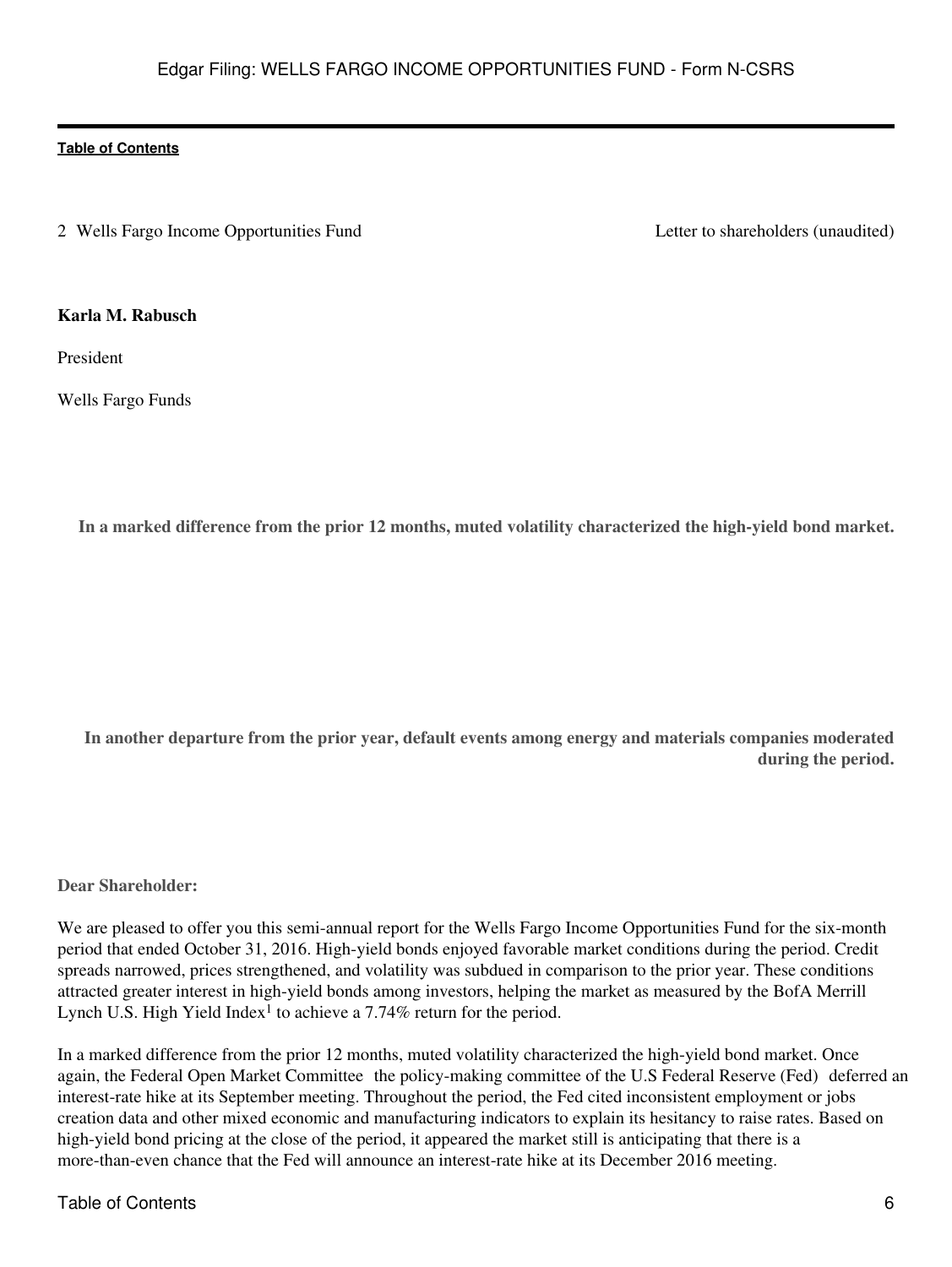<span id="page-5-0"></span>2 Wells Fargo Income Opportunities Fund Letter to shareholders (unaudited)

### **Karla M. Rabusch**

President

Wells Fargo Funds

**In a marked difference from the prior 12 months, muted volatility characterized the high-yield bond market.**

**In another departure from the prior year, default events among energy and materials companies moderated during the period.**

**Dear Shareholder:**

We are pleased to offer you this semi-annual report for the Wells Fargo Income Opportunities Fund for the six-month period that ended October 31, 2016. High-yield bonds enjoyed favorable market conditions during the period. Credit spreads narrowed, prices strengthened, and volatility was subdued in comparison to the prior year. These conditions attracted greater interest in high-yield bonds among investors, helping the market as measured by the BofA Merrill Lynch U.S. High Yield Index<sup>1</sup> to achieve a 7.74% return for the period.

In a marked difference from the prior 12 months, muted volatility characterized the high-yield bond market. Once again, the Federal Open Market Committee the policy-making committee of the U.S Federal Reserve (Fed) deferred an interest-rate hike at its September meeting. Throughout the period, the Fed cited inconsistent employment or jobs creation data and other mixed economic and manufacturing indicators to explain its hesitancy to raise rates. Based on high-yield bond pricing at the close of the period, it appeared the market still is anticipating that there is a more-than-even chance that the Fed will announce an interest-rate hike at its December 2016 meeting.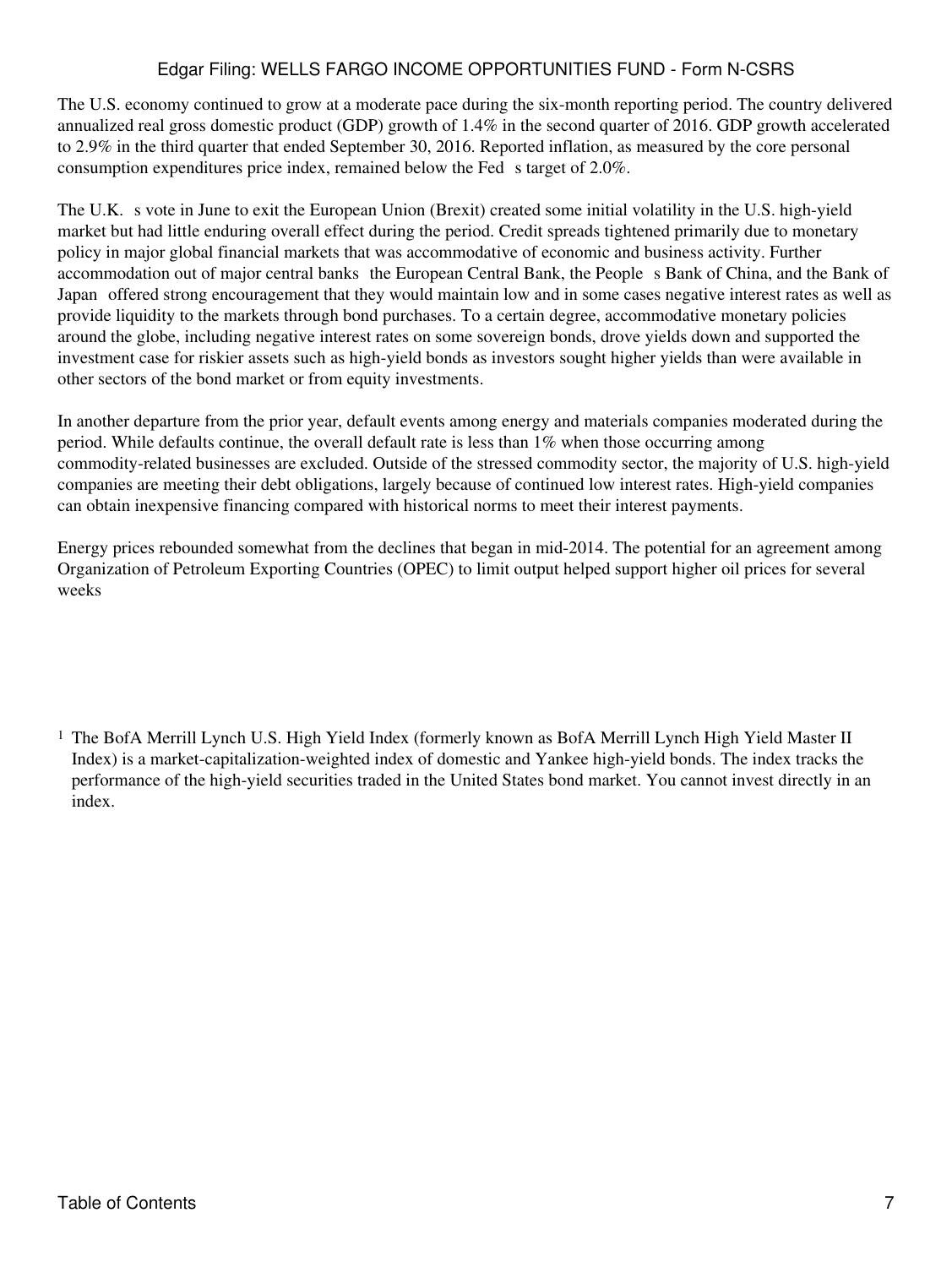# Edgar Filing: WELLS FARGO INCOME OPPORTUNITIES FUND - Form N-CSRS

The U.S. economy continued to grow at a moderate pace during the six-month reporting period. The country delivered annualized real gross domestic product (GDP) growth of 1.4% in the second quarter of 2016. GDP growth accelerated to 2.9% in the third quarter that ended September 30, 2016. Reported inflation, as measured by the core personal consumption expenditures price index, remained below the Fed s target of 2.0%.

The U.K. s vote in June to exit the European Union (Brexit) created some initial volatility in the U.S. high-yield market but had little enduring overall effect during the period. Credit spreads tightened primarily due to monetary policy in major global financial markets that was accommodative of economic and business activity. Further accommodation out of major central banks the European Central Bank, the People s Bank of China, and the Bank of Japan offered strong encouragement that they would maintain low and in some cases negative interest rates as well as provide liquidity to the markets through bond purchases. To a certain degree, accommodative monetary policies around the globe, including negative interest rates on some sovereign bonds, drove yields down and supported the investment case for riskier assets such as high-yield bonds as investors sought higher yields than were available in other sectors of the bond market or from equity investments.

In another departure from the prior year, default events among energy and materials companies moderated during the period. While defaults continue, the overall default rate is less than 1% when those occurring among commodity-related businesses are excluded. Outside of the stressed commodity sector, the majority of U.S. high-yield companies are meeting their debt obligations, largely because of continued low interest rates. High-yield companies can obtain inexpensive financing compared with historical norms to meet their interest payments.

Energy prices rebounded somewhat from the declines that began in mid-2014. The potential for an agreement among Organization of Petroleum Exporting Countries (OPEC) to limit output helped support higher oil prices for several weeks

<sup>&</sup>lt;sup>1</sup> The BofA Merrill Lynch U.S. High Yield Index (formerly known as BofA Merrill Lynch High Yield Master II Index) is a market-capitalization-weighted index of domestic and Yankee high-yield bonds. The index tracks the performance of the high-yield securities traded in the United States bond market. You cannot invest directly in an index.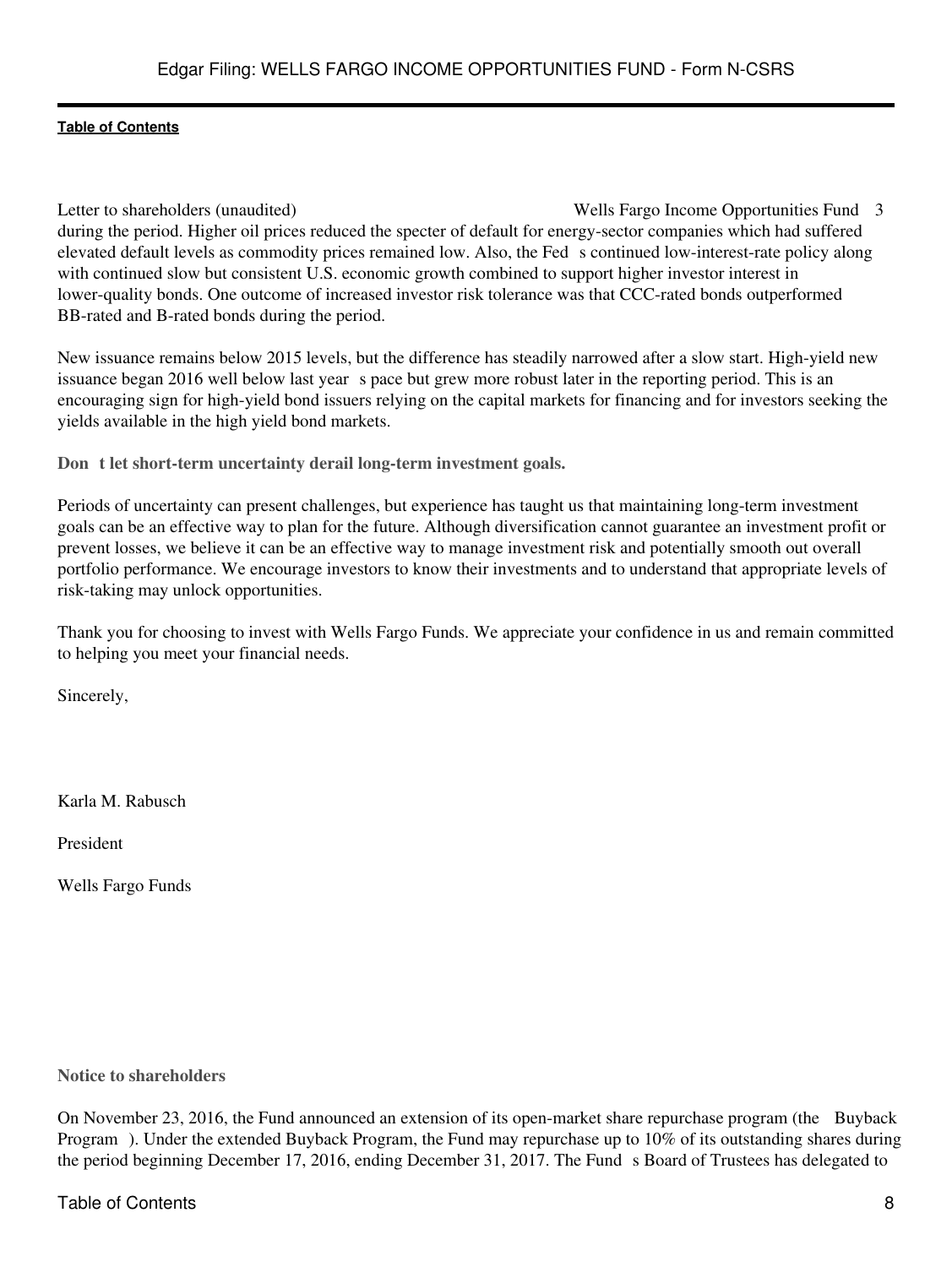Letter to shareholders (unaudited) Wells Fargo Income Opportunities Fund 3 during the period. Higher oil prices reduced the specter of default for energy-sector companies which had suffered elevated default levels as commodity prices remained low. Also, the Feds continued low-interest-rate policy along with continued slow but consistent U.S. economic growth combined to support higher investor interest in lower-quality bonds. One outcome of increased investor risk tolerance was that CCC-rated bonds outperformed BB-rated and B-rated bonds during the period.

New issuance remains below 2015 levels, but the difference has steadily narrowed after a slow start. High-yield new issuance began 2016 well below last year s pace but grew more robust later in the reporting period. This is an encouraging sign for high-yield bond issuers relying on the capital markets for financing and for investors seeking the yields available in the high yield bond markets.

**Dont let short-term uncertainty derail long-term investment goals.**

Periods of uncertainty can present challenges, but experience has taught us that maintaining long-term investment goals can be an effective way to plan for the future. Although diversification cannot guarantee an investment profit or prevent losses, we believe it can be an effective way to manage investment risk and potentially smooth out overall portfolio performance. We encourage investors to know their investments and to understand that appropriate levels of risk-taking may unlock opportunities.

Thank you for choosing to invest with Wells Fargo Funds. We appreciate your confidence in us and remain committed to helping you meet your financial needs.

Sincerely,

Karla M. Rabusch

President

Wells Fargo Funds

**Notice to shareholders**

On November 23, 2016, the Fund announced an extension of its open-market share repurchase program (the Buyback Program). Under the extended Buyback Program, the Fund may repurchase up to 10% of its outstanding shares during the period beginning December 17, 2016, ending December 31, 2017. The Fund s Board of Trustees has delegated to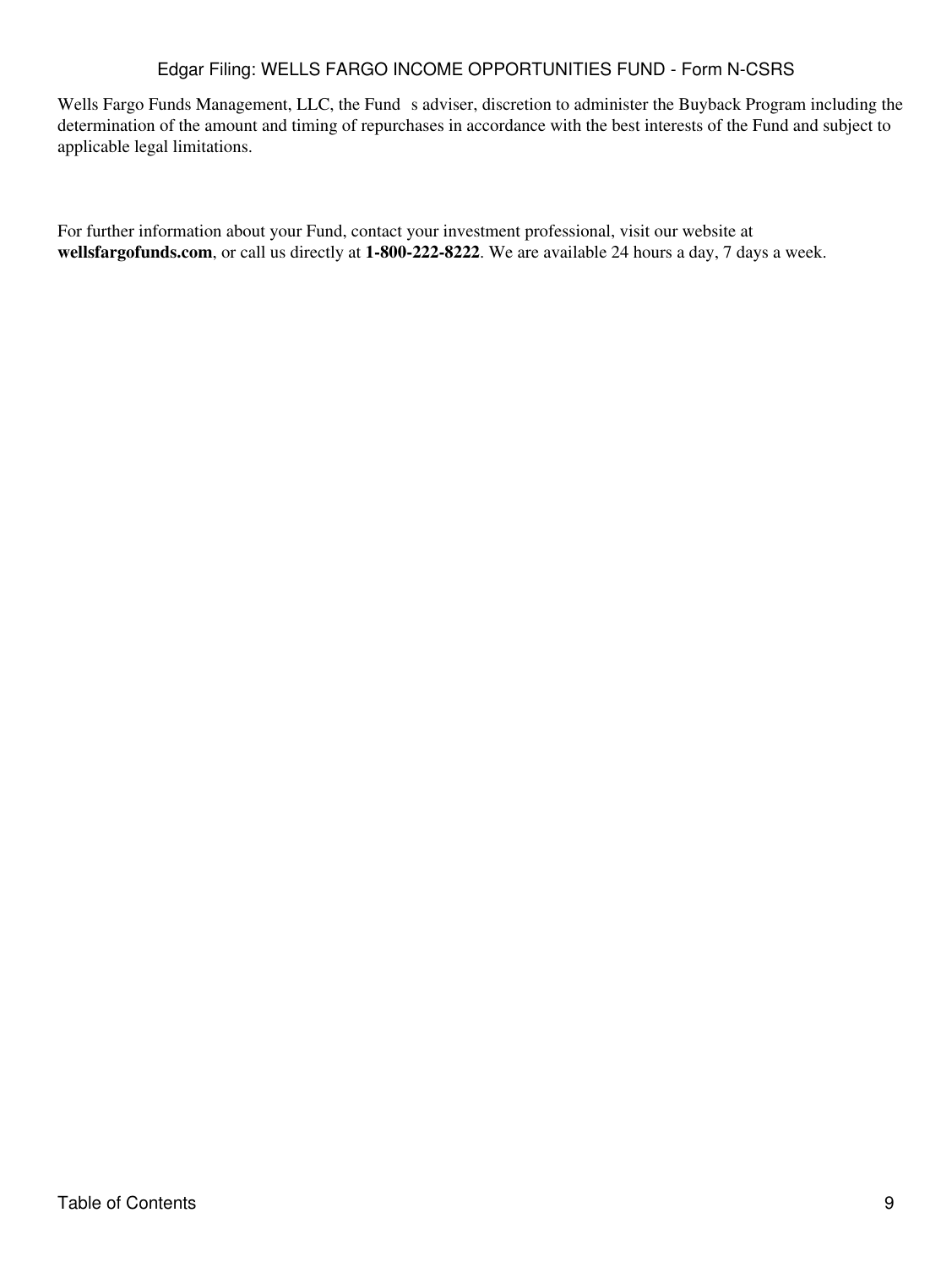# Edgar Filing: WELLS FARGO INCOME OPPORTUNITIES FUND - Form N-CSRS

Wells Fargo Funds Management, LLC, the Fund s adviser, discretion to administer the Buyback Program including the determination of the amount and timing of repurchases in accordance with the best interests of the Fund and subject to applicable legal limitations.

For further information about your Fund, contact your investment professional, visit our website at **wellsfargofunds.com**, or call us directly at **1-800-222-8222**. We are available 24 hours a day, 7 days a week.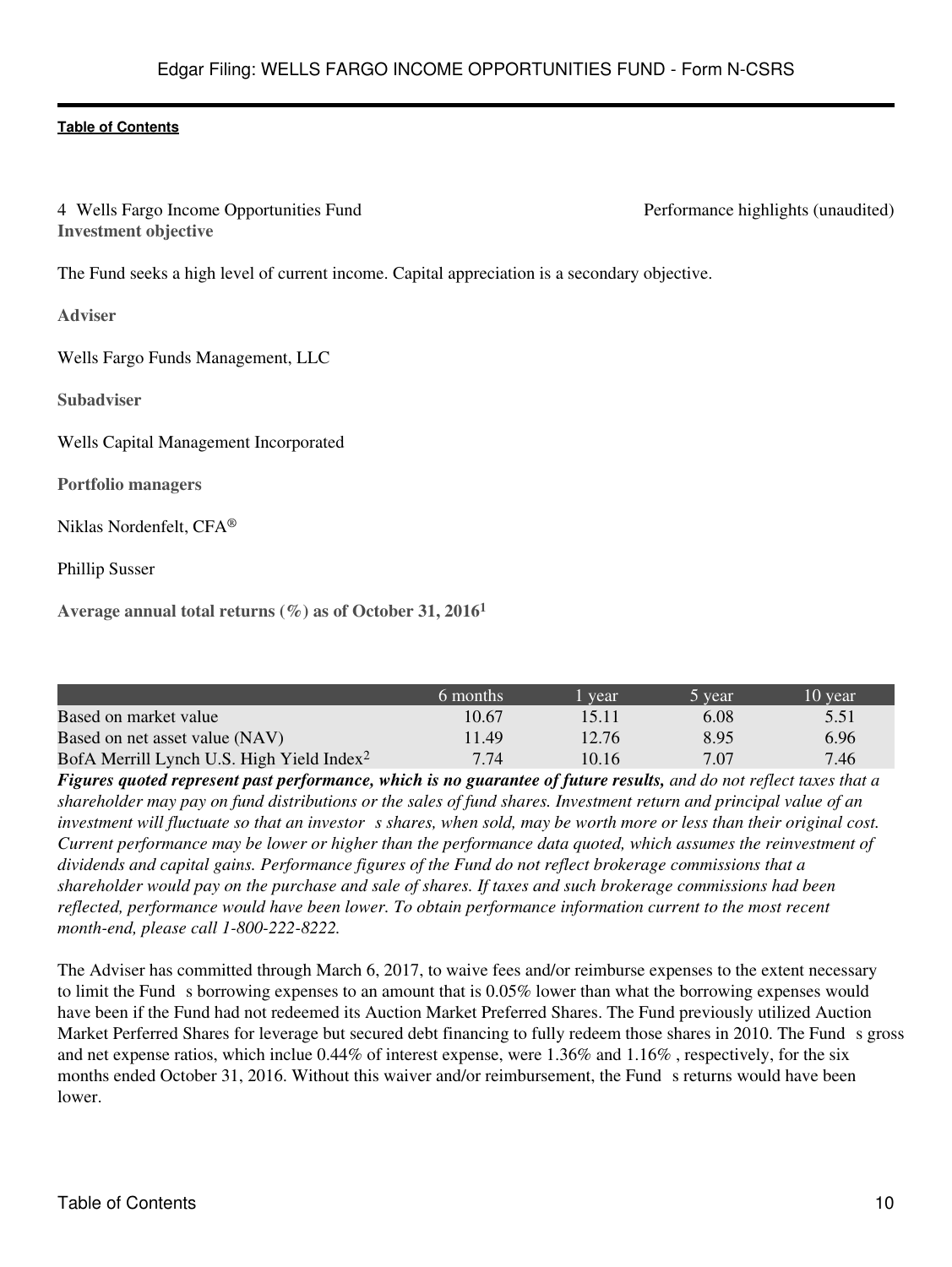<span id="page-9-0"></span>4 Wells Fargo Income Opportunities Fund Performance highlights (unaudited) **Investment objective**

The Fund seeks a high level of current income. Capital appreciation is a secondary objective.

**Adviser**

Wells Fargo Funds Management, LLC

**Subadviser**

Wells Capital Management Incorporated

**Portfolio managers**

Niklas Nordenfelt, CFA®

Phillip Susser

**Average annual total returns (%) as of October 31, 2016<sup>1</sup>**

|                                                       | 6 months | l vear | b vear | 10 year |
|-------------------------------------------------------|----------|--------|--------|---------|
| Based on market value                                 | 10.67    | 15.11  | 6.08   | 5.51    |
| Based on net asset value (NAV)                        | 11.49    | 12.76  | 8.95   | 6.96    |
| BofA Merrill Lynch U.S. High Yield Index <sup>2</sup> | 7.74     | 10.16  | 7.07   | 7.46    |

*Figures quoted represent past performance, which is no guarantee of future results, and do not reflect taxes that a shareholder may pay on fund distributions or the sales of fund shares. Investment return and principal value of an investment will fluctuate so that an investor s shares, when sold, may be worth more or less than their original cost. Current performance may be lower or higher than the performance data quoted, which assumes the reinvestment of dividends and capital gains. Performance figures of the Fund do not reflect brokerage commissions that a shareholder would pay on the purchase and sale of shares. If taxes and such brokerage commissions had been reflected, performance would have been lower. To obtain performance information current to the most recent month-end, please call 1-800-222-8222.*

The Adviser has committed through March 6, 2017, to waive fees and/or reimburse expenses to the extent necessary to limit the Funds borrowing expenses to an amount that is 0.05% lower than what the borrowing expenses would have been if the Fund had not redeemed its Auction Market Preferred Shares. The Fund previously utilized Auction Market Perferred Shares for leverage but secured debt financing to fully redeem those shares in 2010. The Funds gross and net expense ratios, which inclue 0.44% of interest expense, were 1.36% and 1.16% , respectively, for the six months ended October 31, 2016. Without this waiver and/or reimbursement, the Fund s returns would have been lower.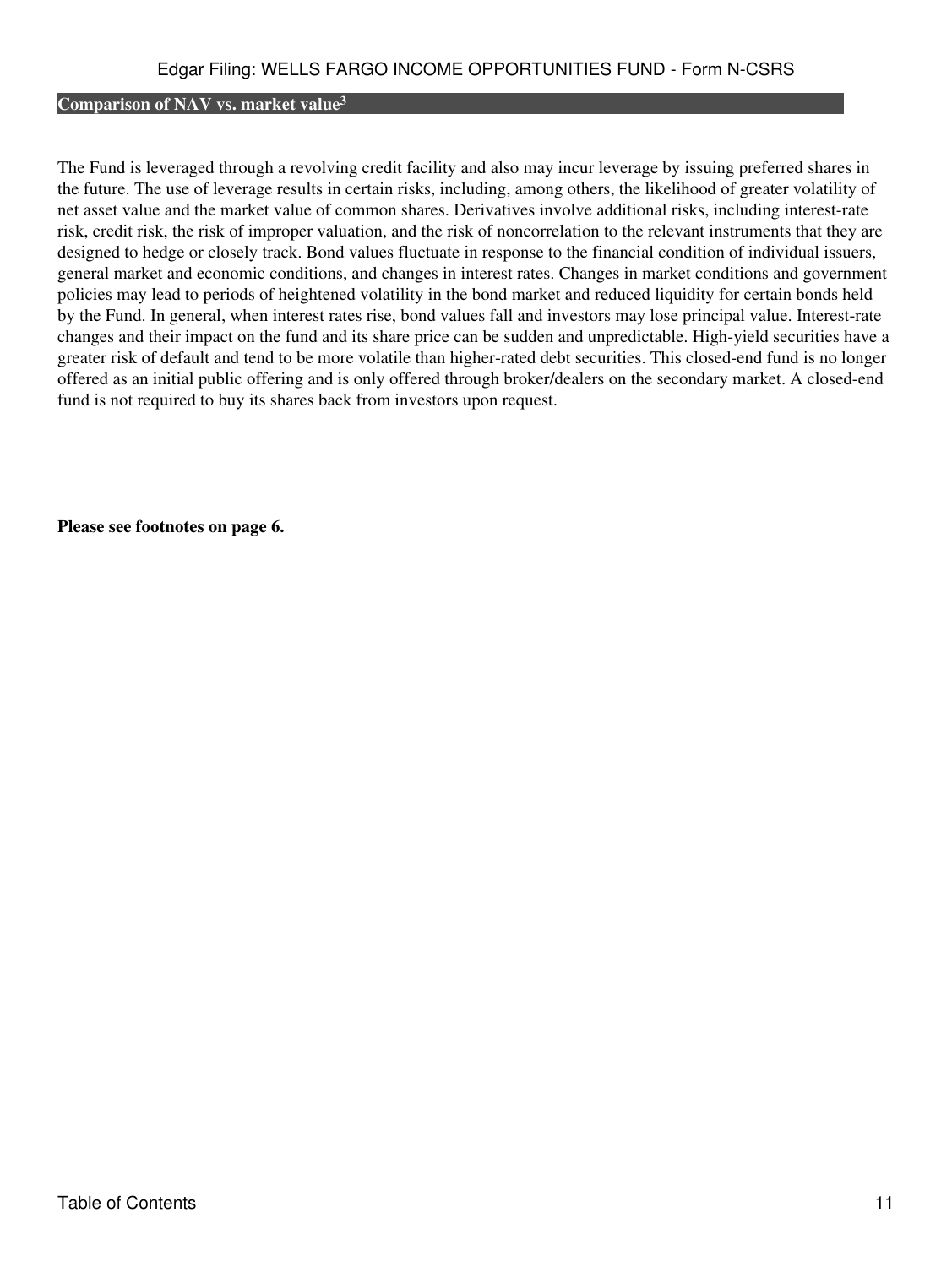# **Comparison of NAV vs. market value<sup>3</sup>**

The Fund is leveraged through a revolving credit facility and also may incur leverage by issuing preferred shares in the future. The use of leverage results in certain risks, including, among others, the likelihood of greater volatility of net asset value and the market value of common shares. Derivatives involve additional risks, including interest-rate risk, credit risk, the risk of improper valuation, and the risk of noncorrelation to the relevant instruments that they are designed to hedge or closely track. Bond values fluctuate in response to the financial condition of individual issuers, general market and economic conditions, and changes in interest rates. Changes in market conditions and government policies may lead to periods of heightened volatility in the bond market and reduced liquidity for certain bonds held by the Fund. In general, when interest rates rise, bond values fall and investors may lose principal value. Interest-rate changes and their impact on the fund and its share price can be sudden and unpredictable. High-yield securities have a greater risk of default and tend to be more volatile than higher-rated debt securities. This closed-end fund is no longer offered as an initial public offering and is only offered through broker/dealers on the secondary market. A closed-end fund is not required to buy its shares back from investors upon request.

**Please see footnotes on page 6.**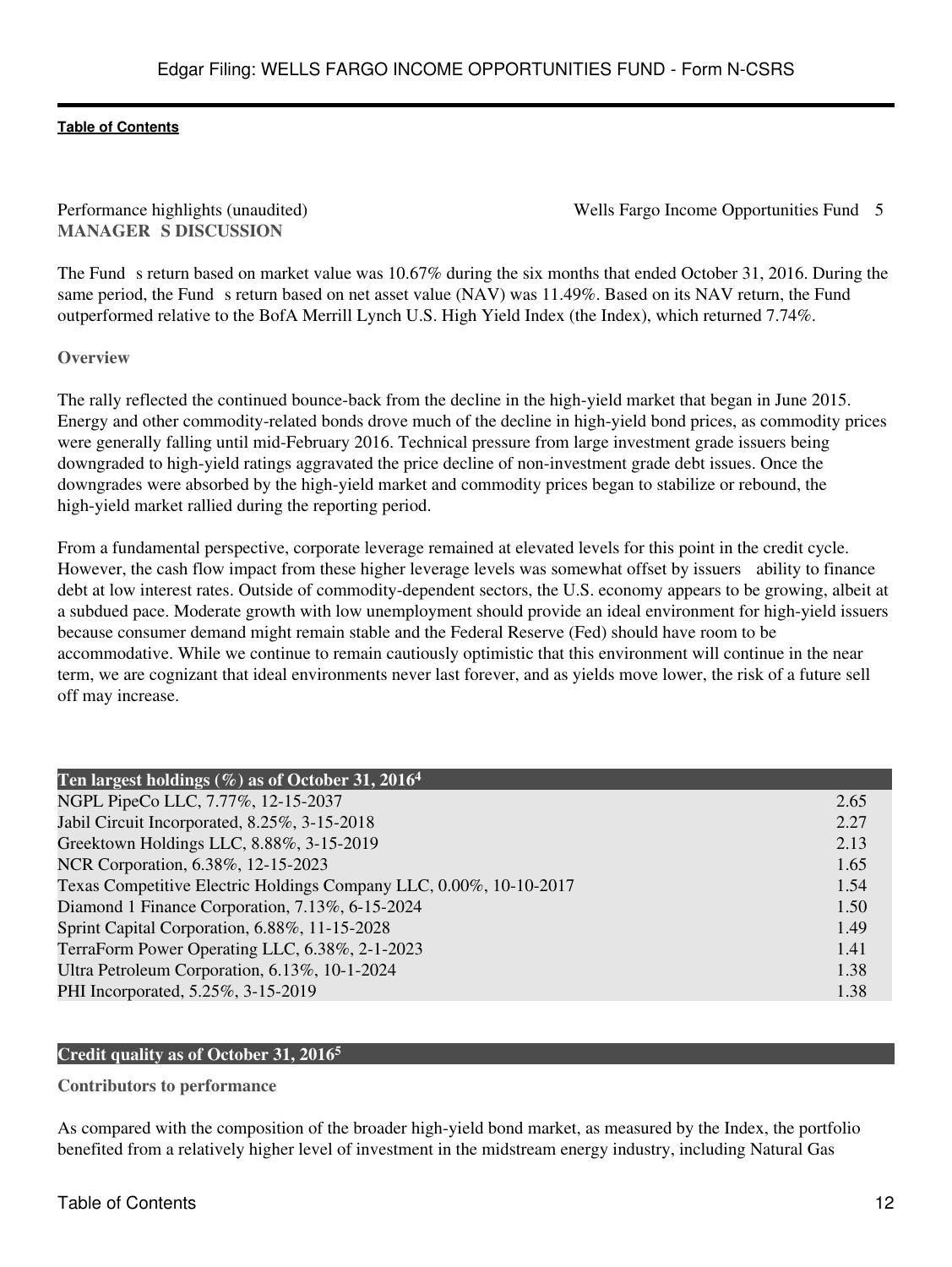**MANAGER S DISCUSSION** 

Performance highlights (unaudited) Wells Fargo Income Opportunities Fund 5

The Fund s return based on market value was 10.67% during the six months that ended October 31, 2016. During the same period, the Fund s return based on net asset value (NAV) was 11.49%. Based on its NAV return, the Fund outperformed relative to the BofA Merrill Lynch U.S. High Yield Index (the Index), which returned 7.74%.

**Overview**

The rally reflected the continued bounce-back from the decline in the high-yield market that began in June 2015. Energy and other commodity-related bonds drove much of the decline in high-yield bond prices, as commodity prices were generally falling until mid-February 2016. Technical pressure from large investment grade issuers being downgraded to high-yield ratings aggravated the price decline of non-investment grade debt issues. Once the downgrades were absorbed by the high-yield market and commodity prices began to stabilize or rebound, the high-yield market rallied during the reporting period.

From a fundamental perspective, corporate leverage remained at elevated levels for this point in the credit cycle. However, the cash flow impact from these higher leverage levels was somewhat offset by issuers ability to finance debt at low interest rates. Outside of commodity-dependent sectors, the U.S. economy appears to be growing, albeit at a subdued pace. Moderate growth with low unemployment should provide an ideal environment for high-yield issuers because consumer demand might remain stable and the Federal Reserve (Fed) should have room to be accommodative. While we continue to remain cautiously optimistic that this environment will continue in the near term, we are cognizant that ideal environments never last forever, and as yields move lower, the risk of a future sell off may increase.

| Ten largest holdings $(\%)$ as of October 31, 2016 <sup>4</sup>    |      |
|--------------------------------------------------------------------|------|
| NGPL PipeCo LLC, 7.77%, 12-15-2037                                 | 2.65 |
| Jabil Circuit Incorporated, 8.25%, 3-15-2018                       | 2.27 |
| Greektown Holdings LLC, 8.88%, 3-15-2019                           | 2.13 |
| NCR Corporation, 6.38%, 12-15-2023                                 | 1.65 |
| Texas Competitive Electric Holdings Company LLC, 0.00%, 10-10-2017 | 1.54 |
| Diamond 1 Finance Corporation, 7.13%, 6-15-2024                    | 1.50 |
| Sprint Capital Corporation, 6.88%, 11-15-2028                      | 1.49 |
| TerraForm Power Operating LLC, 6.38%, 2-1-2023                     | 1.41 |
| Ultra Petroleum Corporation, 6.13%, 10-1-2024                      | 1.38 |
| PHI Incorporated, 5.25%, 3-15-2019                                 | 1.38 |

### **Credit quality as of October 31, 2016<sup>5</sup>**

**Contributors to performance**

As compared with the composition of the broader high-yield bond market, as measured by the Index, the portfolio benefited from a relatively higher level of investment in the midstream energy industry, including Natural Gas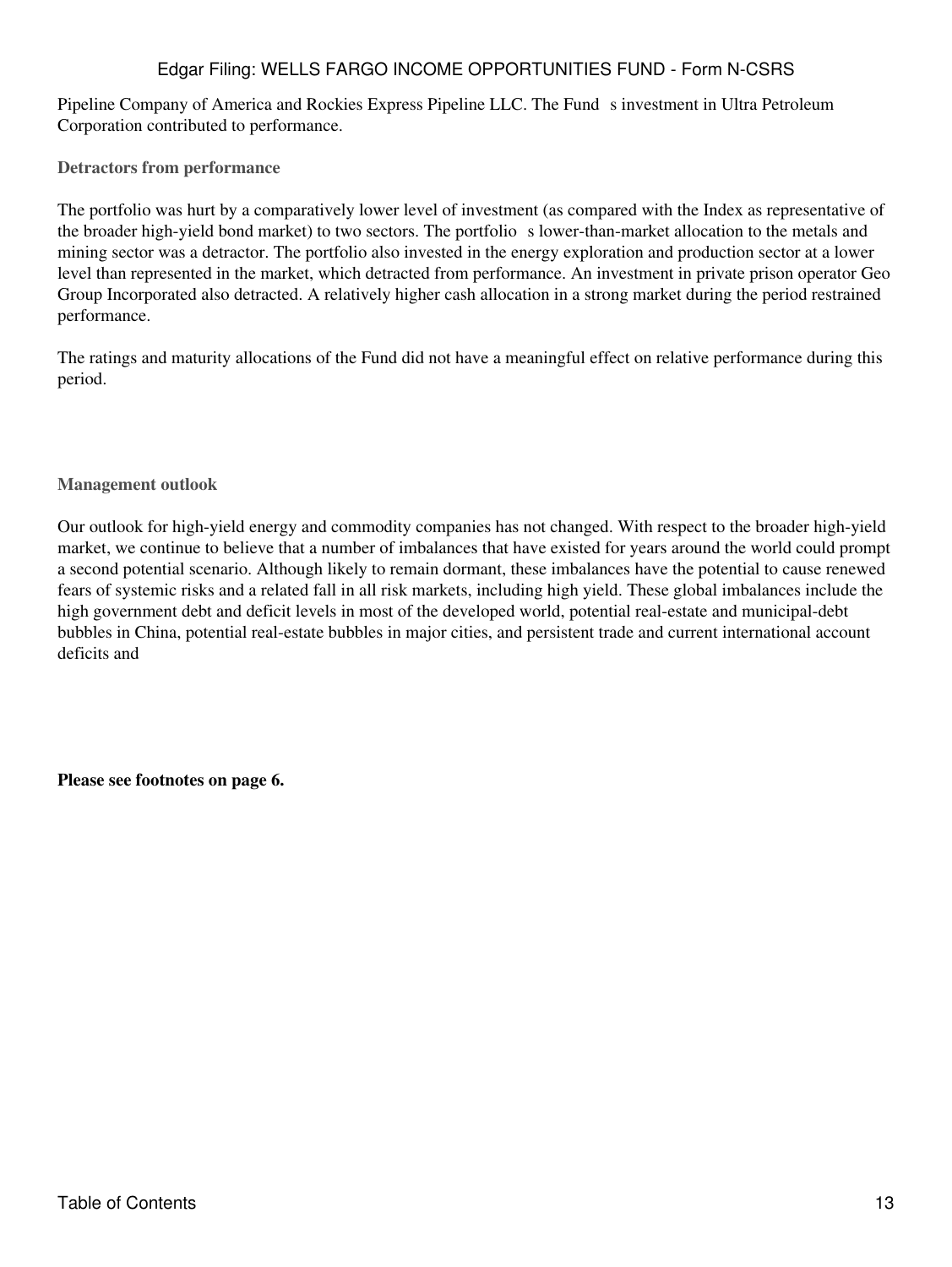# Edgar Filing: WELLS FARGO INCOME OPPORTUNITIES FUND - Form N-CSRS

Pipeline Company of America and Rockies Express Pipeline LLC. The Fund s investment in Ultra Petroleum Corporation contributed to performance.

**Detractors from performance**

The portfolio was hurt by a comparatively lower level of investment (as compared with the Index as representative of the broader high-yield bond market) to two sectors. The portfolio s lower-than-market allocation to the metals and mining sector was a detractor. The portfolio also invested in the energy exploration and production sector at a lower level than represented in the market, which detracted from performance. An investment in private prison operator Geo Group Incorporated also detracted. A relatively higher cash allocation in a strong market during the period restrained performance.

The ratings and maturity allocations of the Fund did not have a meaningful effect on relative performance during this period.

**Management outlook**

Our outlook for high-yield energy and commodity companies has not changed. With respect to the broader high-yield market, we continue to believe that a number of imbalances that have existed for years around the world could prompt a second potential scenario. Although likely to remain dormant, these imbalances have the potential to cause renewed fears of systemic risks and a related fall in all risk markets, including high yield. These global imbalances include the high government debt and deficit levels in most of the developed world, potential real-estate and municipal-debt bubbles in China, potential real-estate bubbles in major cities, and persistent trade and current international account deficits and

**Please see footnotes on page 6.**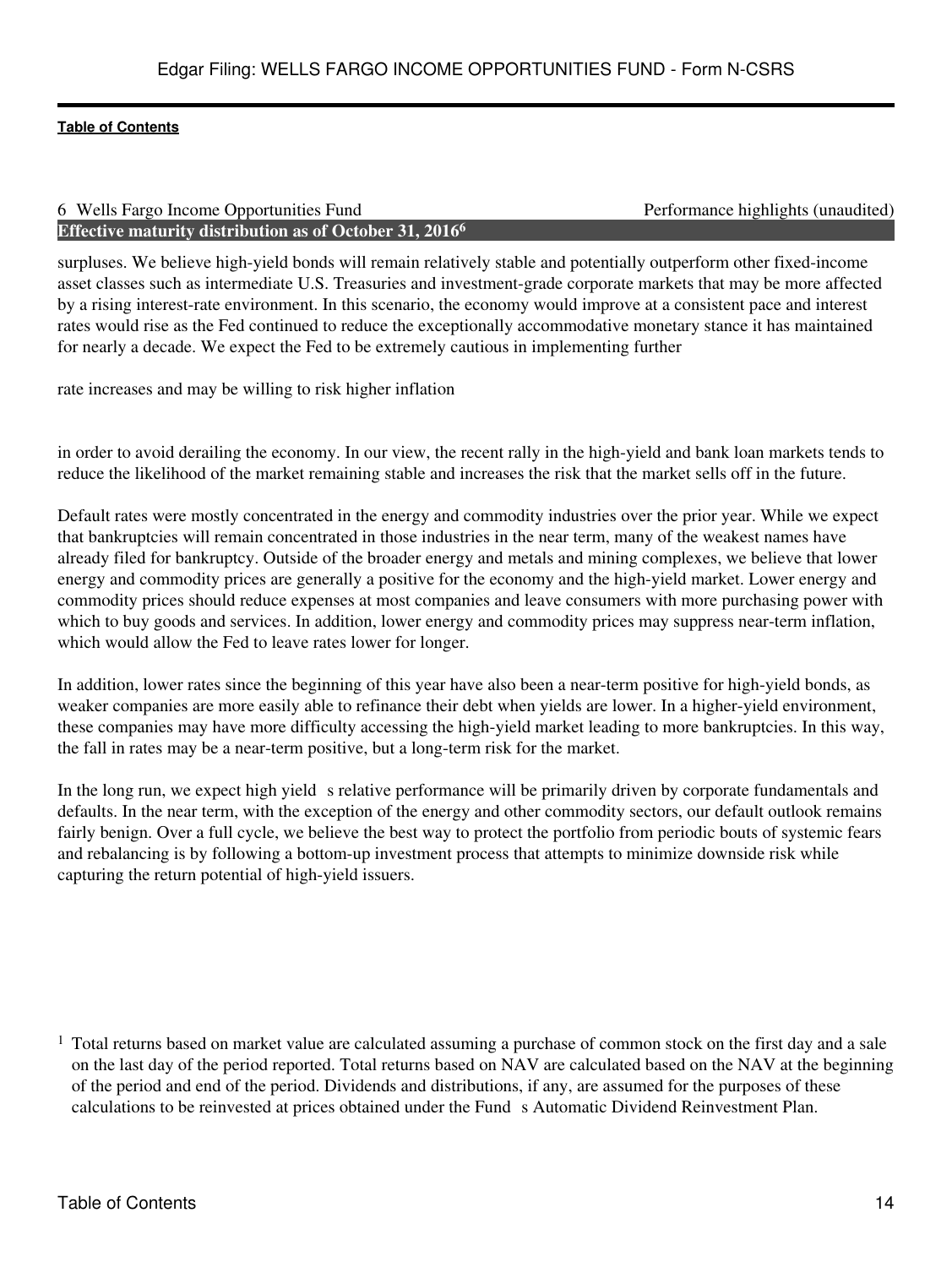#### 6 Wells Fargo Income Opportunities Fund Performance highlights (unaudited) **Effective maturity distribution as of October 31, 2016<sup>6</sup>**

surpluses. We believe high-yield bonds will remain relatively stable and potentially outperform other fixed-income asset classes such as intermediate U.S. Treasuries and investment-grade corporate markets that may be more affected by a rising interest-rate environment. In this scenario, the economy would improve at a consistent pace and interest rates would rise as the Fed continued to reduce the exceptionally accommodative monetary stance it has maintained for nearly a decade. We expect the Fed to be extremely cautious in implementing further

rate increases and may be willing to risk higher inflation

in order to avoid derailing the economy. In our view, the recent rally in the high-yield and bank loan markets tends to reduce the likelihood of the market remaining stable and increases the risk that the market sells off in the future.

Default rates were mostly concentrated in the energy and commodity industries over the prior year. While we expect that bankruptcies will remain concentrated in those industries in the near term, many of the weakest names have already filed for bankruptcy. Outside of the broader energy and metals and mining complexes, we believe that lower energy and commodity prices are generally a positive for the economy and the high-yield market. Lower energy and commodity prices should reduce expenses at most companies and leave consumers with more purchasing power with which to buy goods and services. In addition, lower energy and commodity prices may suppress near-term inflation, which would allow the Fed to leave rates lower for longer.

In addition, lower rates since the beginning of this year have also been a near-term positive for high-yield bonds, as weaker companies are more easily able to refinance their debt when yields are lower. In a higher-yield environment, these companies may have more difficulty accessing the high-yield market leading to more bankruptcies. In this way, the fall in rates may be a near-term positive, but a long-term risk for the market.

In the long run, we expect high yield s relative performance will be primarily driven by corporate fundamentals and defaults. In the near term, with the exception of the energy and other commodity sectors, our default outlook remains fairly benign. Over a full cycle, we believe the best way to protect the portfolio from periodic bouts of systemic fears and rebalancing is by following a bottom-up investment process that attempts to minimize downside risk while capturing the return potential of high-yield issuers.

<sup>1</sup> Total returns based on market value are calculated assuming a purchase of common stock on the first day and a sale on the last day of the period reported. Total returns based on NAV are calculated based on the NAV at the beginning of the period and end of the period. Dividends and distributions, if any, are assumed for the purposes of these calculations to be reinvested at prices obtained under the Funds Automatic Dividend Reinvestment Plan.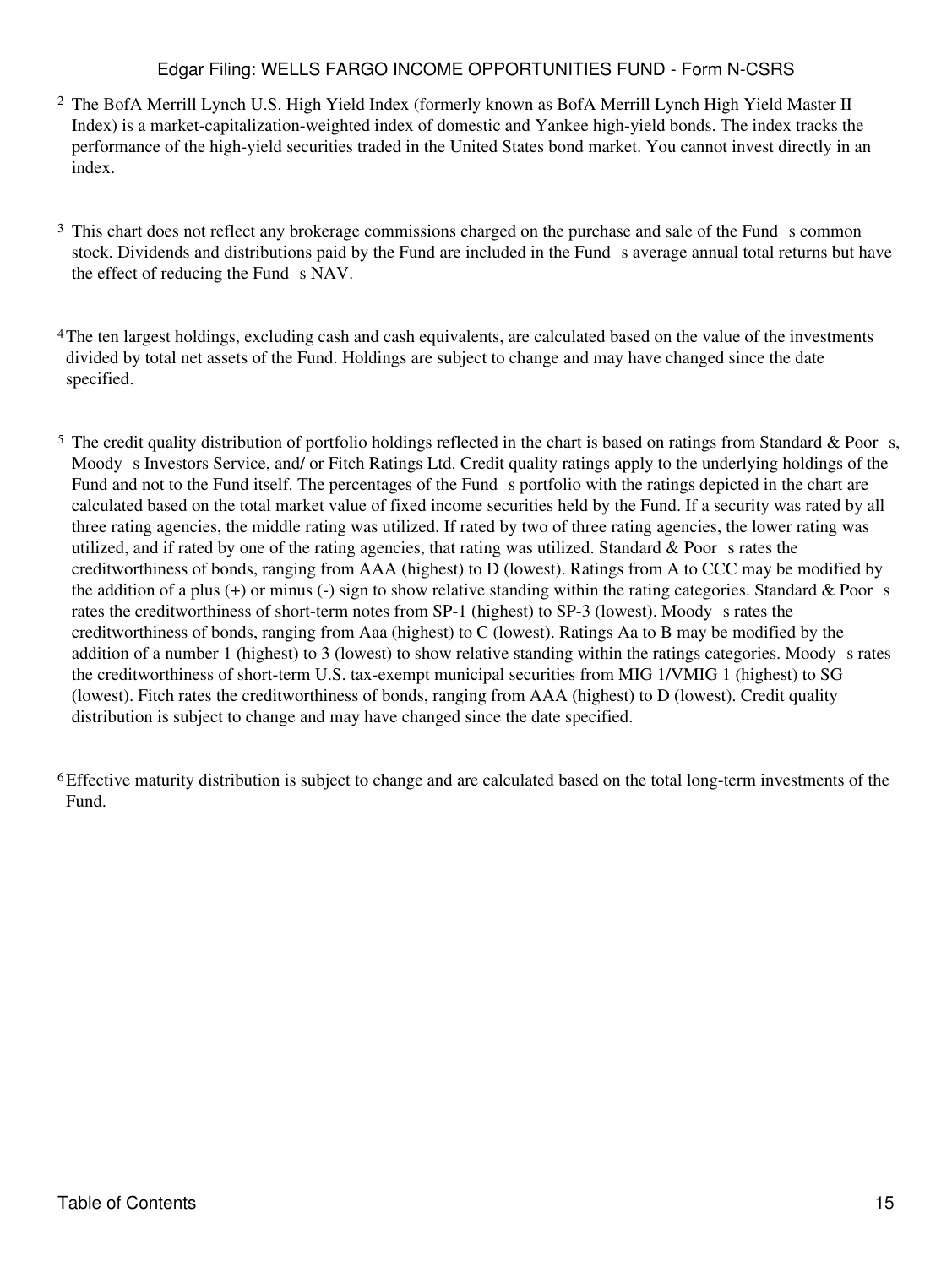# Edgar Filing: WELLS FARGO INCOME OPPORTUNITIES FUND - Form N-CSRS

- <sup>2</sup> The BofA Merrill Lynch U.S. High Yield Index (formerly known as BofA Merrill Lynch High Yield Master II Index) is a market-capitalization-weighted index of domestic and Yankee high-yield bonds. The index tracks the performance of the high-yield securities traded in the United States bond market. You cannot invest directly in an index.
- <sup>3</sup> This chart does not reflect any brokerage commissions charged on the purchase and sale of the Fund s common stock. Dividends and distributions paid by the Fund are included in the Fund s average annual total returns but have the effect of reducing the Fund s NAV.
- <sup>4</sup>The ten largest holdings, excluding cash and cash equivalents, are calculated based on the value of the investments divided by total net assets of the Fund. Holdings are subject to change and may have changed since the date specified.
- $5$  The credit quality distribution of portfolio holdings reflected in the chart is based on ratings from Standard & Poors, Moody s Investors Service, and/ or Fitch Ratings Ltd. Credit quality ratings apply to the underlying holdings of the Fund and not to the Fund itself. The percentages of the Fund s portfolio with the ratings depicted in the chart are calculated based on the total market value of fixed income securities held by the Fund. If a security was rated by all three rating agencies, the middle rating was utilized. If rated by two of three rating agencies, the lower rating was utilized, and if rated by one of the rating agencies, that rating was utilized. Standard  $&$  Poor s rates the creditworthiness of bonds, ranging from AAA (highest) to D (lowest). Ratings from A to CCC may be modified by the addition of a plus  $(+)$  or minus  $(-)$  sign to show relative standing within the rating categories. Standard & Poor s rates the creditworthiness of short-term notes from SP-1 (highest) to SP-3 (lowest). Moody s rates the creditworthiness of bonds, ranging from Aaa (highest) to C (lowest). Ratings Aa to B may be modified by the addition of a number 1 (highest) to 3 (lowest) to show relative standing within the ratings categories. Moody s rates the creditworthiness of short-term U.S. tax-exempt municipal securities from MIG 1/VMIG 1 (highest) to SG (lowest). Fitch rates the creditworthiness of bonds, ranging from AAA (highest) to D (lowest). Credit quality distribution is subject to change and may have changed since the date specified.

<sup>6</sup>Effective maturity distribution is subject to change and are calculated based on the total long-term investments of the Fund.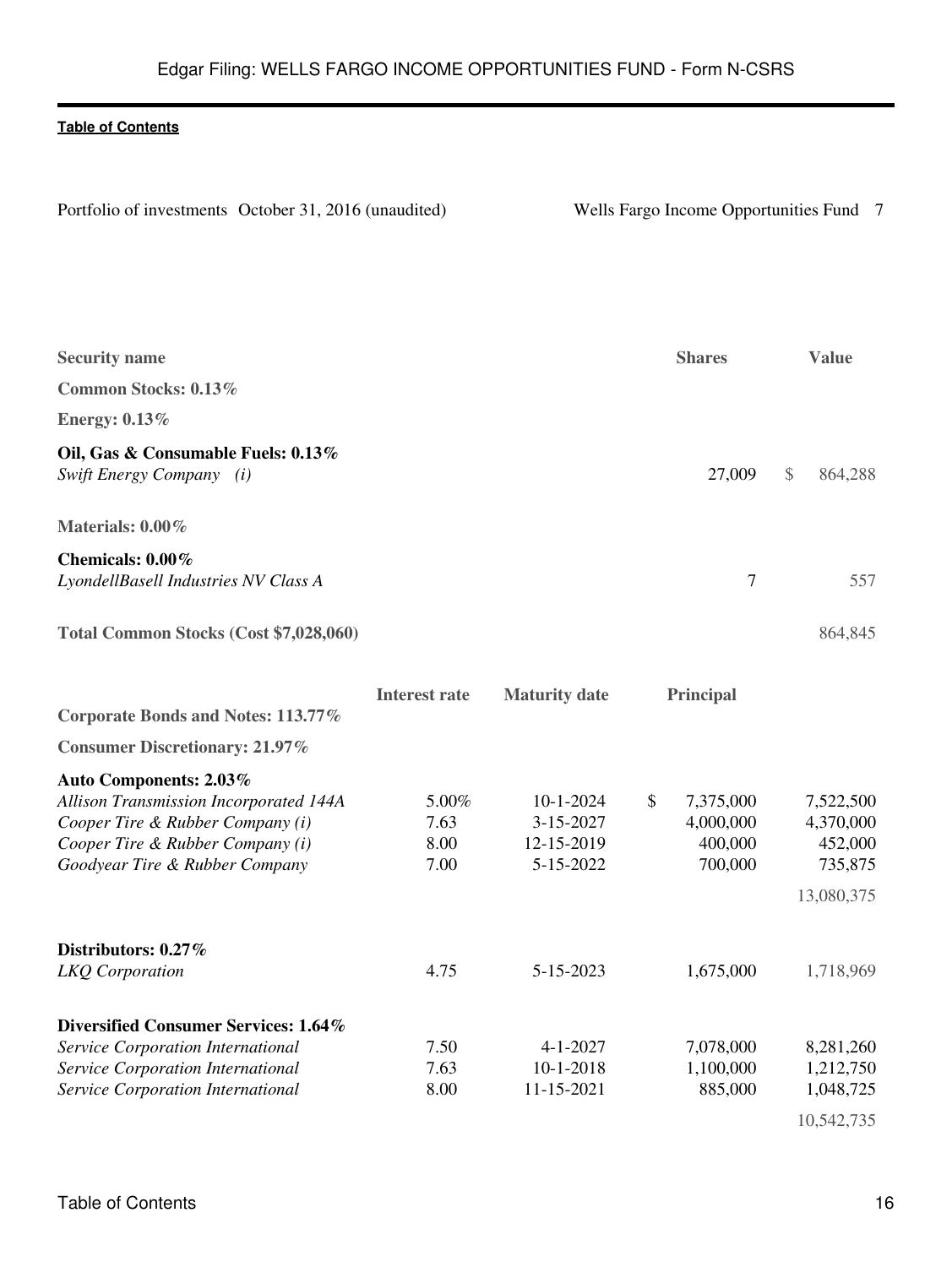<span id="page-15-0"></span>

| Portfolio of investments October 31, 2016 (unaudited) | Wells Fa |
|-------------------------------------------------------|----------|
|                                                       |          |

Porte 31, 2016 of the origin of the original parameter 31, 2016 (under the Sector Income Opportunities Fund 7

| <b>Security name</b>                                                                                                                                                              |                               |                                                         | <b>Shares</b>                                      | <b>Value</b>                                               |
|-----------------------------------------------------------------------------------------------------------------------------------------------------------------------------------|-------------------------------|---------------------------------------------------------|----------------------------------------------------|------------------------------------------------------------|
| Common Stocks: 0.13%                                                                                                                                                              |                               |                                                         |                                                    |                                                            |
| <b>Energy: 0.13%</b>                                                                                                                                                              |                               |                                                         |                                                    |                                                            |
| Oil, Gas & Consumable Fuels: 0.13%<br>Swift Energy Company (i)                                                                                                                    |                               |                                                         | 27,009                                             | $\$\$<br>864,288                                           |
| Materials: 0.00%                                                                                                                                                                  |                               |                                                         |                                                    |                                                            |
| Chemicals: 0.00%<br>LyondellBasell Industries NV Class A                                                                                                                          |                               |                                                         |                                                    | $\overline{7}$<br>557                                      |
| Total Common Stocks (Cost \$7,028,060)                                                                                                                                            |                               |                                                         |                                                    | 864,845                                                    |
|                                                                                                                                                                                   | <b>Interest rate</b>          | <b>Maturity date</b>                                    | Principal                                          |                                                            |
| Corporate Bonds and Notes: 113.77%                                                                                                                                                |                               |                                                         |                                                    |                                                            |
| <b>Consumer Discretionary: 21.97%</b>                                                                                                                                             |                               |                                                         |                                                    |                                                            |
| <b>Auto Components: 2.03%</b><br>Allison Transmission Incorporated 144A<br>Cooper Tire & Rubber Company (i)<br>Cooper Tire & Rubber Company (i)<br>Goodyear Tire & Rubber Company | 5.00%<br>7.63<br>8.00<br>7.00 | $10 - 1 - 2024$<br>3-15-2027<br>12-15-2019<br>5-15-2022 | \$<br>7,375,000<br>4,000,000<br>400,000<br>700,000 | 7,522,500<br>4,370,000<br>452,000<br>735,875<br>13,080,375 |
| Distributors: 0.27%<br>LKQ Corporation                                                                                                                                            | 4.75                          | 5-15-2023                                               | 1,675,000                                          | 1,718,969                                                  |
| Diversified Consumer Services: 1.64%<br>Service Corporation International                                                                                                         | 7.50                          | $4 - 1 - 2027$                                          | 7,078,000                                          | 8,281,260                                                  |
| Service Corporation International                                                                                                                                                 | 7.63                          | $10 - 1 - 2018$                                         | 1,100,000                                          | 1,212,750                                                  |
| Service Corporation International                                                                                                                                                 | 8.00                          | 11-15-2021                                              | 885,000                                            | 1,048,725                                                  |
|                                                                                                                                                                                   |                               |                                                         |                                                    | 10,542,735                                                 |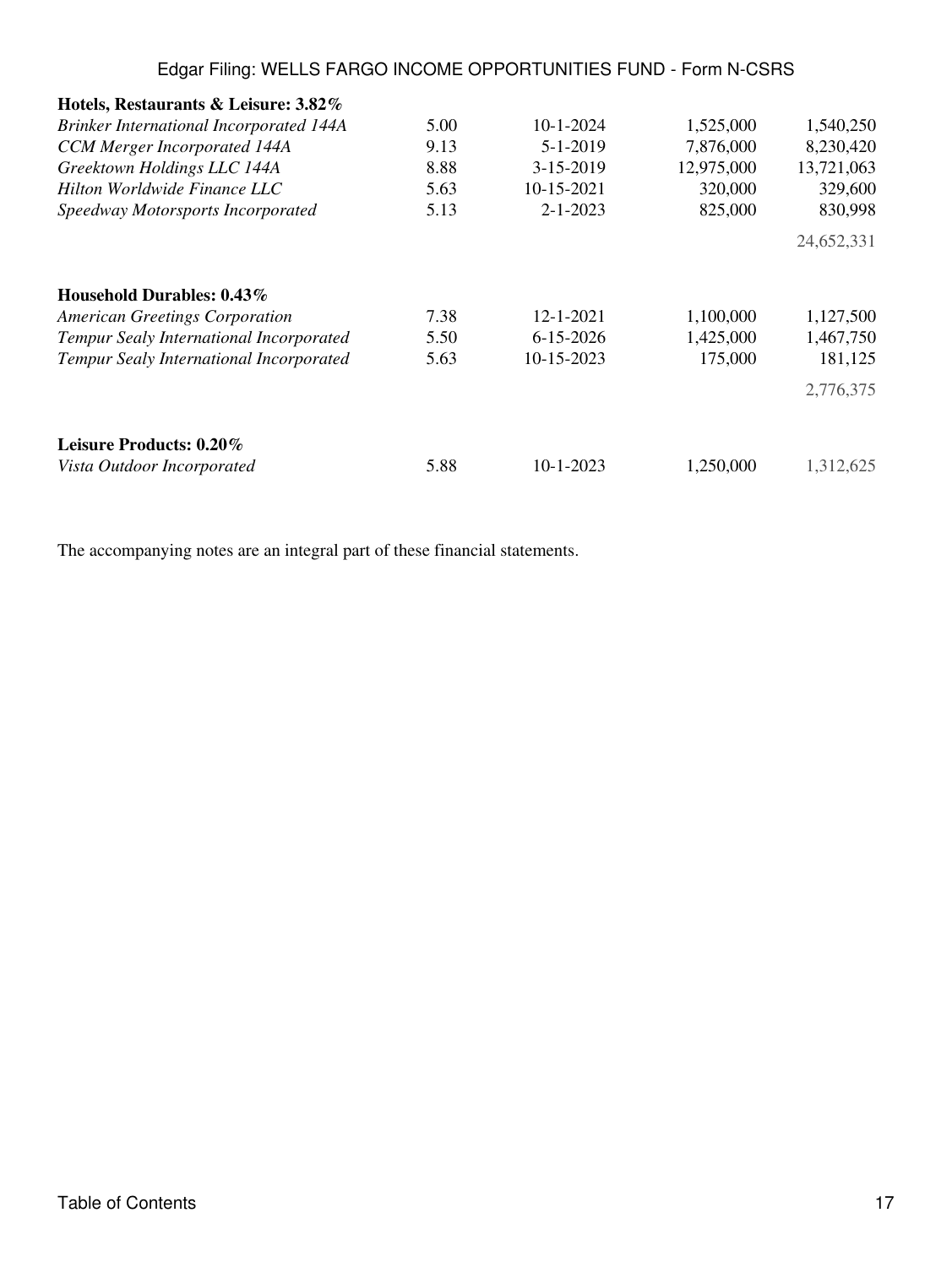# Edgar Filing: WELLS FARGO INCOME OPPORTUNITIES FUND - Form N-CSRS

| Hotels, Restaurants & Leisure: 3.82%           |      |                 |            |            |
|------------------------------------------------|------|-----------------|------------|------------|
| <b>Brinker International Incorporated 144A</b> | 5.00 | $10 - 1 - 2024$ | 1,525,000  | 1,540,250  |
| <b>CCM</b> Merger Incorporated 144A            | 9.13 | $5 - 1 - 2019$  | 7,876,000  | 8,230,420  |
| Greektown Holdings LLC 144A                    | 8.88 | 3-15-2019       | 12,975,000 | 13,721,063 |
| Hilton Worldwide Finance LLC                   | 5.63 | 10-15-2021      | 320,000    | 329,600    |
| Speedway Motorsports Incorporated              | 5.13 | $2 - 1 - 2023$  | 825,000    | 830,998    |
|                                                |      |                 |            | 24,652,331 |
| Household Durables: 0.43%                      |      |                 |            |            |
| <b>American Greetings Corporation</b>          | 7.38 | $12 - 1 - 2021$ | 1,100,000  | 1,127,500  |
| Tempur Sealy International Incorporated        | 5.50 | $6 - 15 - 2026$ | 1,425,000  | 1,467,750  |
| Tempur Sealy International Incorporated        | 5.63 | 10-15-2023      | 175,000    | 181,125    |
|                                                |      |                 |            | 2,776,375  |
| Leisure Products: 0.20%                        |      |                 |            |            |
| Vista Outdoor Incorporated                     | 5.88 | $10 - 1 - 2023$ | 1,250,000  | 1,312,625  |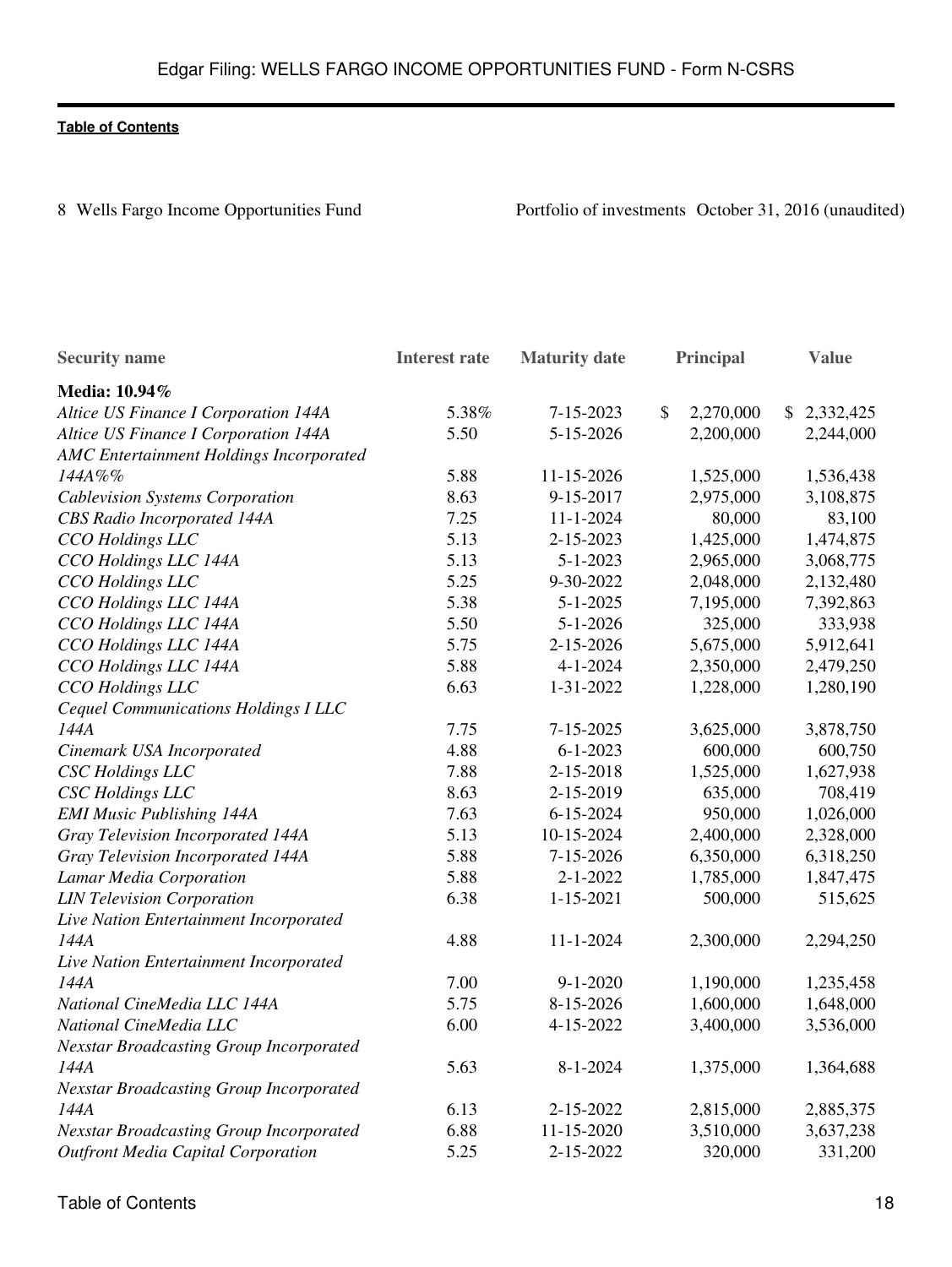8 Wells Fargo Income Opportunities Fund Portfolio of investments October 31, 2016 (unaudited)

| <b>Security name</b>                           | <b>Interest rate</b> | <b>Maturity</b> date |               | Principal | <b>Value</b>    |
|------------------------------------------------|----------------------|----------------------|---------------|-----------|-----------------|
| Media: 10.94%                                  |                      |                      |               |           |                 |
| Altice US Finance I Corporation 144A           | 5.38%                | 7-15-2023            | $\mathcal{S}$ | 2,270,000 | \$<br>2,332,425 |
| Altice US Finance I Corporation 144A           | 5.50                 | 5-15-2026            |               | 2,200,000 | 2,244,000       |
| AMC Entertainment Holdings Incorporated        |                      |                      |               |           |                 |
| 144A%%                                         | 5.88                 | 11-15-2026           |               | 1,525,000 | 1,536,438       |
| <b>Cablevision Systems Corporation</b>         | 8.63                 | 9-15-2017            |               | 2,975,000 | 3,108,875       |
| <b>CBS</b> Radio Incorporated 144A             | 7.25                 | $11 - 1 - 2024$      |               | 80,000    | 83,100          |
| CCO Holdings LLC                               | 5.13                 | 2-15-2023            |               | 1,425,000 | 1,474,875       |
| CCO Holdings LLC 144A                          | 5.13                 | $5 - 1 - 2023$       |               | 2,965,000 | 3,068,775       |
| CCO Holdings LLC                               | 5.25                 | 9-30-2022            |               | 2,048,000 | 2,132,480       |
| CCO Holdings LLC 144A                          | 5.38                 | $5 - 1 - 2025$       |               | 7,195,000 | 7,392,863       |
| CCO Holdings LLC 144A                          | 5.50                 | $5 - 1 - 2026$       |               | 325,000   | 333,938         |
| CCO Holdings LLC 144A                          | 5.75                 | 2-15-2026            |               | 5,675,000 | 5,912,641       |
| CCO Holdings LLC 144A                          | 5.88                 | $4 - 1 - 2024$       |               | 2,350,000 | 2,479,250       |
| CCO Holdings LLC                               | 6.63                 | 1-31-2022            |               | 1,228,000 | 1,280,190       |
| Cequel Communications Holdings I LLC           |                      |                      |               |           |                 |
| 144A                                           | 7.75                 | 7-15-2025            |               | 3,625,000 | 3,878,750       |
| Cinemark USA Incorporated                      | 4.88                 | $6 - 1 - 2023$       |               | 600,000   | 600,750         |
| <b>CSC</b> Holdings LLC                        | 7.88                 | 2-15-2018            |               | 1,525,000 | 1,627,938       |
| <b>CSC</b> Holdings LLC                        | 8.63                 | 2-15-2019            |               | 635,000   | 708,419         |
| <b>EMI Music Publishing 144A</b>               | 7.63                 | 6-15-2024            |               | 950,000   | 1,026,000       |
| Gray Television Incorporated 144A              | 5.13                 | 10-15-2024           |               | 2,400,000 | 2,328,000       |
| Gray Television Incorporated 144A              | 5.88                 | 7-15-2026            |               | 6,350,000 | 6,318,250       |
| Lamar Media Corporation                        | 5.88                 | $2 - 1 - 2022$       |               | 1,785,000 | 1,847,475       |
| <b>LIN Television Corporation</b>              | 6.38                 | $1 - 15 - 2021$      |               | 500,000   | 515,625         |
| Live Nation Entertainment Incorporated         |                      |                      |               |           |                 |
| 144A                                           | 4.88                 | $11 - 1 - 2024$      |               | 2,300,000 | 2,294,250       |
| Live Nation Entertainment Incorporated         |                      |                      |               |           |                 |
| 144A                                           | 7.00                 | $9 - 1 - 2020$       |               | 1,190,000 | 1,235,458       |
| National CineMedia LLC 144A                    | 5.75                 | 8-15-2026            |               | 1,600,000 | 1,648,000       |
| National CineMedia LLC                         | 6.00                 | 4-15-2022            |               | 3,400,000 | 3,536,000       |
| <b>Nexstar Broadcasting Group Incorporated</b> |                      |                      |               |           |                 |
| 144A                                           | 5.63                 | $8 - 1 - 2024$       |               | 1,375,000 | 1,364,688       |
| <b>Nexstar Broadcasting Group Incorporated</b> |                      |                      |               |           |                 |
| 144A                                           | 6.13                 | 2-15-2022            |               | 2,815,000 | 2,885,375       |
| <b>Nexstar Broadcasting Group Incorporated</b> | 6.88                 | 11-15-2020           |               | 3,510,000 | 3,637,238       |
| <b>Outfront Media Capital Corporation</b>      | 5.25                 | 2-15-2022            |               | 320,000   | 331,200         |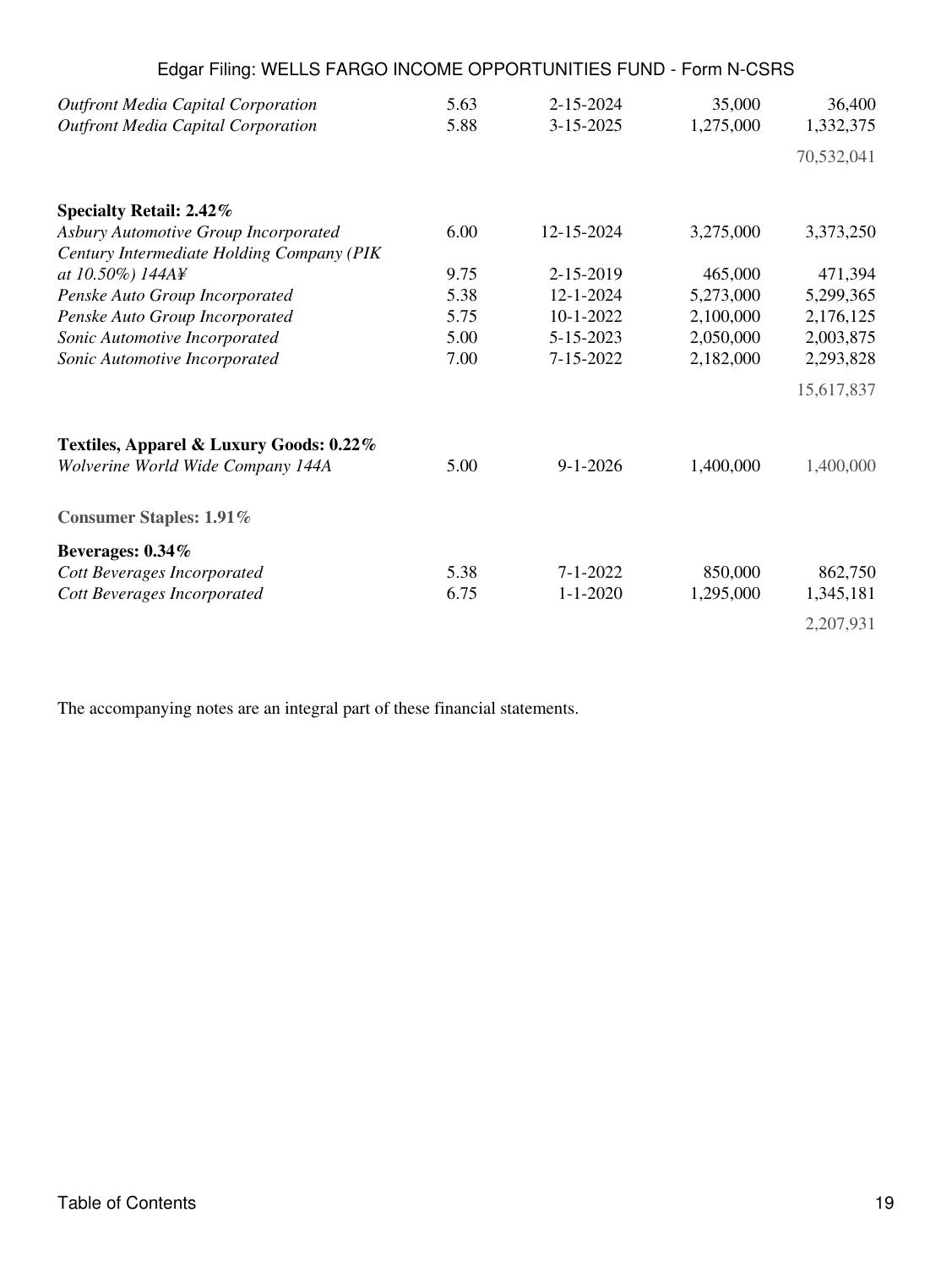| Edgar Filing: WELLS FARGO INCOME OPPORTUNITIES FUND - Form N-CSRS                      |              |                                    |                     |                     |
|----------------------------------------------------------------------------------------|--------------|------------------------------------|---------------------|---------------------|
| <b>Outfront Media Capital Corporation</b><br><b>Outfront Media Capital Corporation</b> | 5.63<br>5.88 | $2 - 15 - 2024$<br>$3 - 15 - 2025$ | 35,000<br>1,275,000 | 36,400<br>1,332,375 |
|                                                                                        |              |                                    |                     | 70,532,041          |
| Specialty Retail: 2.42%                                                                |              |                                    |                     |                     |
| Asbury Automotive Group Incorporated                                                   | 6.00         | 12-15-2024                         | 3,275,000           | 3,373,250           |
| Century Intermediate Holding Company (PIK                                              |              |                                    |                     |                     |
| at 10.50%) 144A¥                                                                       | 9.75         | 2-15-2019                          | 465,000             | 471,394             |
| Penske Auto Group Incorporated                                                         | 5.38         | 12-1-2024                          | 5,273,000           | 5,299,365           |
| Penske Auto Group Incorporated                                                         | 5.75         | $10-1-2022$                        | 2,100,000           | 2,176,125           |
| Sonic Automotive Incorporated                                                          | 5.00         | 5-15-2023                          | 2,050,000           | 2,003,875           |
| Sonic Automotive Incorporated                                                          | 7.00         | 7-15-2022                          | 2,182,000           | 2,293,828           |
|                                                                                        |              |                                    |                     | 15,617,837          |
| Textiles, Apparel & Luxury Goods: 0.22%                                                |              |                                    |                     |                     |
| Wolverine World Wide Company 144A                                                      | 5.00         | $9 - 1 - 2026$                     | 1,400,000           | 1,400,000           |
| <b>Consumer Staples: 1.91%</b>                                                         |              |                                    |                     |                     |
| Beverages: 0.34%                                                                       |              |                                    |                     |                     |
| Cott Beverages Incorporated                                                            | 5.38         | $7 - 1 - 2022$                     | 850,000             | 862,750             |
| Cott Beverages Incorporated                                                            | 6.75         | $1 - 1 - 2020$                     | 1,295,000           | 1,345,181           |
|                                                                                        |              |                                    |                     | 2,207,931           |
|                                                                                        |              |                                    |                     |                     |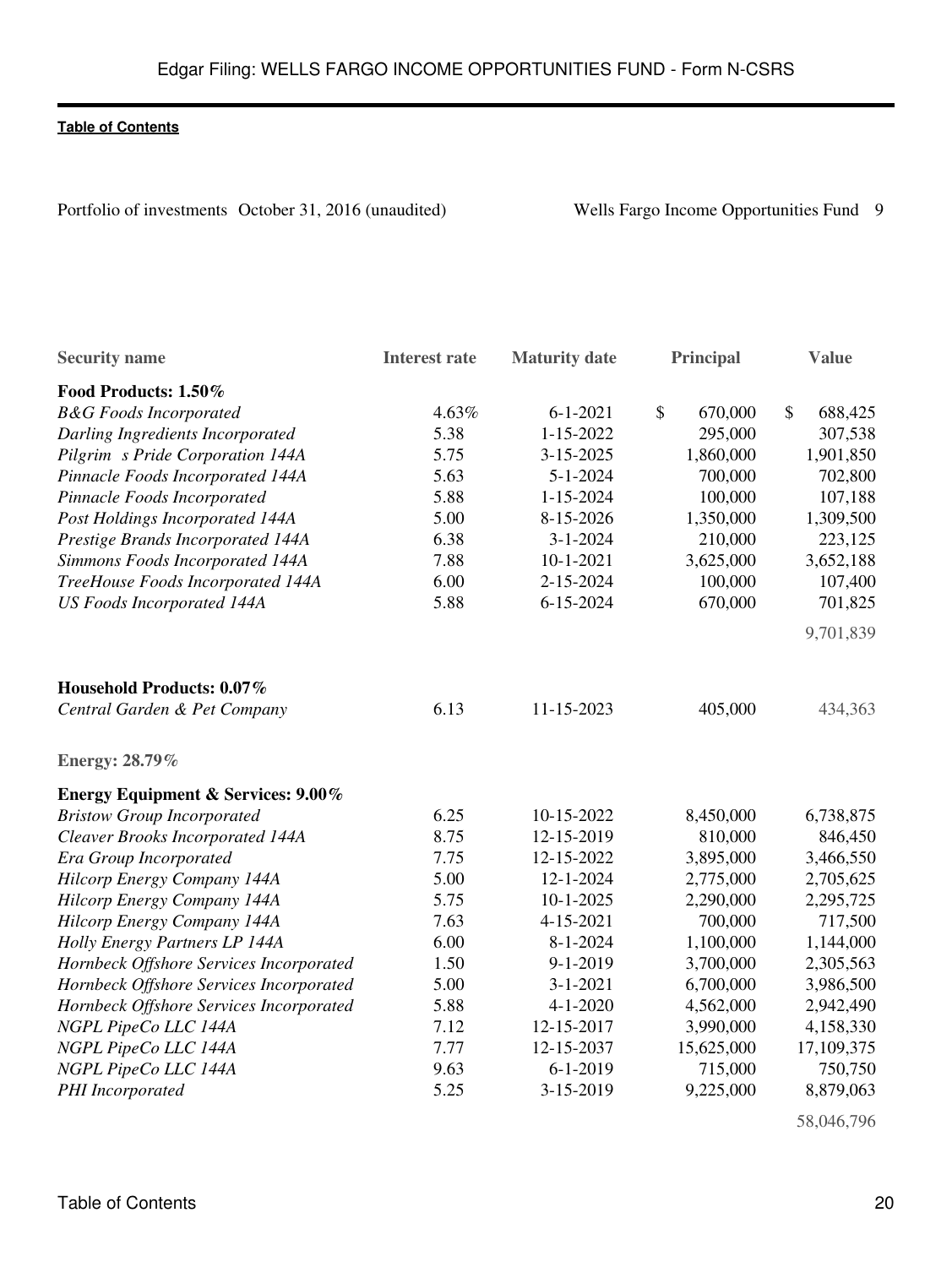Portfolio of investments October 31, 2016 (unaudited) Wells Fargo Income Opportunities Fund 9

| <b>Security name</b>                          | <b>Interest rate</b> | <b>Maturity date</b> | <b>Principal</b> | <b>Value</b>             |
|-----------------------------------------------|----------------------|----------------------|------------------|--------------------------|
| Food Products: 1.50%                          |                      |                      |                  |                          |
| <b>B&amp;G</b> Foods Incorporated             | 4.63%                | $6 - 1 - 2021$       | \$<br>670,000    | $\mathcal{S}$<br>688,425 |
| Darling Ingredients Incorporated              | 5.38                 | $1 - 15 - 2022$      | 295,000          | 307,538                  |
| Pilgrim s Pride Corporation 144A              | 5.75                 | 3-15-2025            | 1,860,000        | 1,901,850                |
| Pinnacle Foods Incorporated 144A              | 5.63                 | $5 - 1 - 2024$       | 700,000          | 702,800                  |
| Pinnacle Foods Incorporated                   | 5.88                 | $1 - 15 - 2024$      | 100,000          | 107,188                  |
| Post Holdings Incorporated 144A               | 5.00                 | 8-15-2026            | 1,350,000        | 1,309,500                |
| Prestige Brands Incorporated 144A             | 6.38                 | $3 - 1 - 2024$       | 210,000          | 223,125                  |
| Simmons Foods Incorporated 144A               | 7.88                 | $10 - 1 - 2021$      | 3,625,000        | 3,652,188                |
| TreeHouse Foods Incorporated 144A             | 6.00                 | 2-15-2024            | 100,000          | 107,400                  |
| <b>US Foods Incorporated 144A</b>             | 5.88                 | $6 - 15 - 2024$      | 670,000          | 701,825                  |
|                                               |                      |                      |                  | 9,701,839                |
| Household Products: 0.07%                     |                      |                      |                  |                          |
| Central Garden & Pet Company                  | 6.13                 | 11-15-2023           | 405,000          | 434,363                  |
| <b>Energy: 28.79%</b>                         |                      |                      |                  |                          |
| <b>Energy Equipment &amp; Services: 9.00%</b> |                      |                      |                  |                          |
| <b>Bristow Group Incorporated</b>             | 6.25                 | 10-15-2022           | 8,450,000        | 6,738,875                |
| Cleaver Brooks Incorporated 144A              | 8.75                 | 12-15-2019           | 810,000          | 846,450                  |
| Era Group Incorporated                        | 7.75                 | 12-15-2022           | 3,895,000        | 3,466,550                |
| Hilcorp Energy Company 144A                   | 5.00                 | 12-1-2024            | 2,775,000        | 2,705,625                |
| Hilcorp Energy Company 144A                   | 5.75                 | $10 - 1 - 2025$      | 2,290,000        | 2,295,725                |
| Hilcorp Energy Company 144A                   | 7.63                 | 4-15-2021            | 700,000          | 717,500                  |
| Holly Energy Partners LP 144A                 | 6.00                 | $8 - 1 - 2024$       | 1,100,000        | 1,144,000                |
| Hornbeck Offshore Services Incorporated       | 1.50                 | $9 - 1 - 2019$       | 3,700,000        | 2,305,563                |
| Hornbeck Offshore Services Incorporated       | 5.00                 | $3 - 1 - 2021$       | 6,700,000        | 3,986,500                |
| Hornbeck Offshore Services Incorporated       | 5.88                 | $4 - 1 - 2020$       | 4,562,000        | 2,942,490                |
| NGPL PipeCo LLC 144A                          | 7.12                 | 12-15-2017           | 3,990,000        | 4,158,330                |
| NGPL PipeCo LLC 144A                          | 7.77                 | 12-15-2037           | 15,625,000       | 17,109,375               |
| NGPL PipeCo LLC 144A                          | 9.63                 | $6 - 1 - 2019$       | 715,000          | 750,750                  |
| PHI Incorporated                              | 5.25                 | 3-15-2019            | 9,225,000        | 8,879,063                |

58,046,796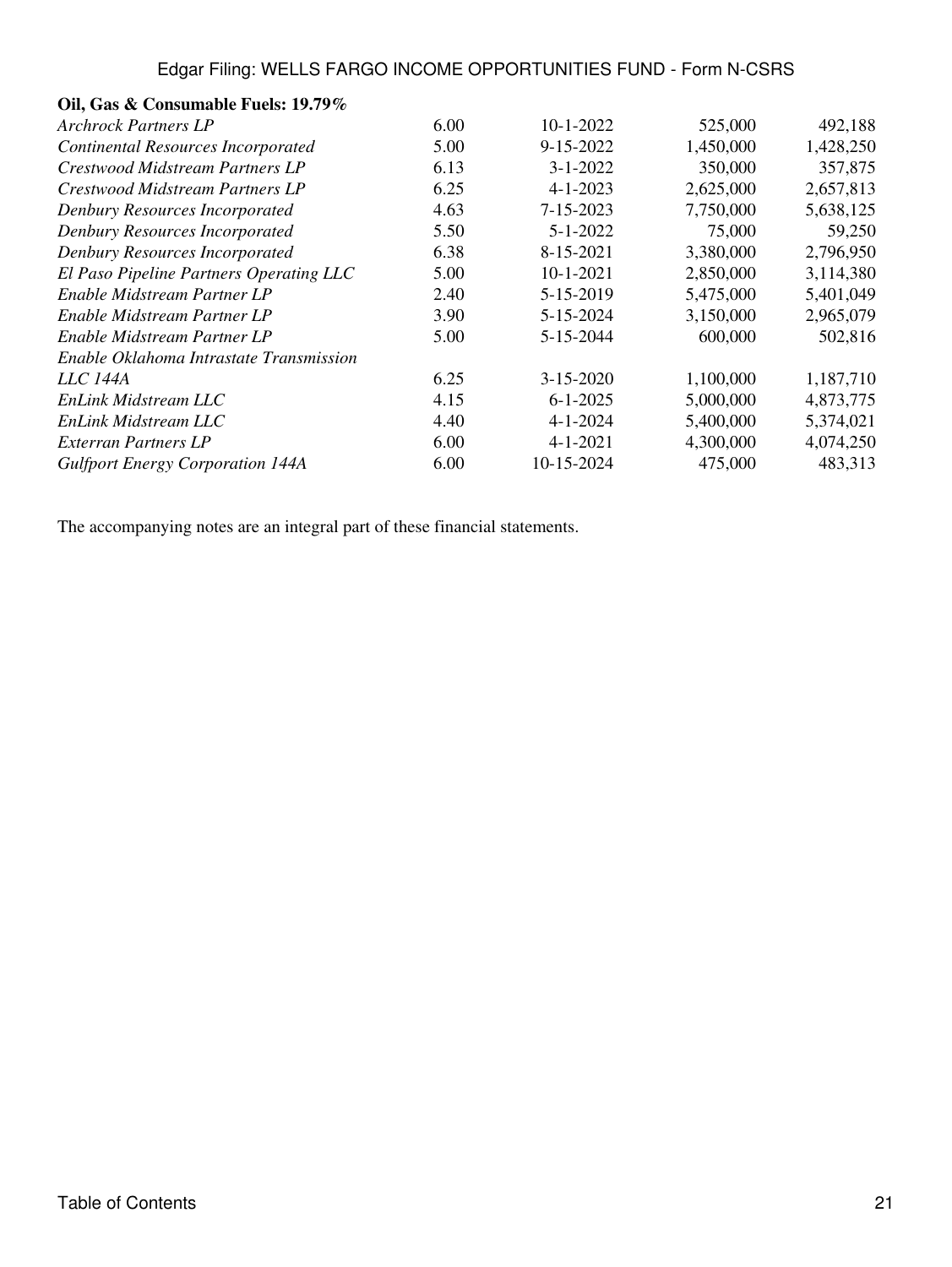# **Oil, Gas & Consumable Fuels: 19.79%**

| <b>Archrock Partners LP</b>               | 6.00 | $10-1-2022$     | 525,000   | 492,188   |
|-------------------------------------------|------|-----------------|-----------|-----------|
| <b>Continental Resources Incorporated</b> | 5.00 | 9-15-2022       | 1,450,000 | 1,428,250 |
| Crestwood Midstream Partners LP           | 6.13 | $3 - 1 - 2022$  | 350,000   | 357,875   |
| Crestwood Midstream Partners LP           | 6.25 | $4 - 1 - 2023$  | 2,625,000 | 2,657,813 |
| Denbury Resources Incorporated            | 4.63 | 7-15-2023       | 7,750,000 | 5,638,125 |
| Denbury Resources Incorporated            | 5.50 | $5 - 1 - 2022$  | 75,000    | 59,250    |
| Denbury Resources Incorporated            | 6.38 | 8-15-2021       | 3,380,000 | 2,796,950 |
| El Paso Pipeline Partners Operating LLC   | 5.00 | $10-1-2021$     | 2,850,000 | 3,114,380 |
| Enable Midstream Partner LP               | 2.40 | 5-15-2019       | 5,475,000 | 5,401,049 |
| Enable Midstream Partner LP               | 3.90 | 5-15-2024       | 3,150,000 | 2,965,079 |
| Enable Midstream Partner LP               | 5.00 | 5-15-2044       | 600,000   | 502,816   |
| Enable Oklahoma Intrastate Transmission   |      |                 |           |           |
| <i>LLC 144A</i>                           | 6.25 | $3 - 15 - 2020$ | 1,100,000 | 1,187,710 |
| EnLink Midstream LLC                      | 4.15 | $6 - 1 - 2025$  | 5,000,000 | 4,873,775 |
| EnLink Midstream LLC                      | 4.40 | $4 - 1 - 2024$  | 5,400,000 | 5,374,021 |
| Exterran Partners LP                      | 6.00 | $4 - 1 - 2021$  | 4,300,000 | 4,074,250 |
| <b>Gulfport Energy Corporation 144A</b>   | 6.00 | 10-15-2024      | 475,000   | 483,313   |
|                                           |      |                 |           |           |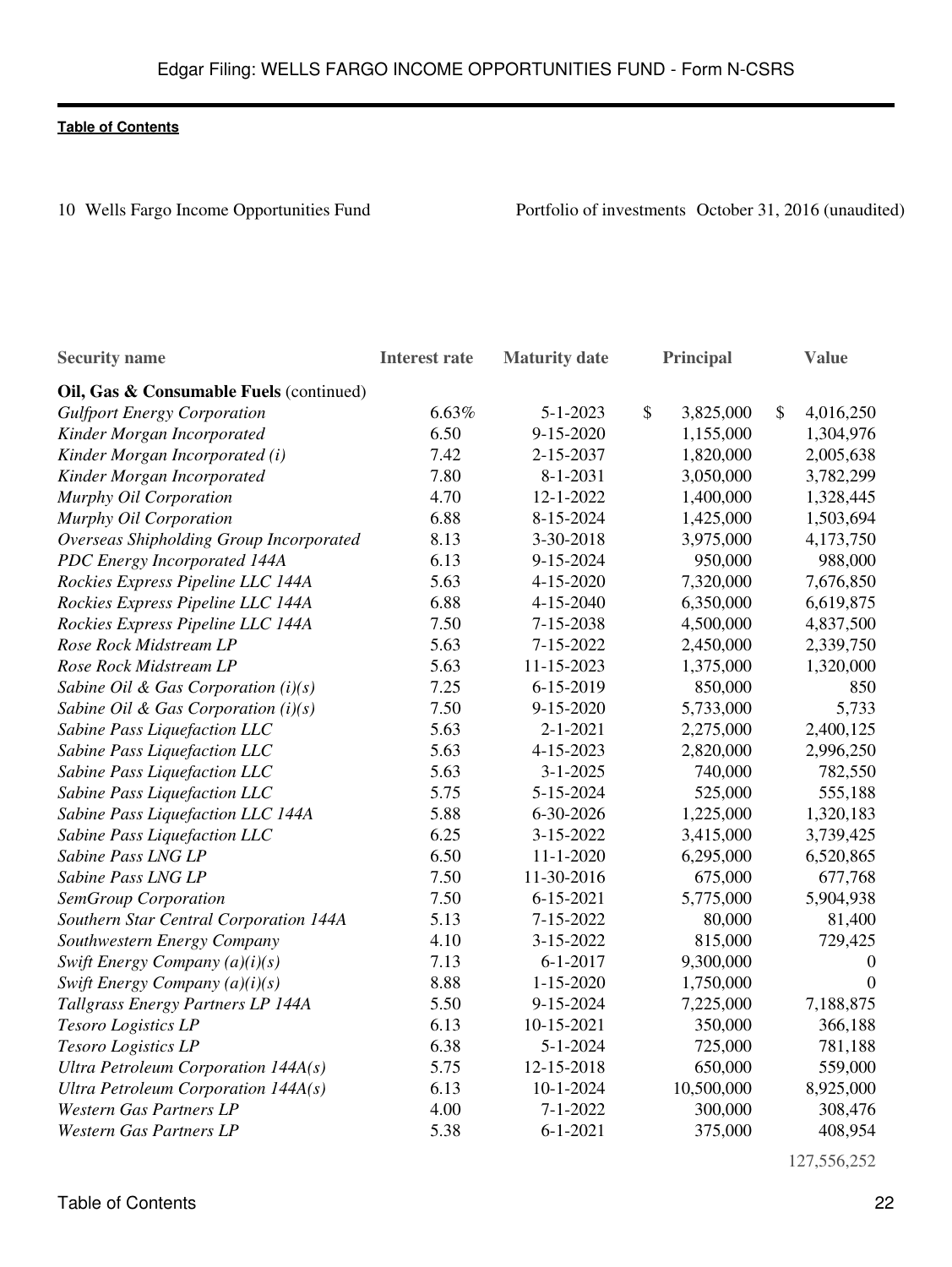10 Wells Fargo Income Opportunities Fund Portfolio of investments October 31, 2016 (unaudited)

| <b>Security name</b>                    | <b>Interest rate</b> | <b>Maturity date</b> | Principal       | <b>Value</b>     |
|-----------------------------------------|----------------------|----------------------|-----------------|------------------|
| Oil, Gas & Consumable Fuels (continued) |                      |                      |                 |                  |
| <b>Gulfport Energy Corporation</b>      | 6.63%                | $5 - 1 - 2023$       | \$<br>3,825,000 | \$<br>4,016,250  |
| Kinder Morgan Incorporated              | 6.50                 | 9-15-2020            | 1,155,000       | 1,304,976        |
| Kinder Morgan Incorporated (i)          | 7.42                 | 2-15-2037            | 1,820,000       | 2,005,638        |
| Kinder Morgan Incorporated              | 7.80                 | $8 - 1 - 2031$       | 3,050,000       | 3,782,299        |
| Murphy Oil Corporation                  | 4.70                 | 12-1-2022            | 1,400,000       | 1,328,445        |
| Murphy Oil Corporation                  | 6.88                 | 8-15-2024            | 1,425,000       | 1,503,694        |
| Overseas Shipholding Group Incorporated | 8.13                 | 3-30-2018            | 3,975,000       | 4,173,750        |
| PDC Energy Incorporated 144A            | 6.13                 | 9-15-2024            | 950,000         | 988,000          |
| Rockies Express Pipeline LLC 144A       | 5.63                 | 4-15-2020            | 7,320,000       | 7,676,850        |
| Rockies Express Pipeline LLC 144A       | 6.88                 | 4-15-2040            | 6,350,000       | 6,619,875        |
| Rockies Express Pipeline LLC 144A       | 7.50                 | 7-15-2038            | 4,500,000       | 4,837,500        |
| Rose Rock Midstream LP                  | 5.63                 | 7-15-2022            | 2,450,000       | 2,339,750        |
| Rose Rock Midstream LP                  | 5.63                 | 11-15-2023           | 1,375,000       | 1,320,000        |
| Sabine Oil & Gas Corporation $(i)(s)$   | 7.25                 | 6-15-2019            | 850,000         | 850              |
| Sabine Oil & Gas Corporation $(i)(s)$   | 7.50                 | 9-15-2020            | 5,733,000       | 5,733            |
| Sabine Pass Liquefaction LLC            | 5.63                 | $2 - 1 - 2021$       | 2,275,000       | 2,400,125        |
| Sabine Pass Liquefaction LLC            | 5.63                 | 4-15-2023            | 2,820,000       | 2,996,250        |
| Sabine Pass Liquefaction LLC            | 5.63                 | $3 - 1 - 2025$       | 740,000         | 782,550          |
| Sabine Pass Liquefaction LLC            | 5.75                 | 5-15-2024            | 525,000         | 555,188          |
| Sabine Pass Liquefaction LLC 144A       | 5.88                 | 6-30-2026            | 1,225,000       | 1,320,183        |
| Sabine Pass Liquefaction LLC            | 6.25                 | 3-15-2022            | 3,415,000       | 3,739,425        |
| Sabine Pass LNG LP                      | 6.50                 | $11 - 1 - 2020$      | 6,295,000       | 6,520,865        |
| Sabine Pass LNG LP                      | 7.50                 | 11-30-2016           | 675,000         | 677,768          |
| <b>SemGroup Corporation</b>             | 7.50                 | $6 - 15 - 2021$      | 5,775,000       | 5,904,938        |
| Southern Star Central Corporation 144A  | 5.13                 | 7-15-2022            | 80,000          | 81,400           |
| Southwestern Energy Company             | 4.10                 | 3-15-2022            | 815,000         | 729,425          |
| Swift Energy Company $(a)(i)(s)$        | 7.13                 | $6 - 1 - 2017$       | 9,300,000       | $\boldsymbol{0}$ |
| Swift Energy Company $(a)(i)(s)$        | 8.88                 | $1 - 15 - 2020$      | 1,750,000       | $\boldsymbol{0}$ |
| Tallgrass Energy Partners LP 144A       | 5.50                 | 9-15-2024            | 7,225,000       | 7,188,875        |
| Tesoro Logistics LP                     | 6.13                 | 10-15-2021           | 350,000         | 366,188          |
| Tesoro Logistics LP                     | 6.38                 | $5 - 1 - 2024$       | 725,000         | 781,188          |
| Ultra Petroleum Corporation 144A(s)     | 5.75                 | 12-15-2018           | 650,000         | 559,000          |
| Ultra Petroleum Corporation $144A(s)$   | 6.13                 | $10 - 1 - 2024$      | 10,500,000      | 8,925,000        |
| <b>Western Gas Partners LP</b>          | 4.00                 | $7 - 1 - 2022$       | 300,000         | 308,476          |
| <b>Western Gas Partners LP</b>          | 5.38                 | $6 - 1 - 2021$       | 375,000         | 408,954          |

127,556,252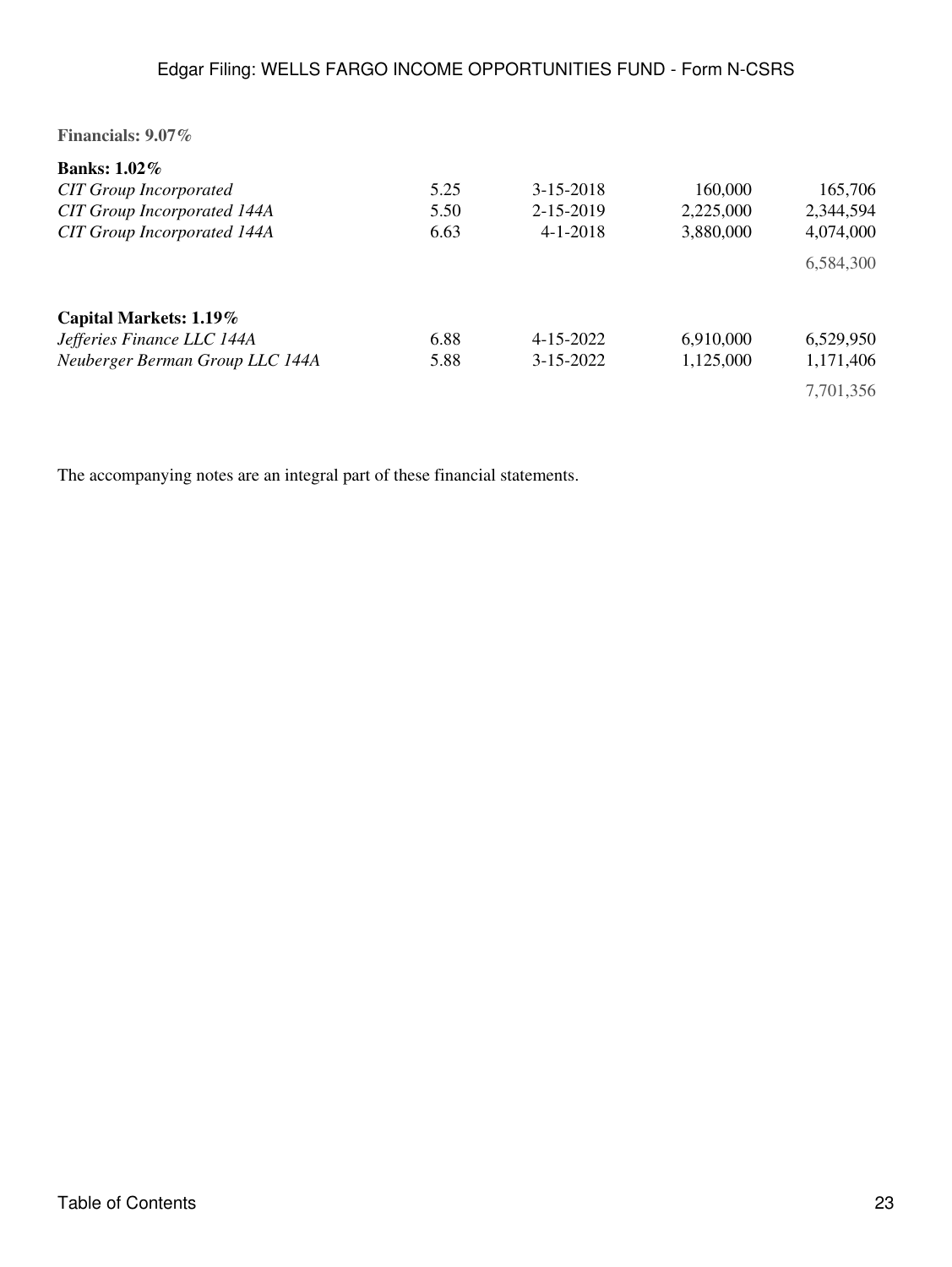| Financials: 9.07%                  |      |                 |           |           |
|------------------------------------|------|-----------------|-----------|-----------|
| Banks: $1.02\%$                    |      |                 |           |           |
| <b>CIT Group Incorporated</b>      | 5.25 | $3 - 15 - 2018$ | 160,000   | 165,706   |
| <b>CIT Group Incorporated 144A</b> | 5.50 | 2-15-2019       | 2,225,000 | 2,344,594 |
| <b>CIT Group Incorporated 144A</b> | 6.63 | $4 - 1 - 2018$  | 3,880,000 | 4,074,000 |
|                                    |      |                 |           | 6,584,300 |
| Capital Markets: 1.19%             |      |                 |           |           |
| Jefferies Finance LLC 144A         | 6.88 | $4 - 15 - 2022$ | 6,910,000 | 6,529,950 |
| Neuberger Berman Group LLC 144A    | 5.88 | $3 - 15 - 2022$ | 1,125,000 | 1,171,406 |
|                                    |      |                 |           | 7,701,356 |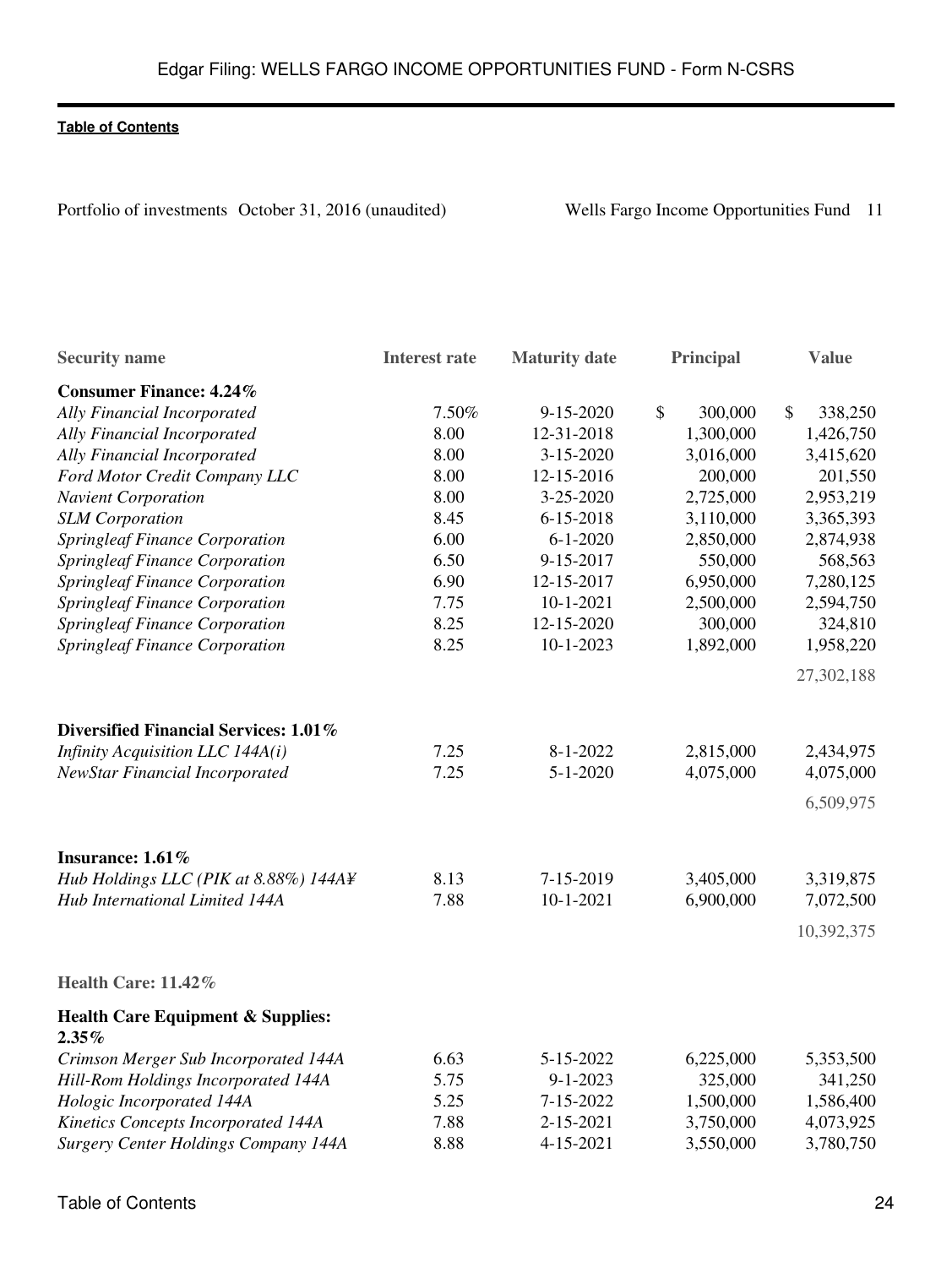Portfolio of investments October 31, 2016 (unaudited) Wells Fargo Income Opportunities Fund 11

| <b>Security name</b>                         | <b>Interest rate</b> | <b>Maturity</b> date | Principal     | <b>Value</b>  |
|----------------------------------------------|----------------------|----------------------|---------------|---------------|
| <b>Consumer Finance: 4.24%</b>               |                      |                      |               |               |
| Ally Financial Incorporated                  | 7.50%                | 9-15-2020            | \$<br>300,000 | \$<br>338,250 |
| Ally Financial Incorporated                  | 8.00                 | 12-31-2018           | 1,300,000     | 1,426,750     |
| Ally Financial Incorporated                  | 8.00                 | 3-15-2020            | 3,016,000     | 3,415,620     |
| Ford Motor Credit Company LLC                | 8.00                 | 12-15-2016           | 200,000       | 201,550       |
| <b>Navient Corporation</b>                   | 8.00                 | 3-25-2020            | 2,725,000     | 2,953,219     |
| <b>SLM</b> Corporation                       | 8.45                 | $6 - 15 - 2018$      | 3,110,000     | 3,365,393     |
| <b>Springleaf Finance Corporation</b>        | 6.00                 | $6 - 1 - 2020$       | 2,850,000     | 2,874,938     |
| <b>Springleaf Finance Corporation</b>        | 6.50                 | 9-15-2017            | 550,000       | 568,563       |
| <b>Springleaf Finance Corporation</b>        | 6.90                 | 12-15-2017           | 6,950,000     | 7,280,125     |
| <b>Springleaf Finance Corporation</b>        | 7.75                 | $10-1-2021$          | 2,500,000     | 2,594,750     |
| <b>Springleaf Finance Corporation</b>        | 8.25                 | 12-15-2020           | 300,000       | 324,810       |
| <b>Springleaf Finance Corporation</b>        | 8.25                 | $10 - 1 - 2023$      | 1,892,000     | 1,958,220     |
|                                              |                      |                      |               | 27,302,188    |
| Diversified Financial Services: 1.01%        |                      |                      |               |               |
| Infinity Acquisition LLC 144A(i)             | 7.25                 | $8 - 1 - 2022$       | 2,815,000     | 2,434,975     |
| <b>NewStar Financial Incorporated</b>        | 7.25                 | $5 - 1 - 2020$       | 4,075,000     | 4,075,000     |
|                                              |                      |                      |               | 6,509,975     |
| Insurance: 1.61%                             |                      |                      |               |               |
| Hub Holdings LLC (PIK at 8.88%) 144A¥        | 8.13                 | 7-15-2019            | 3,405,000     | 3,319,875     |
| Hub International Limited 144A               | 7.88                 | $10 - 1 - 2021$      | 6,900,000     | 7,072,500     |
|                                              |                      |                      |               | 10,392,375    |
| Health Care: 11.42%                          |                      |                      |               |               |
| <b>Health Care Equipment &amp; Supplies:</b> |                      |                      |               |               |
| $2.35\%$                                     |                      |                      |               |               |
| Crimson Merger Sub Incorporated 144A         | 6.63                 | 5-15-2022            | 6,225,000     | 5,353,500     |
| Hill-Rom Holdings Incorporated 144A          | 5.75                 | $9 - 1 - 2023$       | 325,000       | 341,250       |
| Hologic Incorporated 144A                    | 5.25                 | 7-15-2022            | 1,500,000     | 1,586,400     |
| Kinetics Concepts Incorporated 144A          | 7.88                 | 2-15-2021            | 3,750,000     | 4,073,925     |
| <b>Surgery Center Holdings Company 144A</b>  | 8.88                 | 4-15-2021            | 3,550,000     | 3,780,750     |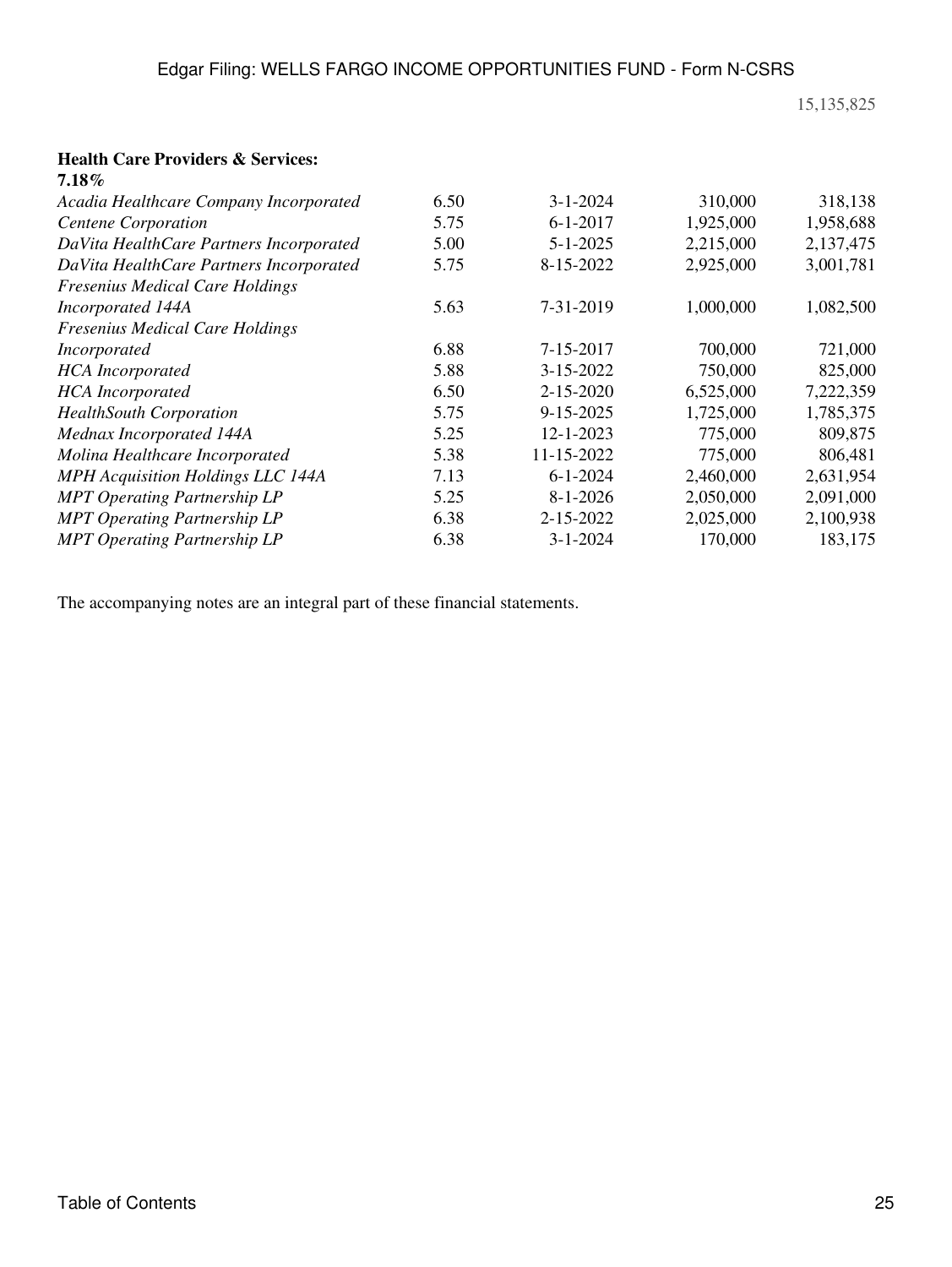### 15,135,825

#### **Health Care Providers & Services: 7.18%**

| $1.18\%$                                 |      |                 |           |           |
|------------------------------------------|------|-----------------|-----------|-----------|
| Acadia Healthcare Company Incorporated   | 6.50 | $3 - 1 - 2024$  | 310,000   | 318,138   |
| <b>Centene Corporation</b>               | 5.75 | $6 - 1 - 2017$  | 1,925,000 | 1,958,688 |
| DaVita HealthCare Partners Incorporated  | 5.00 | $5 - 1 - 2025$  | 2,215,000 | 2,137,475 |
| DaVita HealthCare Partners Incorporated  | 5.75 | 8-15-2022       | 2,925,000 | 3,001,781 |
| <b>Fresenius Medical Care Holdings</b>   |      |                 |           |           |
| Incorporated 144A                        | 5.63 | 7-31-2019       | 1,000,000 | 1,082,500 |
| <b>Fresenius Medical Care Holdings</b>   |      |                 |           |           |
| <i>Incorporated</i>                      | 6.88 | 7-15-2017       | 700,000   | 721,000   |
| <b>HCA</b> Incorporated                  | 5.88 | 3-15-2022       | 750,000   | 825,000   |
| <b>HCA</b> Incorporated                  | 6.50 | $2 - 15 - 2020$ | 6,525,000 | 7,222,359 |
| <b>HealthSouth Corporation</b>           | 5.75 | 9-15-2025       | 1,725,000 | 1,785,375 |
| Mednax Incorporated 144A                 | 5.25 | 12-1-2023       | 775,000   | 809,875   |
| Molina Healthcare Incorporated           | 5.38 | 11-15-2022      | 775,000   | 806,481   |
| <b>MPH</b> Acquisition Holdings LLC 144A | 7.13 | $6 - 1 - 2024$  | 2,460,000 | 2,631,954 |
| <b>MPT Operating Partnership LP</b>      | 5.25 | $8 - 1 - 2026$  | 2,050,000 | 2,091,000 |
| <b>MPT Operating Partnership LP</b>      | 6.38 | 2-15-2022       | 2,025,000 | 2,100,938 |
| <b>MPT</b> Operating Partnership LP      | 6.38 | $3 - 1 - 2024$  | 170,000   | 183,175   |
|                                          |      |                 |           |           |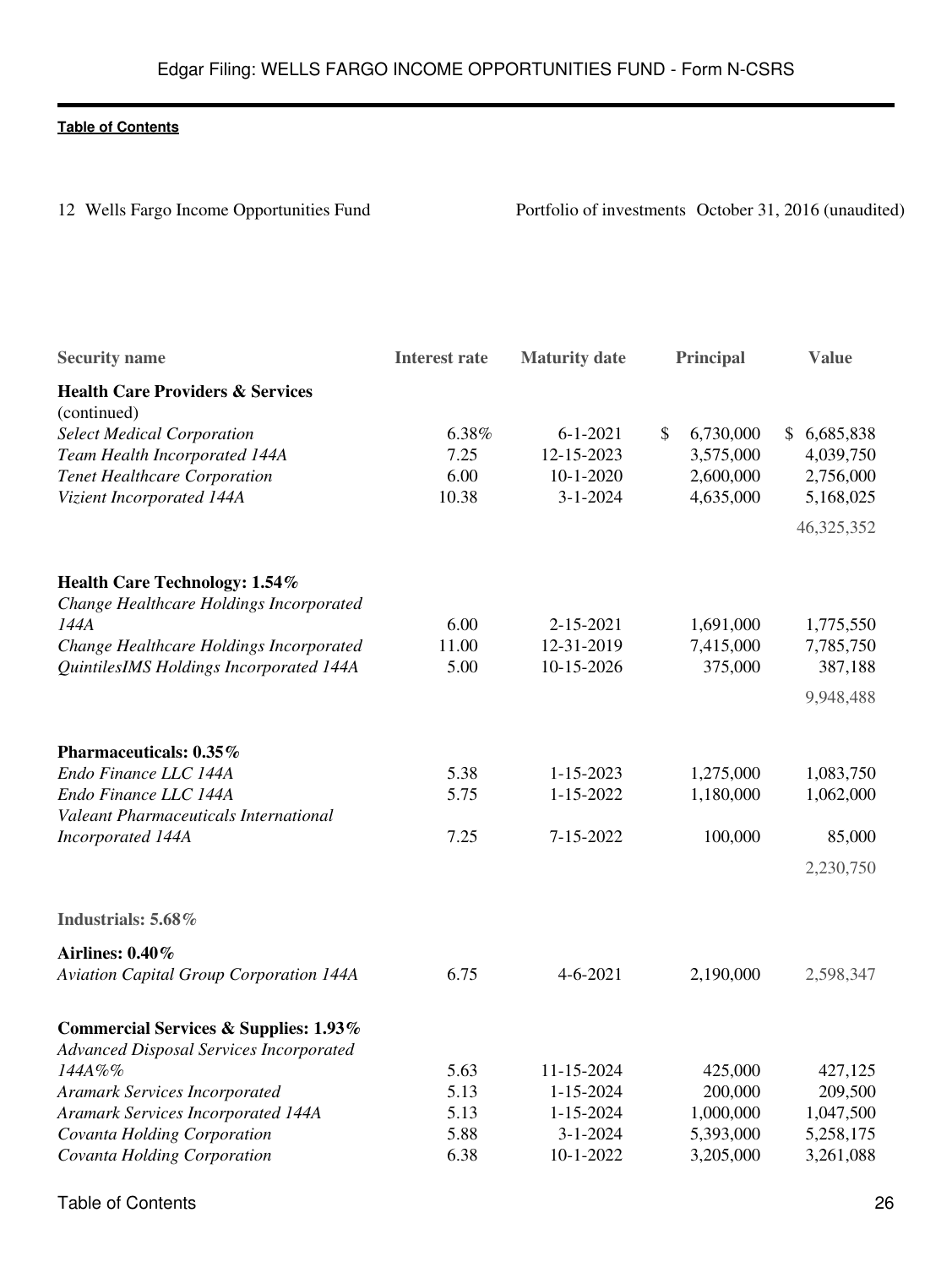| 26 |
|----|
|    |

12 Wells Fargo Income Opportunities Fund<br>
Portfolio of investments October 31, 2016 (unaudited)

|       |                                                                                |                                                                                                                                          | <b>Value</b>                                                                                               |
|-------|--------------------------------------------------------------------------------|------------------------------------------------------------------------------------------------------------------------------------------|------------------------------------------------------------------------------------------------------------|
|       |                                                                                |                                                                                                                                          |                                                                                                            |
|       |                                                                                |                                                                                                                                          |                                                                                                            |
|       |                                                                                |                                                                                                                                          | \$6,685,838                                                                                                |
|       |                                                                                |                                                                                                                                          | 4,039,750                                                                                                  |
|       |                                                                                |                                                                                                                                          | 2,756,000                                                                                                  |
|       |                                                                                |                                                                                                                                          | 5,168,025                                                                                                  |
|       |                                                                                |                                                                                                                                          | 46,325,352                                                                                                 |
|       |                                                                                |                                                                                                                                          |                                                                                                            |
|       |                                                                                |                                                                                                                                          |                                                                                                            |
| 6.00  | 2-15-2021                                                                      |                                                                                                                                          | 1,775,550                                                                                                  |
| 11.00 | 12-31-2019                                                                     | 7,415,000                                                                                                                                | 7,785,750                                                                                                  |
| 5.00  | 10-15-2026                                                                     | 375,000                                                                                                                                  | 387,188                                                                                                    |
|       |                                                                                |                                                                                                                                          | 9,948,488                                                                                                  |
|       |                                                                                |                                                                                                                                          |                                                                                                            |
|       |                                                                                |                                                                                                                                          | 1,083,750                                                                                                  |
|       |                                                                                |                                                                                                                                          | 1,062,000                                                                                                  |
|       |                                                                                |                                                                                                                                          |                                                                                                            |
| 7.25  | 7-15-2022                                                                      | 100,000                                                                                                                                  | 85,000                                                                                                     |
|       |                                                                                |                                                                                                                                          | 2,230,750                                                                                                  |
|       |                                                                                |                                                                                                                                          |                                                                                                            |
|       |                                                                                |                                                                                                                                          |                                                                                                            |
|       |                                                                                |                                                                                                                                          |                                                                                                            |
| 6.75  | $4 - 6 - 2021$                                                                 | 2,190,000                                                                                                                                | 2,598,347                                                                                                  |
|       |                                                                                |                                                                                                                                          |                                                                                                            |
|       |                                                                                |                                                                                                                                          |                                                                                                            |
| 5.63  | 11-15-2024                                                                     | 425,000                                                                                                                                  | 427,125                                                                                                    |
| 5.13  | 1-15-2024                                                                      | 200,000                                                                                                                                  | 209,500                                                                                                    |
| 5.13  | $1 - 15 - 2024$                                                                | 1,000,000                                                                                                                                | 1,047,500                                                                                                  |
| 5.88  | $3 - 1 - 2024$                                                                 | 5,393,000                                                                                                                                | 5,258,175                                                                                                  |
|       |                                                                                | 3,205,000                                                                                                                                | 3,261,088                                                                                                  |
|       | <b>Interest rate</b><br>6.38%<br>7.25<br>6.00<br>10.38<br>5.38<br>5.75<br>6.38 | <b>Maturity date</b><br>$6 - 1 - 2021$<br>12-15-2023<br>$10-1-2020$<br>$3 - 1 - 2024$<br>$1 - 15 - 2023$<br>$1 - 15 - 2022$<br>10-1-2022 | Principal<br>\$<br>6,730,000<br>3,575,000<br>2,600,000<br>4,635,000<br>1,691,000<br>1,275,000<br>1,180,000 |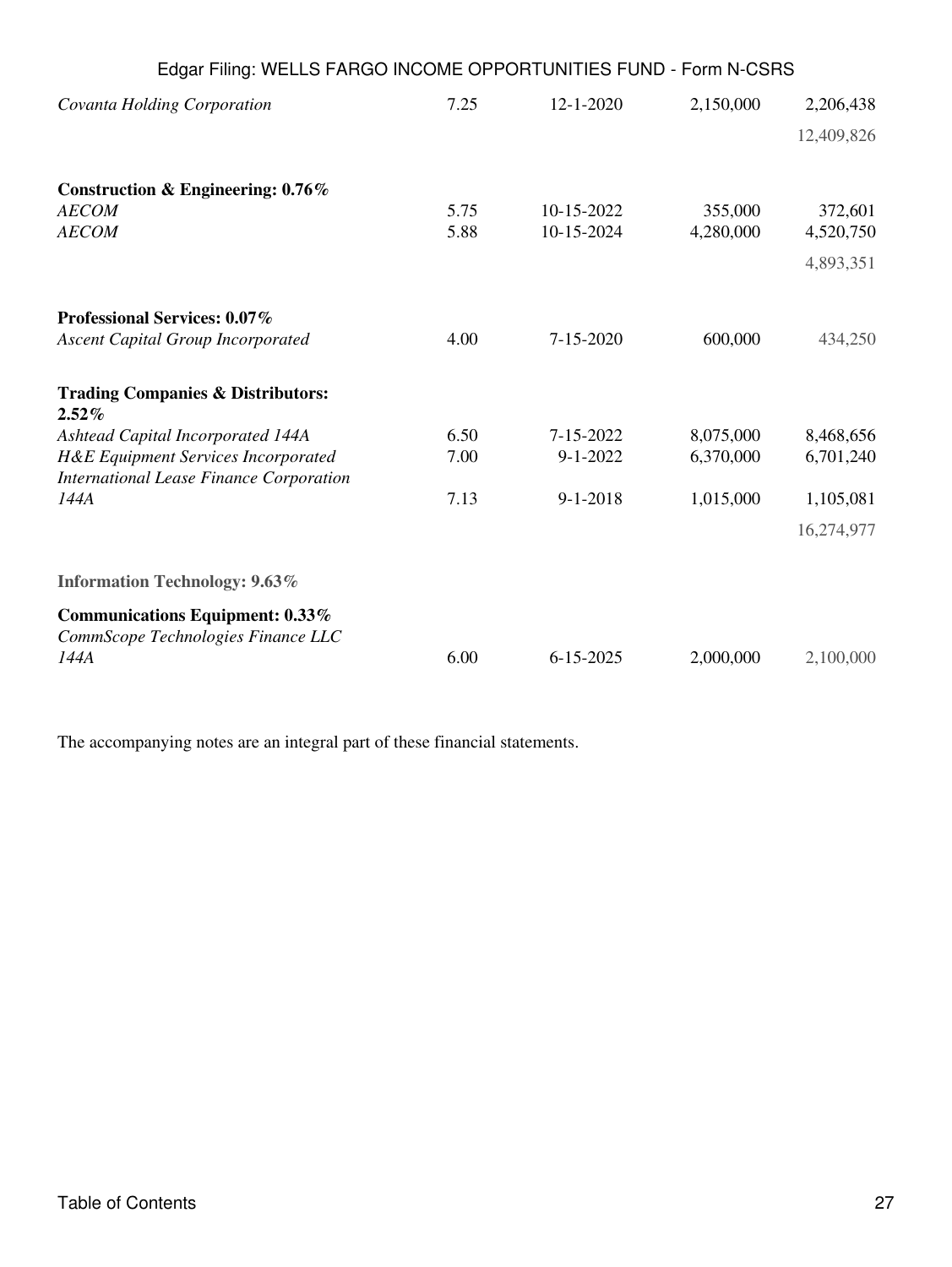| Edgar Filing: WELLS FARGO INCOME OPPORTUNITIES FUND - Form N-CSRS                                |              |                          |                      |                      |
|--------------------------------------------------------------------------------------------------|--------------|--------------------------|----------------------|----------------------|
| Covanta Holding Corporation                                                                      | 7.25         | $12 - 1 - 2020$          | 2,150,000            | 2,206,438            |
|                                                                                                  |              |                          |                      | 12,409,826           |
| Construction & Engineering: 0.76%                                                                |              |                          |                      |                      |
| <b>AECOM</b><br><b>AECOM</b>                                                                     | 5.75<br>5.88 | 10-15-2022<br>10-15-2024 | 355,000<br>4,280,000 | 372,601<br>4,520,750 |
|                                                                                                  |              |                          |                      | 4,893,351            |
| Professional Services: 0.07%                                                                     |              |                          |                      |                      |
| <b>Ascent Capital Group Incorporated</b>                                                         | 4.00         | $7 - 15 - 2020$          | 600,000              | 434,250              |
| <b>Trading Companies &amp; Distributors:</b><br>$2.52\%$                                         |              |                          |                      |                      |
| Ashtead Capital Incorporated 144A                                                                | 6.50         | 7-15-2022                | 8,075,000            | 8,468,656            |
| <b>H&amp;E Equipment Services Incorporated</b><br><b>International Lease Finance Corporation</b> | 7.00         | $9 - 1 - 2022$           | 6,370,000            | 6,701,240            |
| 144A                                                                                             | 7.13         | $9 - 1 - 2018$           | 1,015,000            | 1,105,081            |
|                                                                                                  |              |                          |                      | 16,274,977           |
| <b>Information Technology: 9.63%</b>                                                             |              |                          |                      |                      |
| Communications Equipment: 0.33%<br>CommScope Technologies Finance LLC                            |              |                          |                      |                      |
| 144A                                                                                             | 6.00         | $6 - 15 - 2025$          | 2,000,000            | 2,100,000            |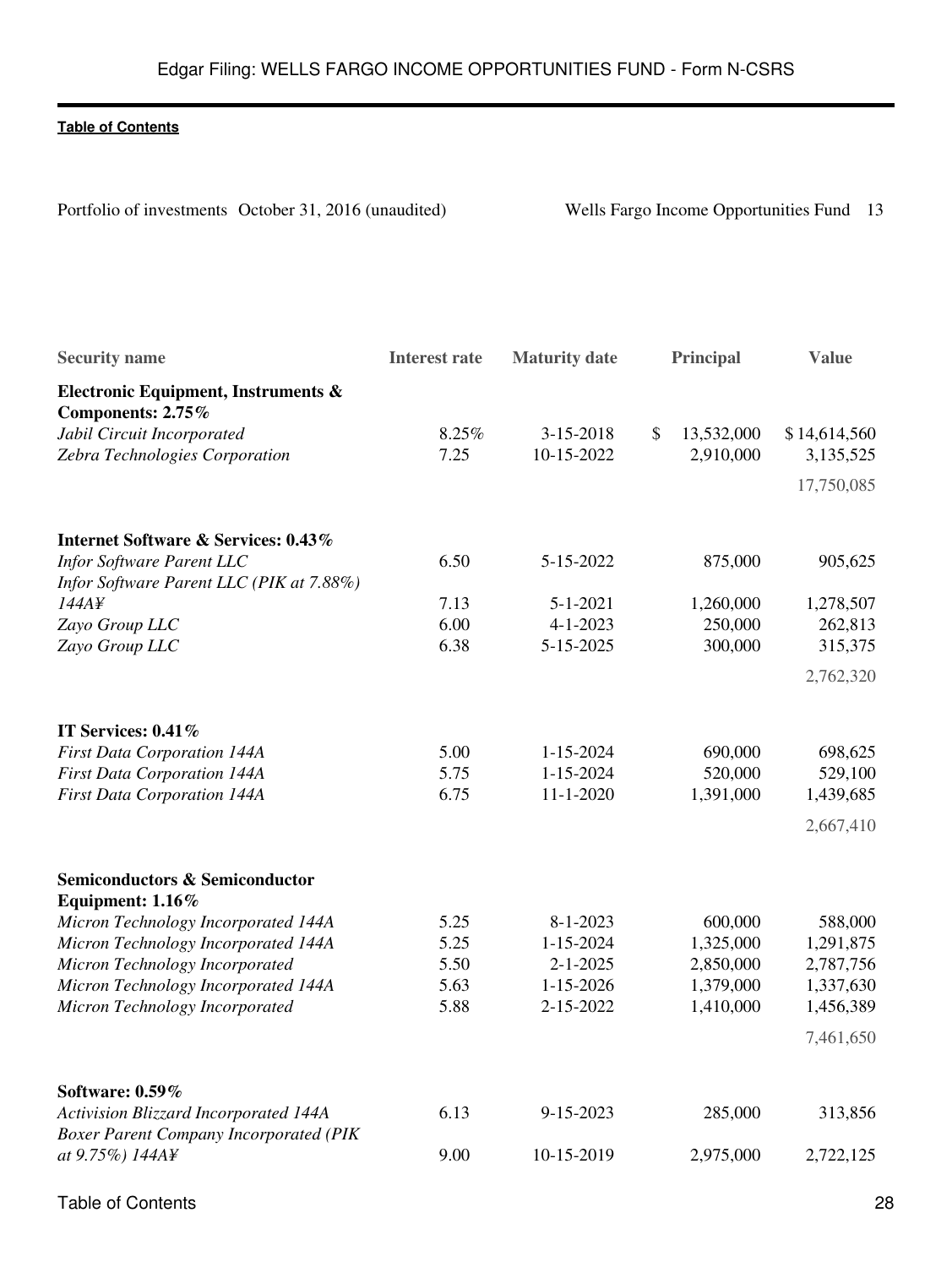Portfolio of investments October 31, 2016 (unaudited) Wells Fargo Income Opportunities Fund 13

| <b>Security name</b>                                                                   | <b>Interest rate</b> | <b>Maturity</b> date | Principal                   | <b>Value</b> |
|----------------------------------------------------------------------------------------|----------------------|----------------------|-----------------------------|--------------|
| Electronic Equipment, Instruments &<br>Components: 2.75%                               |                      |                      |                             |              |
| Jabil Circuit Incorporated                                                             | 8.25%                | 3-15-2018            | $\mathcal{S}$<br>13,532,000 | \$14,614,560 |
| Zebra Technologies Corporation                                                         | 7.25                 | 10-15-2022           | 2,910,000                   | 3,135,525    |
|                                                                                        |                      |                      |                             | 17,750,085   |
| Internet Software & Services: 0.43%                                                    |                      |                      |                             |              |
| <b>Infor Software Parent LLC</b>                                                       | 6.50                 | 5-15-2022            | 875,000                     | 905,625      |
| Infor Software Parent LLC (PIK at 7.88%)                                               |                      |                      |                             |              |
| 144A¥                                                                                  | 7.13                 | $5 - 1 - 2021$       | 1,260,000                   | 1,278,507    |
| Zayo Group LLC                                                                         | 6.00                 | $4 - 1 - 2023$       | 250,000                     | 262,813      |
| Zayo Group LLC                                                                         | 6.38                 | 5-15-2025            | 300,000                     | 315,375      |
|                                                                                        |                      |                      |                             | 2,762,320    |
| IT Services: 0.41%                                                                     |                      |                      |                             |              |
| <b>First Data Corporation 144A</b>                                                     | 5.00                 | 1-15-2024            | 690,000                     | 698,625      |
| <b>First Data Corporation 144A</b>                                                     | 5.75                 | $1 - 15 - 2024$      | 520,000                     | 529,100      |
| <b>First Data Corporation 144A</b>                                                     | 6.75                 | $11 - 1 - 2020$      | 1,391,000                   | 1,439,685    |
|                                                                                        |                      |                      |                             | 2,667,410    |
| <b>Semiconductors &amp; Semiconductor</b><br>Equipment: 1.16%                          |                      |                      |                             |              |
| Micron Technology Incorporated 144A                                                    | 5.25                 | $8 - 1 - 2023$       | 600,000                     | 588,000      |
| Micron Technology Incorporated 144A                                                    | 5.25                 | $1 - 15 - 2024$      | 1,325,000                   | 1,291,875    |
| Micron Technology Incorporated                                                         | 5.50                 | $2 - 1 - 2025$       | 2,850,000                   | 2,787,756    |
| Micron Technology Incorporated 144A                                                    | 5.63                 | $1 - 15 - 2026$      | 1,379,000                   | 1,337,630    |
| Micron Technology Incorporated                                                         | 5.88                 | 2-15-2022            | 1,410,000                   | 1,456,389    |
|                                                                                        |                      |                      |                             | 7,461,650    |
| Software: 0.59%                                                                        |                      |                      |                             |              |
| Activision Blizzard Incorporated 144A<br><b>Boxer Parent Company Incorporated (PIK</b> | 6.13                 | 9-15-2023            | 285,000                     | 313,856      |
| at 9.75%) 144A¥                                                                        | 9.00                 | 10-15-2019           | 2,975,000                   | 2,722,125    |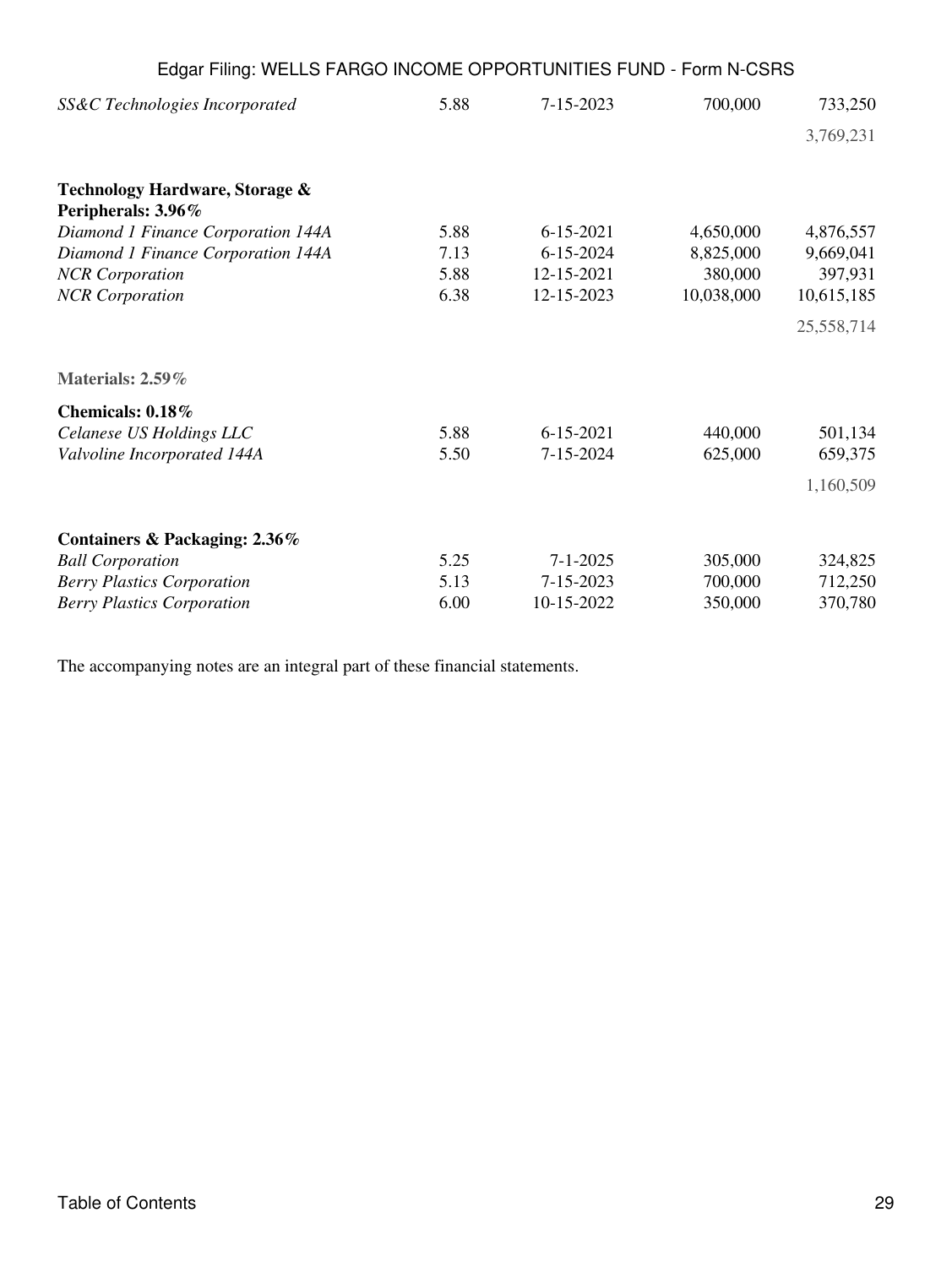| Edgar Filing: WELLS FARGO INCOME OPPORTUNITIES FUND - Form N-CSRS |      |                 |            |            |
|-------------------------------------------------------------------|------|-----------------|------------|------------|
| SS&C Technologies Incorporated                                    | 5.88 | $7 - 15 - 2023$ | 700,000    | 733,250    |
|                                                                   |      |                 |            | 3,769,231  |
| Technology Hardware, Storage &<br>Peripherals: 3.96%              |      |                 |            |            |
| Diamond 1 Finance Corporation 144A                                | 5.88 | $6 - 15 - 2021$ | 4,650,000  | 4,876,557  |
| Diamond 1 Finance Corporation 144A                                | 7.13 | $6 - 15 - 2024$ | 8,825,000  | 9,669,041  |
| <b>NCR</b> Corporation                                            | 5.88 | 12-15-2021      | 380,000    | 397,931    |
| <b>NCR</b> Corporation                                            | 6.38 | 12-15-2023      | 10,038,000 | 10,615,185 |
|                                                                   |      |                 |            | 25,558,714 |
| Materials: 2.59%                                                  |      |                 |            |            |
| Chemicals: 0.18%                                                  |      |                 |            |            |
| Celanese US Holdings LLC                                          | 5.88 | $6 - 15 - 2021$ | 440,000    | 501,134    |
| Valvoline Incorporated 144A                                       | 5.50 | 7-15-2024       | 625,000    | 659,375    |
|                                                                   |      |                 |            | 1,160,509  |
| Containers & Packaging: 2.36%                                     |      |                 |            |            |
| <b>Ball Corporation</b>                                           | 5.25 | $7 - 1 - 2025$  | 305,000    | 324,825    |
| <b>Berry Plastics Corporation</b>                                 | 5.13 | 7-15-2023       | 700,000    | 712,250    |
| <b>Berry Plastics Corporation</b>                                 | 6.00 | 10-15-2022      | 350,000    | 370,780    |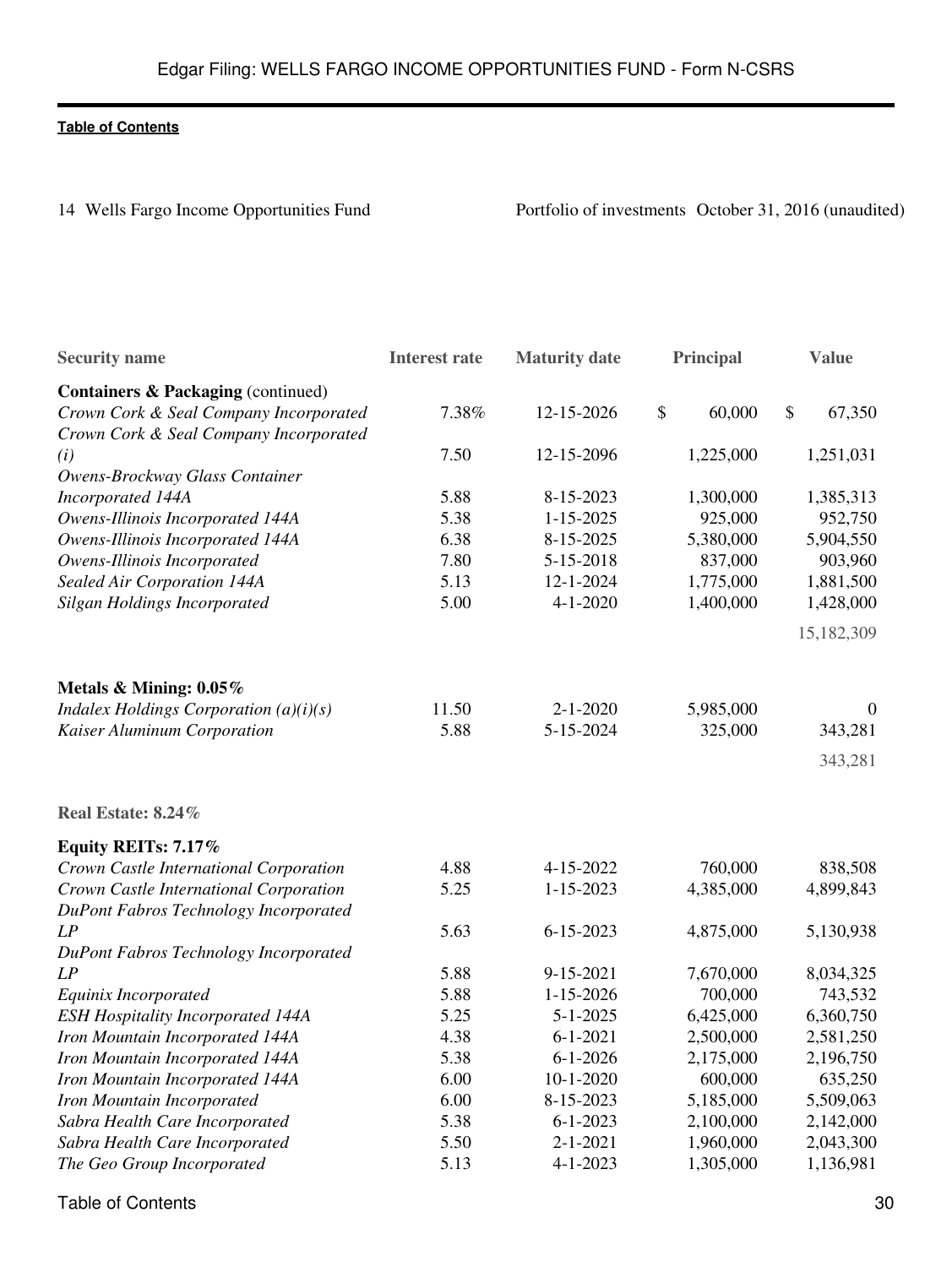14 Wells Fargo Income Opportunities Fund<br>
Portfolio of investments October 31, 2016 (unaudited)

| <b>Security name</b>                                                             | <b>Interest rate</b> | <b>Maturity date</b> | Principal    | <b>Value</b>   |
|----------------------------------------------------------------------------------|----------------------|----------------------|--------------|----------------|
| Containers & Packaging (continued)                                               |                      |                      |              |                |
| Crown Cork & Seal Company Incorporated<br>Crown Cork & Seal Company Incorporated | 7.38%                | 12-15-2026           | \$<br>60,000 | \$<br>67,350   |
| (i)<br>Owens-Brockway Glass Container                                            | 7.50                 | 12-15-2096           | 1,225,000    | 1,251,031      |
| Incorporated 144A                                                                | 5.88                 | 8-15-2023            | 1,300,000    | 1,385,313      |
| Owens-Illinois Incorporated 144A                                                 | 5.38                 | $1 - 15 - 2025$      | 925,000      | 952,750        |
| Owens-Illinois Incorporated 144A                                                 | 6.38                 | 8-15-2025            | 5,380,000    | 5,904,550      |
| Owens-Illinois Incorporated                                                      | 7.80                 | 5-15-2018            | 837,000      | 903,960        |
| Sealed Air Corporation 144A                                                      | 5.13                 | $12 - 1 - 2024$      | 1,775,000    | 1,881,500      |
| Silgan Holdings Incorporated                                                     | 5.00                 | $4 - 1 - 2020$       | 1,400,000    | 1,428,000      |
|                                                                                  |                      |                      |              | 15,182,309     |
| Metals & Mining: 0.05%                                                           |                      |                      |              |                |
| Indalex Holdings Corporation $(a)(i)(s)$                                         | 11.50                | $2 - 1 - 2020$       | 5,985,000    | $\overline{0}$ |
| Kaiser Aluminum Corporation                                                      | 5.88                 | 5-15-2024            | 325,000      | 343,281        |
|                                                                                  |                      |                      |              | 343,281        |
| Real Estate: 8.24%                                                               |                      |                      |              |                |
| Equity REITs: 7.17%                                                              |                      |                      |              |                |
| Crown Castle International Corporation                                           | 4.88                 | 4-15-2022            | 760,000      | 838,508        |
| Crown Castle International Corporation                                           | 5.25                 | $1 - 15 - 2023$      | 4,385,000    | 4,899,843      |
| DuPont Fabros Technology Incorporated                                            |                      |                      |              |                |
| LP                                                                               | 5.63                 | $6 - 15 - 2023$      | 4,875,000    | 5,130,938      |
| DuPont Fabros Technology Incorporated                                            |                      |                      |              |                |
| LP                                                                               | 5.88                 | 9-15-2021            | 7,670,000    | 8,034,325      |
| Equinix Incorporated                                                             | 5.88                 | $1 - 15 - 2026$      | 700,000      | 743,532        |
| <b>ESH Hospitality Incorporated 144A</b>                                         | 5.25                 | $5 - 1 - 2025$       | 6,425,000    | 6,360,750      |
| Iron Mountain Incorporated 144A                                                  | 4.38                 | $6 - 1 - 2021$       | 2,500,000    | 2,581,250      |
| Iron Mountain Incorporated 144A                                                  | 5.38                 | $6 - 1 - 2026$       | 2,175,000    | 2,196,750      |
| Iron Mountain Incorporated 144A                                                  | 6.00                 | $10-1-2020$          | 600,000      | 635,250        |
| Iron Mountain Incorporated                                                       | 6.00                 | 8-15-2023            | 5,185,000    | 5,509,063      |
| Sabra Health Care Incorporated                                                   | 5.38                 | $6 - 1 - 2023$       | 2,100,000    | 2,142,000      |
| Sabra Health Care Incorporated                                                   | 5.50                 | $2 - 1 - 2021$       | 1,960,000    | 2,043,300      |
| The Geo Group Incorporated                                                       | 5.13                 | $4 - 1 - 2023$       | 1,305,000    | 1,136,981      |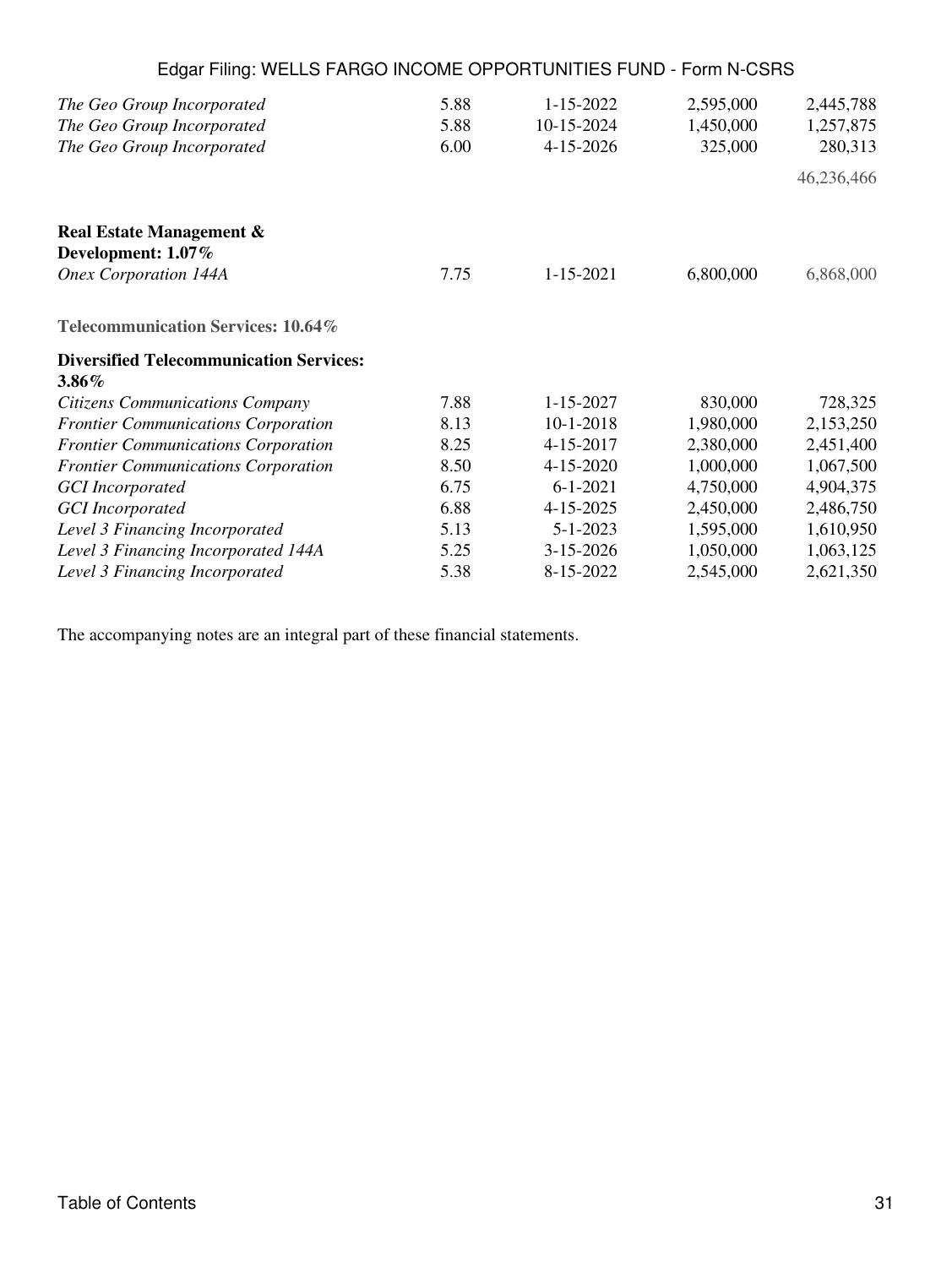| Edgar Filing: WELLS FARGO INCOME OPPORTUNITIES FUND - Form N-CSRS |      |                 |           |            |
|-------------------------------------------------------------------|------|-----------------|-----------|------------|
| The Geo Group Incorporated                                        | 5.88 | $1 - 15 - 2022$ | 2,595,000 | 2,445,788  |
| The Geo Group Incorporated                                        | 5.88 | 10-15-2024      | 1,450,000 | 1,257,875  |
| The Geo Group Incorporated                                        | 6.00 | 4-15-2026       | 325,000   | 280,313    |
|                                                                   |      |                 |           | 46,236,466 |
| <b>Real Estate Management &amp;</b>                               |      |                 |           |            |
| Development: 1.07%                                                |      |                 |           |            |
| <b>Onex Corporation 144A</b>                                      | 7.75 | $1 - 15 - 2021$ | 6,800,000 | 6,868,000  |
| Telecommunication Services: 10.64%                                |      |                 |           |            |
| <b>Diversified Telecommunication Services:</b>                    |      |                 |           |            |
| $3.86\%$                                                          |      |                 |           |            |
| <b>Citizens Communications Company</b>                            | 7.88 | $1 - 15 - 2027$ | 830,000   | 728,325    |
| <b>Frontier Communications Corporation</b>                        | 8.13 | $10-1-2018$     | 1,980,000 | 2,153,250  |
| <b>Frontier Communications Corporation</b>                        | 8.25 | 4-15-2017       | 2,380,000 | 2,451,400  |
| <b>Frontier Communications Corporation</b>                        | 8.50 | 4-15-2020       | 1,000,000 | 1,067,500  |
| <b>GCI</b> Incorporated                                           | 6.75 | $6 - 1 - 2021$  | 4,750,000 | 4,904,375  |
| <b>GCI</b> Incorporated                                           | 6.88 | 4-15-2025       | 2,450,000 | 2,486,750  |
| Level 3 Financing Incorporated                                    | 5.13 | $5 - 1 - 2023$  | 1,595,000 | 1,610,950  |
| Level 3 Financing Incorporated 144A                               | 5.25 | $3 - 15 - 2026$ | 1,050,000 | 1,063,125  |
| Level 3 Financing Incorporated                                    | 5.38 | 8-15-2022       | 2,545,000 | 2,621,350  |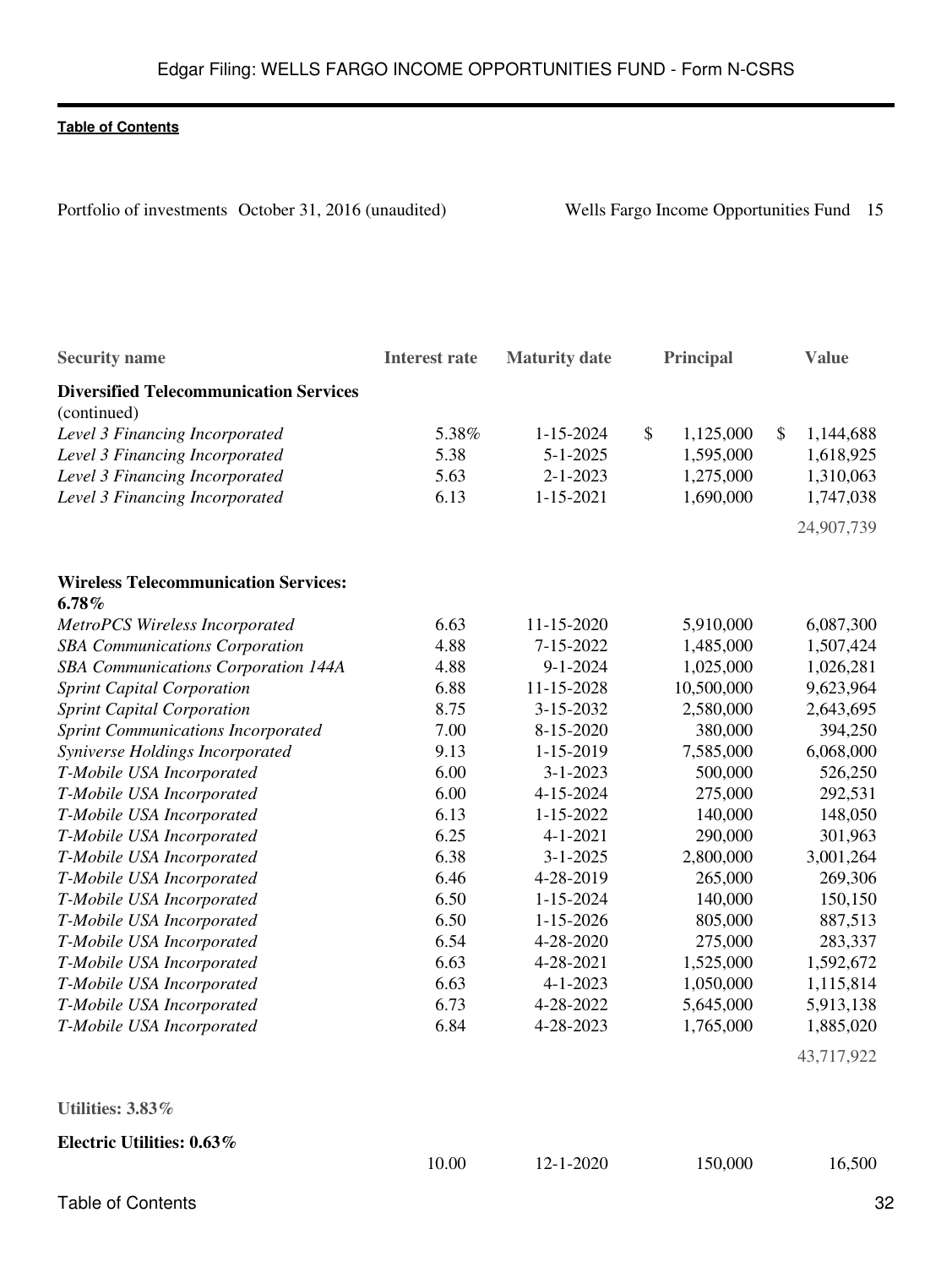Portfolio of investments October 31, 2016 (unaudited) Wells Fargo Income Opportunities Fund 15

| <b>Security name</b>                                         | <b>Interest rate</b> | <b>Maturity</b> date |                           | Principal  | <b>Value</b>    |
|--------------------------------------------------------------|----------------------|----------------------|---------------------------|------------|-----------------|
| <b>Diversified Telecommunication Services</b><br>(continued) |                      |                      |                           |            |                 |
| Level 3 Financing Incorporated                               | 5.38%                | $1 - 15 - 2024$      | $\boldsymbol{\mathsf{S}}$ | 1,125,000  | \$<br>1,144,688 |
| Level 3 Financing Incorporated                               | 5.38                 | $5 - 1 - 2025$       |                           | 1,595,000  | 1,618,925       |
| Level 3 Financing Incorporated                               | 5.63                 | $2 - 1 - 2023$       |                           | 1,275,000  | 1,310,063       |
| Level 3 Financing Incorporated                               | 6.13                 | $1 - 15 - 2021$      |                           | 1,690,000  | 1,747,038       |
|                                                              |                      |                      |                           |            | 24,907,739      |
| <b>Wireless Telecommunication Services:</b>                  |                      |                      |                           |            |                 |
| 6.78%                                                        |                      |                      |                           |            |                 |
| MetroPCS Wireless Incorporated                               | 6.63                 | 11-15-2020           |                           | 5,910,000  | 6,087,300       |
| <b>SBA Communications Corporation</b>                        | 4.88                 | 7-15-2022            |                           | 1,485,000  | 1,507,424       |
| SBA Communications Corporation 144A                          | 4.88                 | $9 - 1 - 2024$       |                           | 1,025,000  | 1,026,281       |
| <b>Sprint Capital Corporation</b>                            | 6.88                 | 11-15-2028           |                           | 10,500,000 | 9,623,964       |
| <b>Sprint Capital Corporation</b>                            | 8.75                 | 3-15-2032            |                           | 2,580,000  | 2,643,695       |
| <b>Sprint Communications Incorporated</b>                    | 7.00                 | 8-15-2020            |                           | 380,000    | 394,250         |
| Syniverse Holdings Incorporated                              | 9.13                 | 1-15-2019            |                           | 7,585,000  | 6,068,000       |
| T-Mobile USA Incorporated                                    | 6.00                 | $3 - 1 - 2023$       |                           | 500,000    | 526,250         |
| T-Mobile USA Incorporated                                    | 6.00                 | 4-15-2024            |                           | 275,000    | 292,531         |
| T-Mobile USA Incorporated                                    | 6.13                 | $1 - 15 - 2022$      |                           | 140,000    | 148,050         |
| T-Mobile USA Incorporated                                    | 6.25                 | $4 - 1 - 2021$       |                           | 290,000    | 301,963         |
| T-Mobile USA Incorporated                                    | 6.38                 | $3 - 1 - 2025$       |                           | 2,800,000  | 3,001,264       |
| T-Mobile USA Incorporated                                    | 6.46                 | 4-28-2019            |                           | 265,000    | 269,306         |
| T-Mobile USA Incorporated                                    | 6.50                 | $1 - 15 - 2024$      |                           | 140,000    | 150,150         |
| T-Mobile USA Incorporated                                    | 6.50                 | $1 - 15 - 2026$      |                           | 805,000    | 887,513         |
| T-Mobile USA Incorporated                                    | 6.54                 | 4-28-2020            |                           | 275,000    | 283,337         |
| T-Mobile USA Incorporated                                    | 6.63                 | 4-28-2021            |                           | 1,525,000  | 1,592,672       |
| T-Mobile USA Incorporated                                    | 6.63                 | $4 - 1 - 2023$       |                           | 1,050,000  | 1,115,814       |
| T-Mobile USA Incorporated                                    | 6.73                 | 4-28-2022            |                           | 5,645,000  | 5,913,138       |
| T-Mobile USA Incorporated                                    | 6.84                 | 4-28-2023            |                           | 1,765,000  | 1,885,020       |
|                                                              |                      |                      |                           |            | 43,717,922      |

| .0 <i>3 %</i> |       |                 |         |        |
|---------------|-------|-----------------|---------|--------|
|               | 10.00 | $12 - 1 - 2020$ | 150,000 | 16,500 |
|               |       |                 |         |        |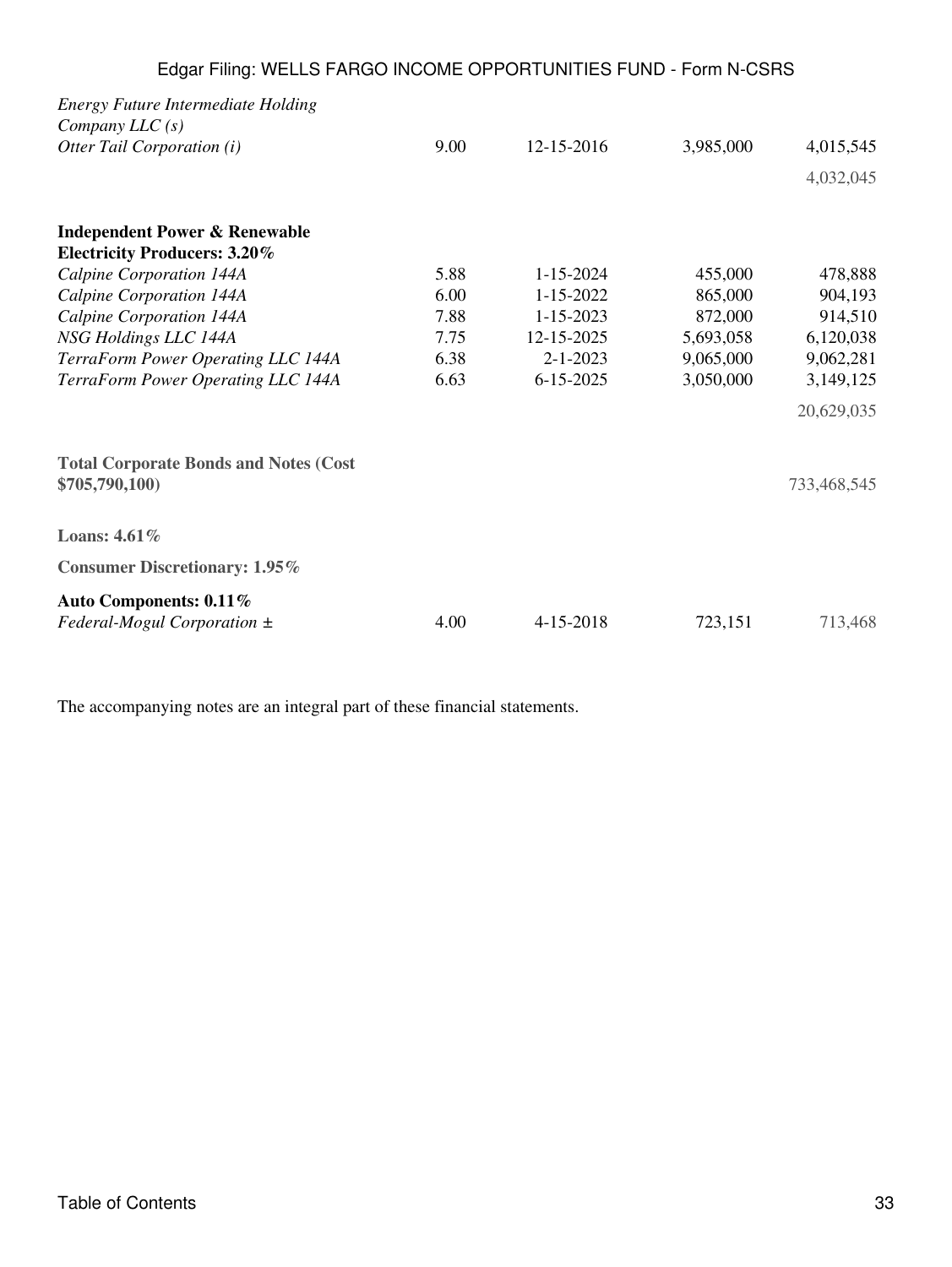| <b>Energy Future Intermediate Holding</b>    |      |                 |           |             |
|----------------------------------------------|------|-----------------|-----------|-------------|
| Company $LLC(s)$                             |      |                 |           |             |
| Otter Tail Corporation (i)                   | 9.00 | 12-15-2016      | 3,985,000 | 4,015,545   |
|                                              |      |                 |           | 4,032,045   |
| <b>Independent Power &amp; Renewable</b>     |      |                 |           |             |
| <b>Electricity Producers: 3.20%</b>          |      |                 |           |             |
| Calpine Corporation 144A                     | 5.88 | $1 - 15 - 2024$ | 455,000   | 478,888     |
| Calpine Corporation 144A                     | 6.00 | $1 - 15 - 2022$ | 865,000   | 904,193     |
| Calpine Corporation 144A                     | 7.88 | $1 - 15 - 2023$ | 872,000   | 914,510     |
| NSG Holdings LLC 144A                        | 7.75 | 12-15-2025      | 5,693,058 | 6,120,038   |
| TerraForm Power Operating LLC 144A           | 6.38 | $2 - 1 - 2023$  | 9,065,000 | 9,062,281   |
| TerraForm Power Operating LLC 144A           | 6.63 | $6 - 15 - 2025$ | 3,050,000 | 3,149,125   |
|                                              |      |                 |           | 20,629,035  |
| <b>Total Corporate Bonds and Notes (Cost</b> |      |                 |           |             |
| \$705,790,100)                               |      |                 |           | 733,468,545 |
| Loans: 4.61%                                 |      |                 |           |             |
| <b>Consumer Discretionary: 1.95%</b>         |      |                 |           |             |
| Auto Components: 0.11%                       |      |                 |           |             |
| Federal-Mogul Corporation $\pm$              | 4.00 | 4-15-2018       | 723,151   | 713,468     |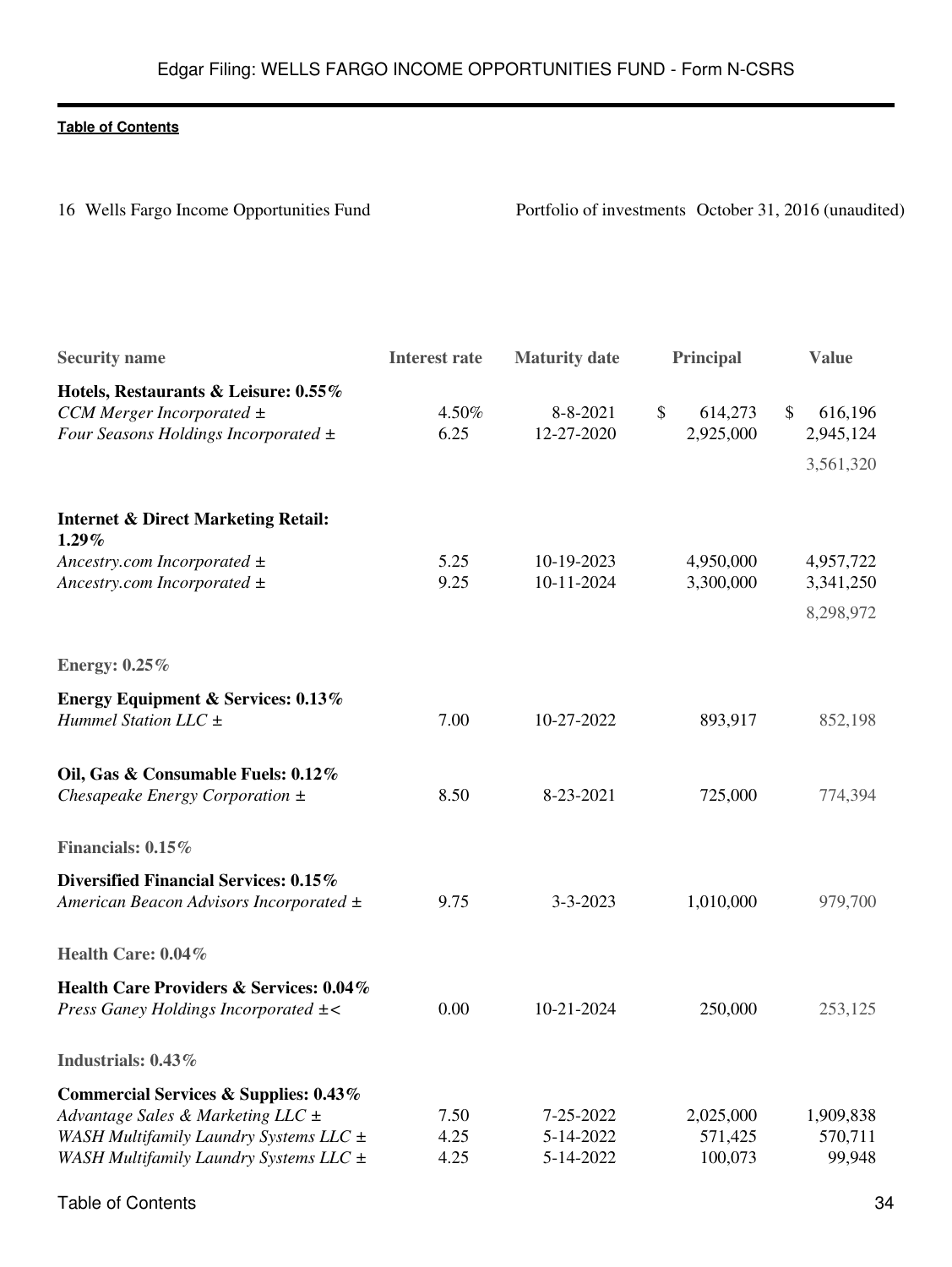16 Wells Fargo Income Opportunities Fund<br>
Portfolio of investments October 31, 2016 (unaudited)

| <b>Security name</b>                                                                                                                                                          | <b>Interest rate</b> | <b>Maturity date</b>                | <b>Principal</b>                | <b>Value</b>                            |
|-------------------------------------------------------------------------------------------------------------------------------------------------------------------------------|----------------------|-------------------------------------|---------------------------------|-----------------------------------------|
| Hotels, Restaurants & Leisure: 0.55%<br>CCM Merger Incorporated $\pm$<br>Four Seasons Holdings Incorporated $\pm$                                                             | 4.50%<br>6.25        | 8-8-2021<br>12-27-2020              | \$<br>614,273<br>2,925,000      | \$<br>616,196<br>2,945,124<br>3,561,320 |
| <b>Internet &amp; Direct Marketing Retail:</b><br>$1.29\%$<br>Ancestry.com Incorporated $\pm$<br>Ancestry.com Incorporated $\pm$                                              | 5.25<br>9.25         | 10-19-2023<br>10-11-2024            | 4,950,000<br>3,300,000          | 4,957,722<br>3,341,250<br>8,298,972     |
| <b>Energy: 0.25%</b>                                                                                                                                                          |                      |                                     |                                 |                                         |
| <b>Energy Equipment &amp; Services: 0.13%</b><br>Hummel Station LLC $\pm$                                                                                                     | 7.00                 | 10-27-2022                          | 893,917                         | 852,198                                 |
| Oil, Gas & Consumable Fuels: 0.12%<br>Chesapeake Energy Corporation $\pm$                                                                                                     | 8.50                 | 8-23-2021                           | 725,000                         | 774,394                                 |
| Financials: 0.15%                                                                                                                                                             |                      |                                     |                                 |                                         |
| Diversified Financial Services: 0.15%<br>American Beacon Advisors Incorporated ±                                                                                              | 9.75                 | $3 - 3 - 2023$                      | 1,010,000                       | 979,700                                 |
| Health Care: 0.04%                                                                                                                                                            |                      |                                     |                                 |                                         |
| Health Care Providers & Services: 0.04%<br>Press Ganey Holdings Incorporated $\pm$ <                                                                                          | 0.00                 | 10-21-2024                          | 250,000                         | 253,125                                 |
| Industrials: 0.43%                                                                                                                                                            |                      |                                     |                                 |                                         |
| <b>Commercial Services &amp; Supplies: 0.43%</b><br>Advantage Sales & Marketing LLC $\pm$<br>WASH Multifamily Laundry Systems LLC ±<br>WASH Multifamily Laundry Systems LLC ± | 7.50<br>4.25<br>4.25 | 7-25-2022<br>5-14-2022<br>5-14-2022 | 2,025,000<br>571,425<br>100,073 | 1,909,838<br>570,711<br>99,948          |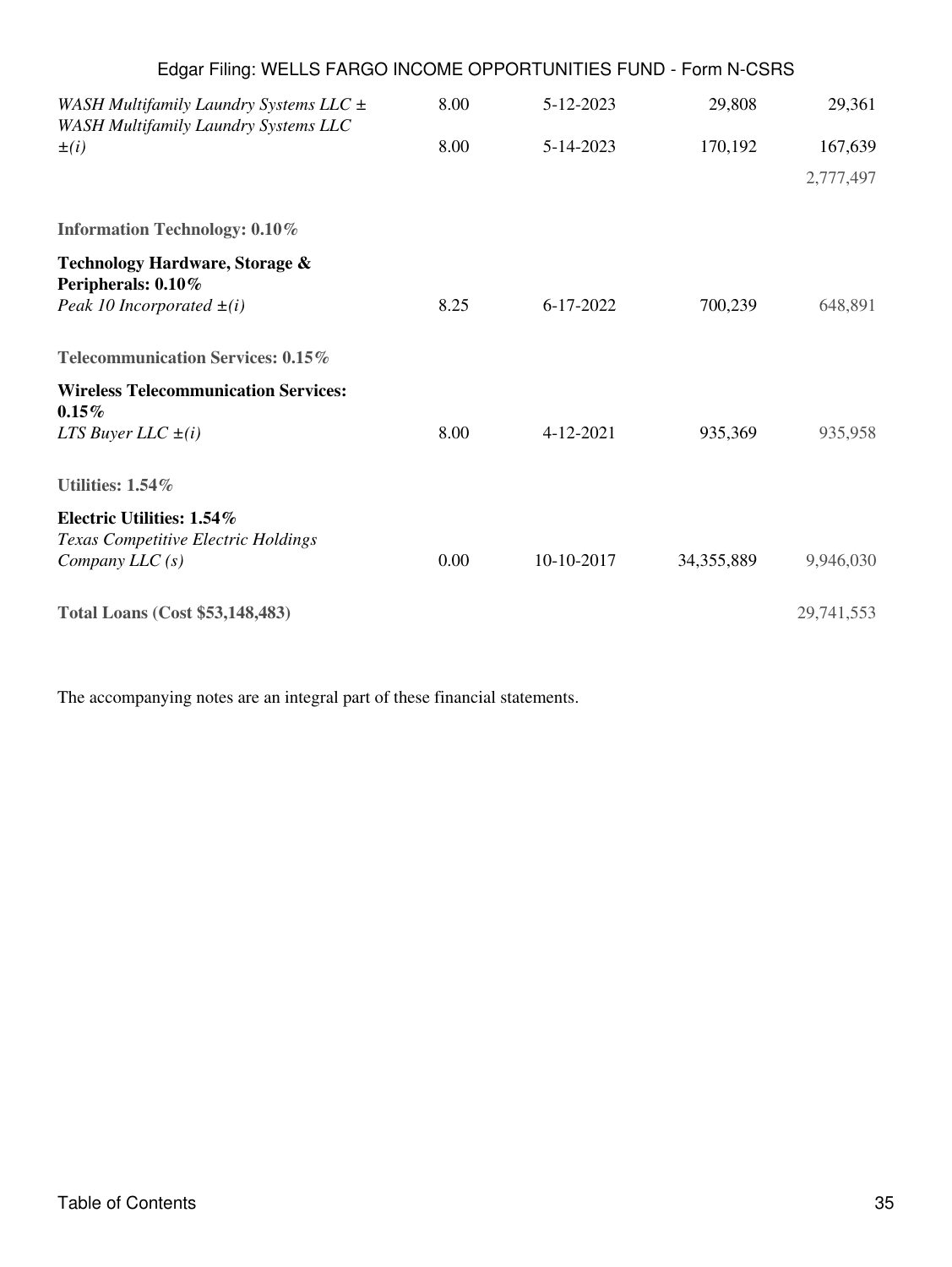| Edgar Filing: WELLS FARGO INCOME OPPORTUNITIES FUND - Form N-CSRS                         |      |            |              |            |
|-------------------------------------------------------------------------------------------|------|------------|--------------|------------|
| WASH Multifamily Laundry Systems LLC $\pm$<br><b>WASH Multifamily Laundry Systems LLC</b> | 8.00 | 5-12-2023  | 29,808       | 29,361     |
| $\pm(i)$                                                                                  | 8.00 | 5-14-2023  | 170,192      | 167,639    |
|                                                                                           |      |            |              | 2,777,497  |
| <b>Information Technology: 0.10%</b>                                                      |      |            |              |            |
| Technology Hardware, Storage &<br>Peripherals: 0.10%                                      |      |            |              |            |
| Peak 10 Incorporated $\pm(i)$                                                             | 8.25 | 6-17-2022  | 700,239      | 648,891    |
| Telecommunication Services: 0.15%                                                         |      |            |              |            |
| <b>Wireless Telecommunication Services:</b><br>0.15%                                      |      |            |              |            |
| LTS Buyer LLC $\pm(i)$                                                                    | 8.00 | 4-12-2021  | 935,369      | 935,958    |
| Utilities: 1.54%                                                                          |      |            |              |            |
| Electric Utilities: 1.54%                                                                 |      |            |              |            |
| Texas Competitive Electric Holdings<br>Company $LLC(s)$                                   | 0.00 | 10-10-2017 | 34, 355, 889 | 9,946,030  |
| <b>Total Loans (Cost \$53,148,483)</b>                                                    |      |            |              | 29,741,553 |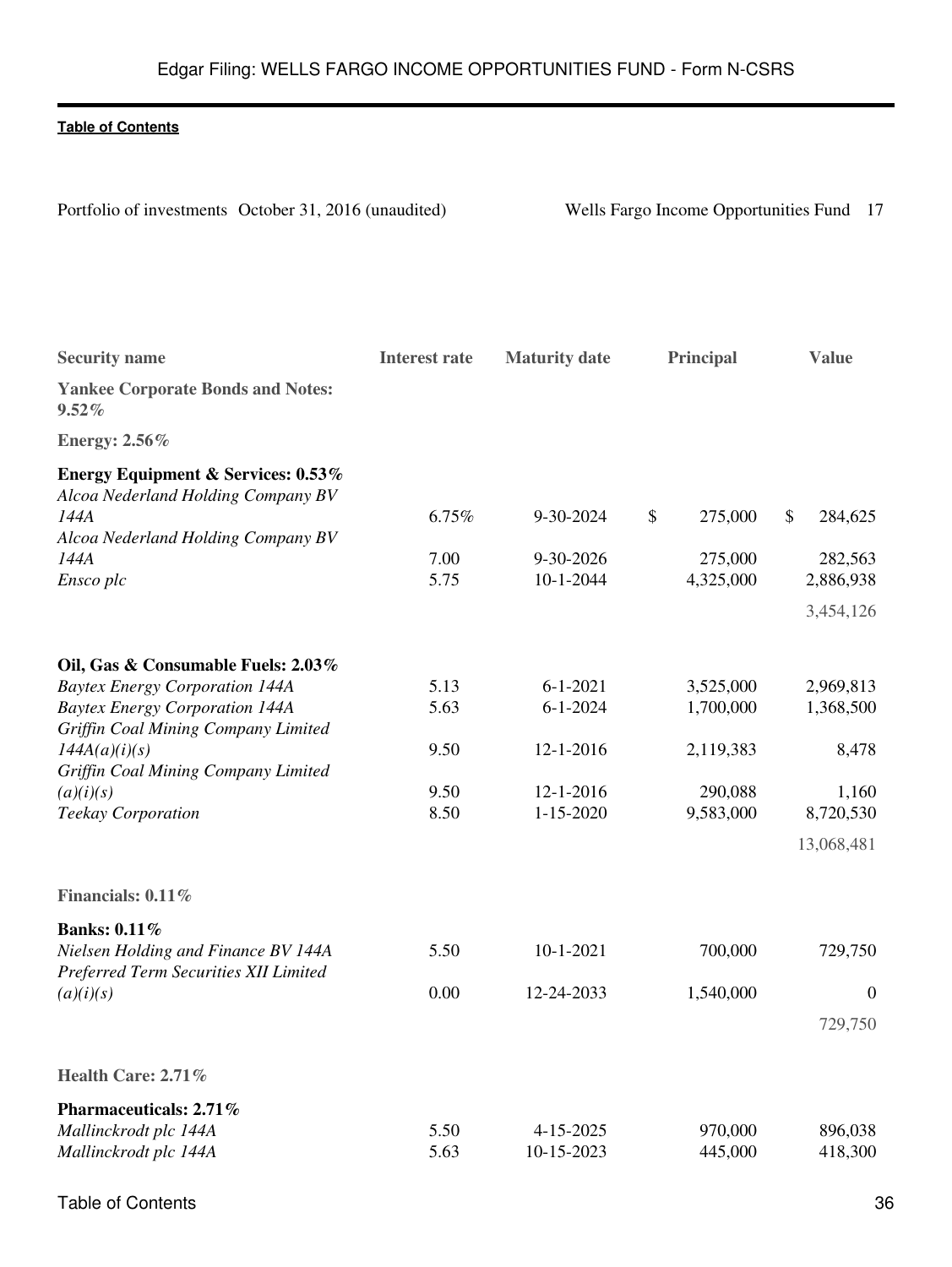Portfolio of investments October 31, 2016 (unaudited) Wells Fargo Income Opportunities Fund 17

| <b>Security name</b>                                                                | <b>Interest rate</b> | <b>Maturity date</b>         | <b>Principal</b>     | <b>Value</b>       |
|-------------------------------------------------------------------------------------|----------------------|------------------------------|----------------------|--------------------|
| <b>Yankee Corporate Bonds and Notes:</b><br>$9.52\%$                                |                      |                              |                      |                    |
| <b>Energy: 2.56%</b>                                                                |                      |                              |                      |                    |
| <b>Energy Equipment &amp; Services: 0.53%</b><br>Alcoa Nederland Holding Company BV |                      |                              |                      |                    |
| 144A                                                                                | 6.75%                | 9-30-2024                    | \$<br>275,000        | \$<br>284,625      |
| Alcoa Nederland Holding Company BV                                                  |                      |                              |                      |                    |
| 144A                                                                                | 7.00<br>5.75         | 9-30-2026<br>$10 - 1 - 2044$ | 275,000              | 282,563            |
| Ensco plc                                                                           |                      |                              | 4,325,000            | 2,886,938          |
|                                                                                     |                      |                              |                      | 3,454,126          |
| Oil, Gas & Consumable Fuels: 2.03%                                                  |                      |                              |                      |                    |
| <b>Baytex Energy Corporation 144A</b>                                               | 5.13                 | $6 - 1 - 2021$               | 3,525,000            | 2,969,813          |
| <b>Baytex Energy Corporation 144A</b>                                               | 5.63                 | $6 - 1 - 2024$               | 1,700,000            | 1,368,500          |
| Griffin Coal Mining Company Limited                                                 |                      |                              |                      |                    |
| 144A(a)(i)(s)                                                                       | 9.50                 | $12 - 1 - 2016$              | 2,119,383            | 8,478              |
| Griffin Coal Mining Company Limited                                                 | 9.50                 |                              |                      |                    |
| (a)(i)(s)<br>Teekay Corporation                                                     | 8.50                 | 12-1-2016<br>$1 - 15 - 2020$ | 290,088<br>9,583,000 | 1,160<br>8,720,530 |
|                                                                                     |                      |                              |                      |                    |
|                                                                                     |                      |                              |                      | 13,068,481         |
| Financials: 0.11%                                                                   |                      |                              |                      |                    |
| <b>Banks: 0.11%</b>                                                                 |                      |                              |                      |                    |
| Nielsen Holding and Finance BV 144A<br>Preferred Term Securities XII Limited        | 5.50                 | $10-1-2021$                  | 700,000              | 729,750            |
| (a)(i)(s)                                                                           | 0.00                 | 12-24-2033                   | 1,540,000            | $\boldsymbol{0}$   |
|                                                                                     |                      |                              |                      | 729,750            |
|                                                                                     |                      |                              |                      |                    |
| Health Care: 2.71%                                                                  |                      |                              |                      |                    |
| Pharmaceuticals: 2.71%                                                              |                      |                              |                      |                    |
| Mallinckrodt plc 144A                                                               | 5.50                 | 4-15-2025                    | 970,000              | 896,038            |
| Mallinckrodt plc 144A                                                               | 5.63                 | 10-15-2023                   | 445,000              | 418,300            |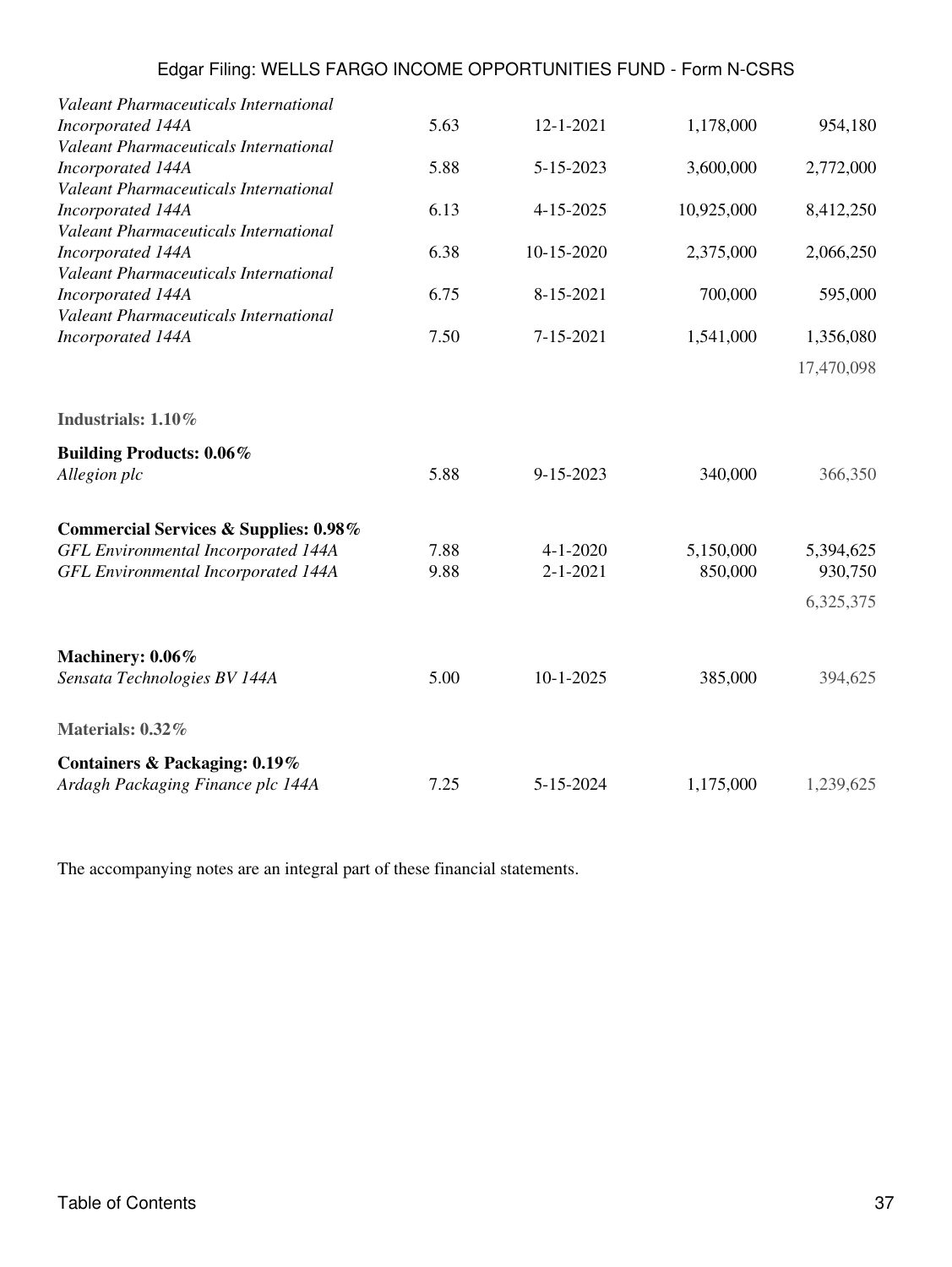| <b>Valeant Pharmaceuticals International</b>                      | 5.63 | 12-1-2021      |            |            |
|-------------------------------------------------------------------|------|----------------|------------|------------|
| Incorporated 144A<br><b>Valeant Pharmaceuticals International</b> |      |                | 1,178,000  | 954,180    |
| Incorporated 144A                                                 | 5.88 | 5-15-2023      | 3,600,000  | 2,772,000  |
| Valeant Pharmaceuticals International                             |      |                |            |            |
| Incorporated 144A                                                 | 6.13 | 4-15-2025      | 10,925,000 | 8,412,250  |
| Valeant Pharmaceuticals International                             |      |                |            |            |
| Incorporated 144A<br>Valeant Pharmaceuticals International        | 6.38 | 10-15-2020     | 2,375,000  | 2,066,250  |
| Incorporated 144A                                                 | 6.75 | 8-15-2021      | 700,000    | 595,000    |
| Valeant Pharmaceuticals International                             |      |                |            |            |
| Incorporated 144A                                                 | 7.50 | 7-15-2021      | 1,541,000  | 1,356,080  |
|                                                                   |      |                |            | 17,470,098 |
| Industrials: 1.10%                                                |      |                |            |            |
| <b>Building Products: 0.06%</b>                                   |      |                |            |            |
| Allegion plc                                                      | 5.88 | 9-15-2023      | 340,000    | 366,350    |
| <b>Commercial Services &amp; Supplies: 0.98%</b>                  |      |                |            |            |
| <b>GFL Environmental Incorporated 144A</b>                        | 7.88 | $4 - 1 - 2020$ | 5,150,000  | 5,394,625  |
| <b>GFL Environmental Incorporated 144A</b>                        | 9.88 | $2 - 1 - 2021$ | 850,000    | 930,750    |
|                                                                   |      |                |            | 6,325,375  |
| Machinery: 0.06%                                                  |      |                |            |            |
| Sensata Technologies BV 144A                                      | 5.00 | $10-1-2025$    | 385,000    | 394,625    |
| Materials: 0.32%                                                  |      |                |            |            |
| Containers & Packaging: 0.19%                                     |      |                |            |            |
| Ardagh Packaging Finance plc 144A                                 | 7.25 | 5-15-2024      | 1,175,000  | 1,239,625  |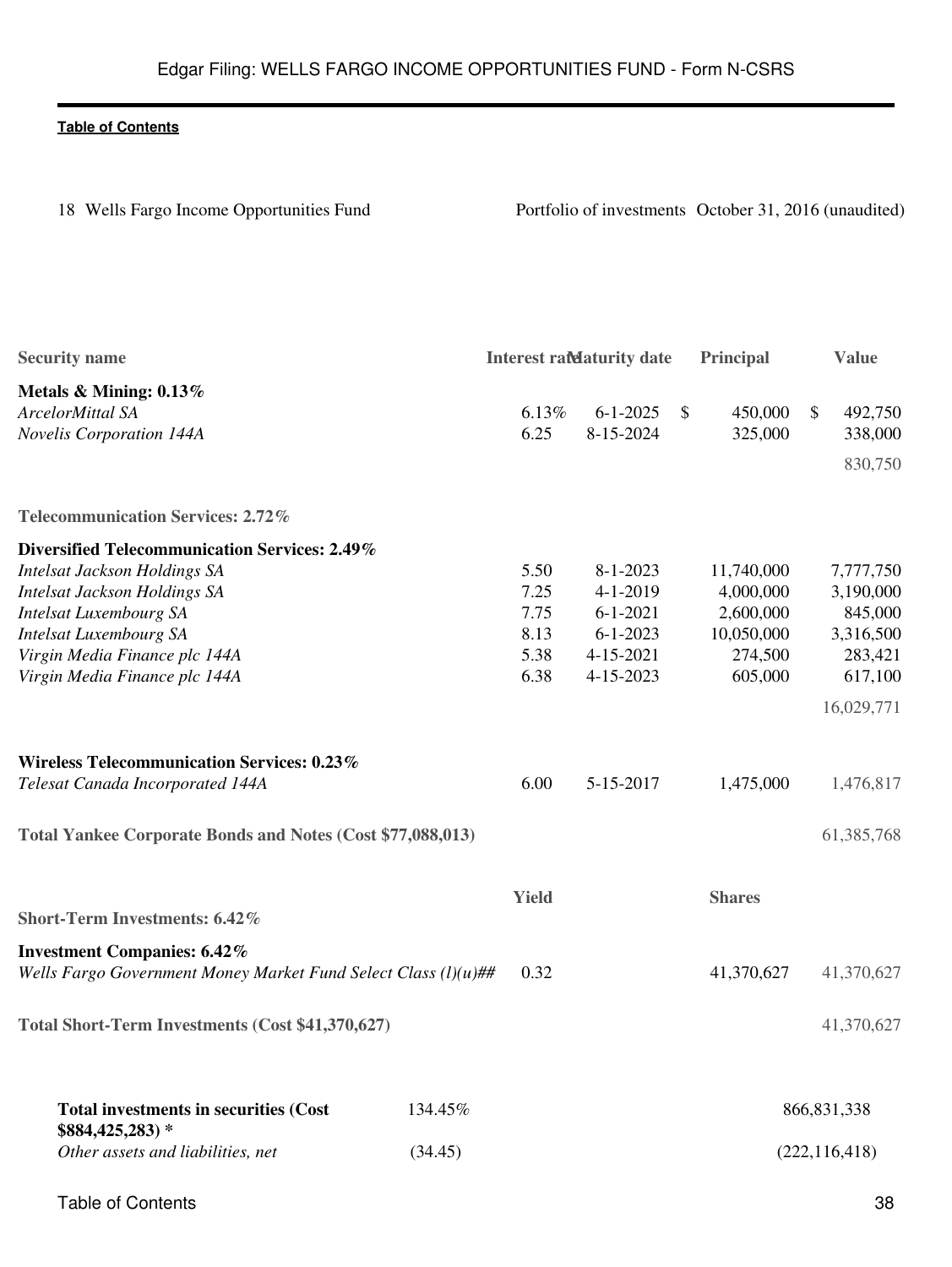| 18 Wells Fargo Income Opportunities Fund                       |         | Portfolio of investments October 31, 2016 (unaudited) |                                   |              |                       |                      |  |  |
|----------------------------------------------------------------|---------|-------------------------------------------------------|-----------------------------------|--------------|-----------------------|----------------------|--|--|
| <b>Security name</b>                                           |         |                                                       | <b>Interest rate aturity date</b> |              | Principal             | <b>Value</b>         |  |  |
| Metals & Mining: 0.13%                                         |         |                                                       |                                   |              |                       |                      |  |  |
| ArcelorMittal SA                                               |         | 6.13%                                                 | $6 - 1 - 2025$                    | <sup>S</sup> | 450,000               | 492,750<br>\$        |  |  |
| Novelis Corporation 144A                                       |         | 6.25                                                  | 8-15-2024                         |              | 325,000               | 338,000              |  |  |
|                                                                |         |                                                       |                                   |              |                       | 830,750              |  |  |
| <b>Telecommunication Services: 2.72%</b>                       |         |                                                       |                                   |              |                       |                      |  |  |
| Diversified Telecommunication Services: 2.49%                  |         |                                                       |                                   |              |                       |                      |  |  |
| Intelsat Jackson Holdings SA                                   |         | 5.50                                                  | $8 - 1 - 2023$                    |              | 11,740,000            | 7,777,750            |  |  |
| <b>Intelsat Jackson Holdings SA</b>                            |         | 7.25                                                  | $4 - 1 - 2019$                    |              | 4,000,000             | 3,190,000            |  |  |
| <b>Intelsat Luxembourg SA</b>                                  |         | 7.75<br>8.13                                          | $6 - 1 - 2021$<br>$6 - 1 - 2023$  |              | 2,600,000             | 845,000              |  |  |
| <b>Intelsat Luxembourg SA</b><br>Virgin Media Finance plc 144A |         | 5.38                                                  | 4-15-2021                         |              | 10,050,000<br>274,500 | 3,316,500<br>283,421 |  |  |
| Virgin Media Finance plc 144A                                  |         | 6.38                                                  | 4-15-2023                         |              | 605,000               | 617,100              |  |  |
|                                                                |         |                                                       |                                   |              |                       |                      |  |  |
|                                                                |         |                                                       |                                   |              |                       | 16,029,771           |  |  |
| <b>Wireless Telecommunication Services: 0.23%</b>              |         |                                                       |                                   |              |                       |                      |  |  |
| Telesat Canada Incorporated 144A                               |         | 6.00                                                  | 5-15-2017                         |              | 1,475,000             | 1,476,817            |  |  |
| Total Yankee Corporate Bonds and Notes (Cost \$77,088,013)     |         |                                                       |                                   |              |                       | 61,385,768           |  |  |
|                                                                |         | <b>Yield</b>                                          |                                   |              | <b>Shares</b>         |                      |  |  |
| <b>Short-Term Investments: 6.42%</b>                           |         |                                                       |                                   |              |                       |                      |  |  |
| <b>Investment Companies: 6.42%</b>                             |         | 0.32                                                  |                                   |              | 41,370,627            | 41,370,627           |  |  |
| Wells Fargo Government Money Market Fund Select Class (l)(u)## |         |                                                       |                                   |              |                       |                      |  |  |
| Total Short-Term Investments (Cost \$41,370,627)               |         |                                                       |                                   |              |                       | 41,370,627           |  |  |
| <b>Total investments in securities (Cost</b>                   | 134.45% |                                                       |                                   |              |                       | 866, 831, 338        |  |  |
| $$884,425,283$ *<br>Other assets and liabilities, net          | (34.45) |                                                       |                                   |              |                       | (222, 116, 418)      |  |  |
|                                                                |         |                                                       |                                   |              |                       |                      |  |  |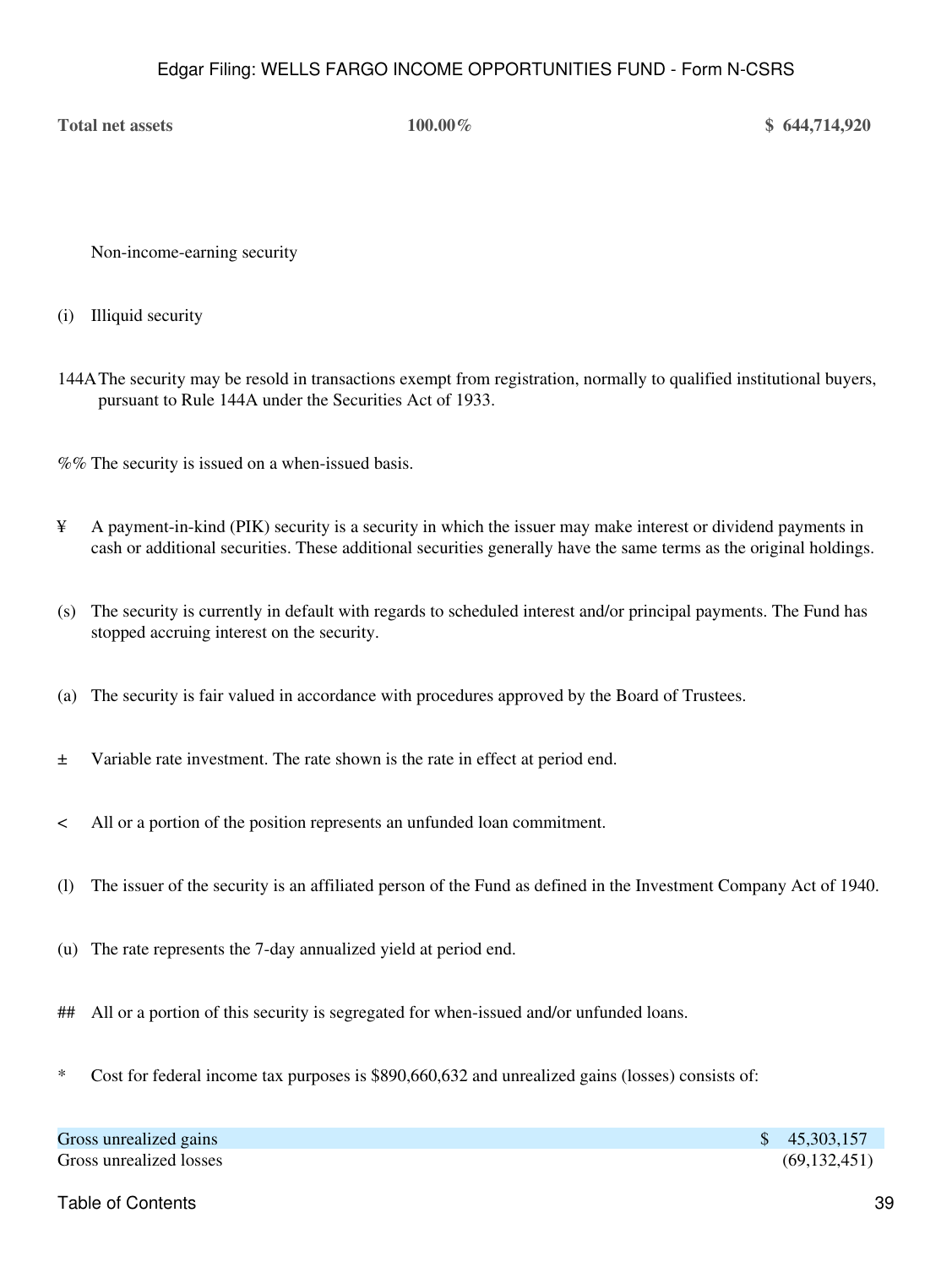**Total net assets 100.00% \$ 644,714,920**

Non-income-earning security

(i) Illiquid security

144AThe security may be resold in transactions exempt from registration, normally to qualified institutional buyers, pursuant to Rule 144A under the Securities Act of 1933.

%% The security is issued on a when-issued basis.

- ¥ A payment-in-kind (PIK) security is a security in which the issuer may make interest or dividend payments in cash or additional securities. These additional securities generally have the same terms as the original holdings.
- (s) The security is currently in default with regards to scheduled interest and/or principal payments. The Fund has stopped accruing interest on the security.
- (a) The security is fair valued in accordance with procedures approved by the Board of Trustees.
- ± Variable rate investment. The rate shown is the rate in effect at period end.
- < All or a portion of the position represents an unfunded loan commitment.
- (l) The issuer of the security is an affiliated person of the Fund as defined in the Investment Company Act of 1940.
- (u) The rate represents the 7-day annualized yield at period end.
- ## All or a portion of this security is segregated for when-issued and/or unfunded loans.
- \* Cost for federal income tax purposes is \$890,660,632 and unrealized gains (losses) consists of:

| Gross unrealized gains  | \$45,303,157   |
|-------------------------|----------------|
| Gross unrealized losses | (69, 132, 451) |

Table of Contents 39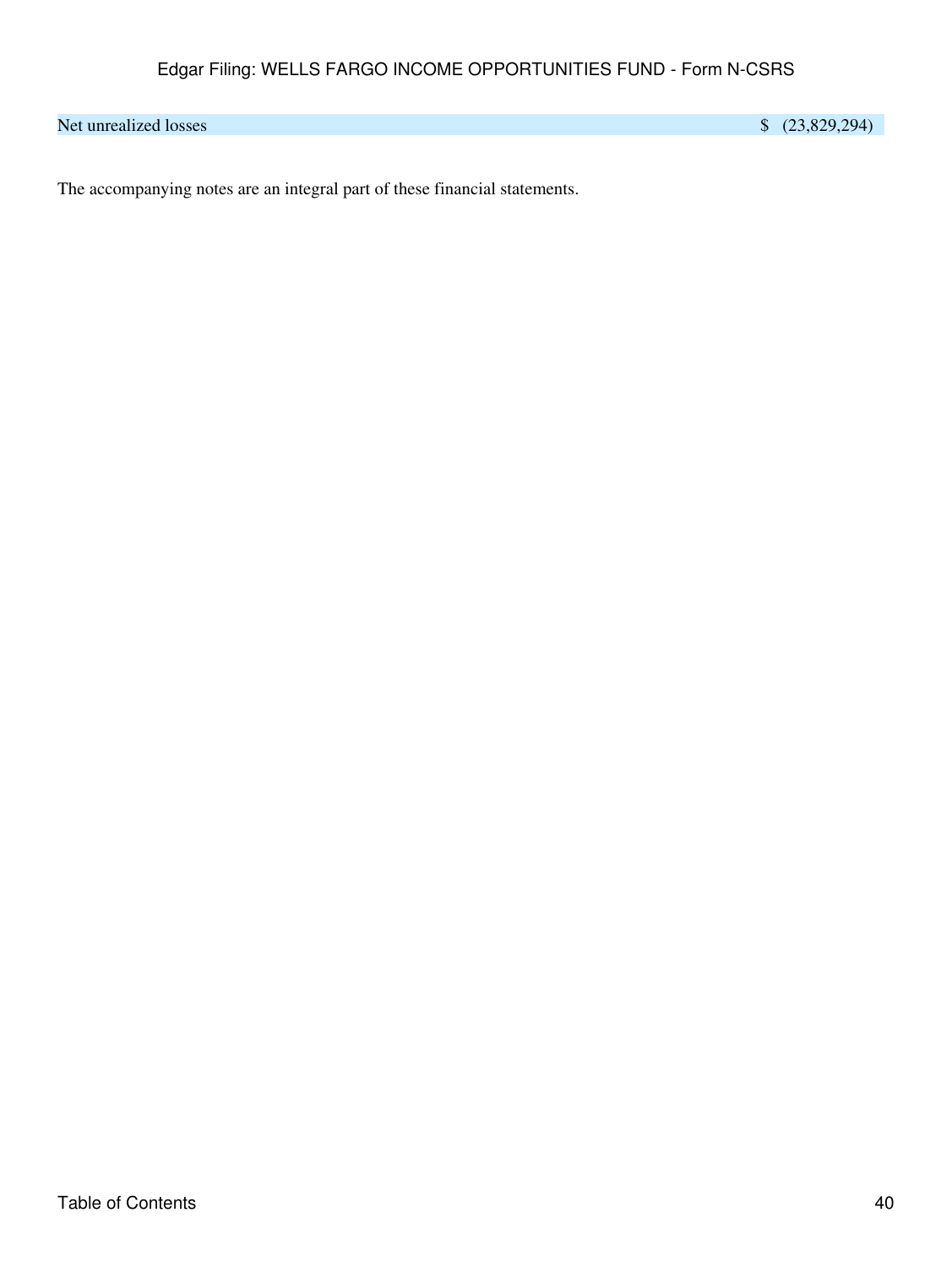Net unrealized losses \$ (23,829,294)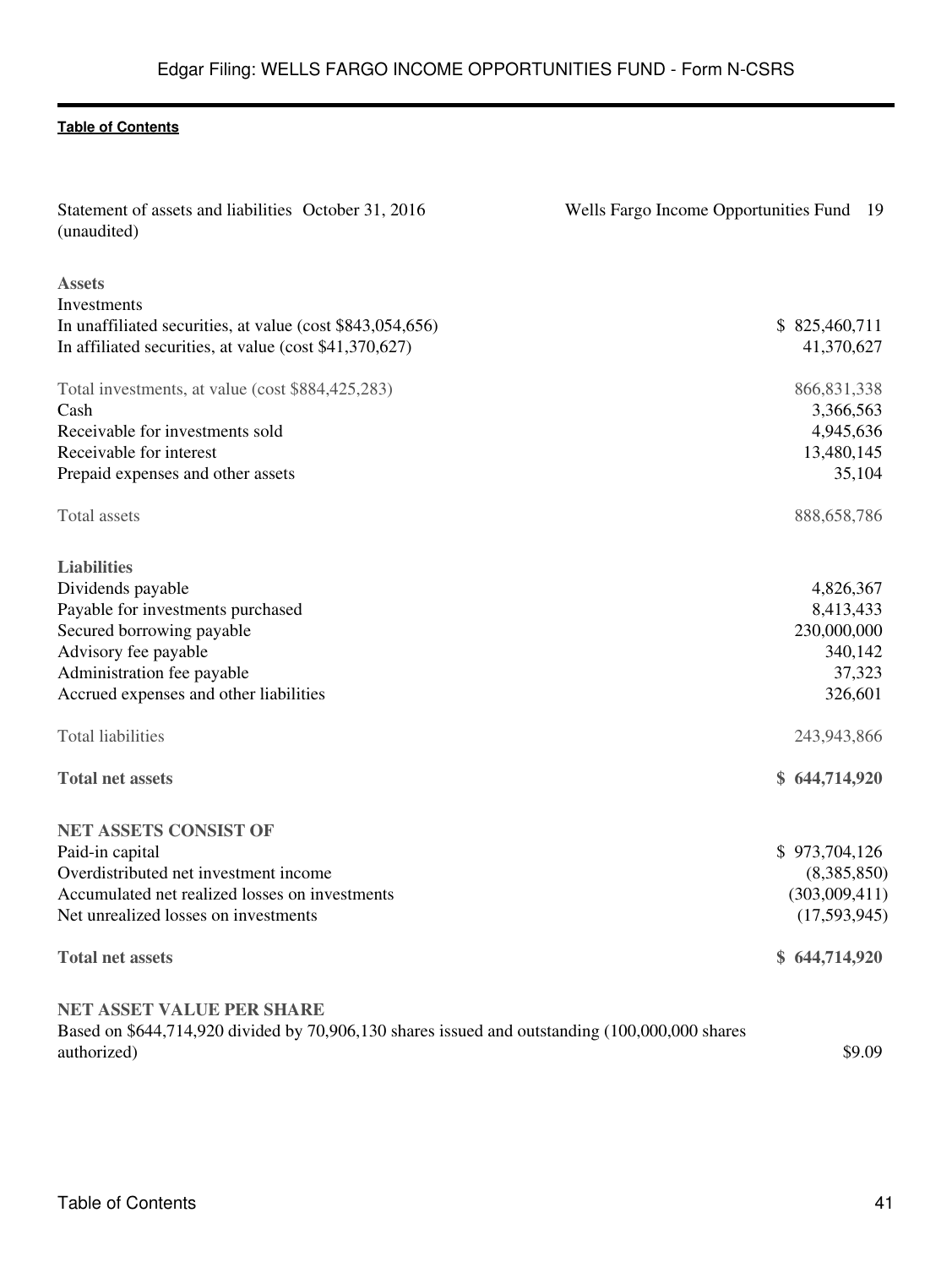| Statement of assets and liabilities October 31, 2016<br>(unaudited)                                           | Wells Fargo Income Opportunities Fund 19 |
|---------------------------------------------------------------------------------------------------------------|------------------------------------------|
| <b>Assets</b>                                                                                                 |                                          |
| Investments                                                                                                   |                                          |
| In unaffiliated securities, at value (cost \$843,054,656)                                                     | \$825,460,711                            |
| In affiliated securities, at value (cost \$41,370,627)                                                        | 41,370,627                               |
| Total investments, at value (cost \$884,425,283)                                                              | 866, 831, 338                            |
| Cash                                                                                                          | 3,366,563                                |
| Receivable for investments sold                                                                               | 4,945,636                                |
| Receivable for interest                                                                                       | 13,480,145                               |
| Prepaid expenses and other assets                                                                             | 35,104                                   |
| Total assets                                                                                                  | 888,658,786                              |
| <b>Liabilities</b>                                                                                            |                                          |
| Dividends payable                                                                                             | 4,826,367                                |
| Payable for investments purchased                                                                             | 8,413,433                                |
| Secured borrowing payable                                                                                     | 230,000,000                              |
| Advisory fee payable                                                                                          | 340,142                                  |
| Administration fee payable                                                                                    | 37,323                                   |
| Accrued expenses and other liabilities                                                                        | 326,601                                  |
| <b>Total liabilities</b>                                                                                      | 243,943,866                              |
| <b>Total net assets</b>                                                                                       | \$644,714,920                            |
| <b>NET ASSETS CONSIST OF</b>                                                                                  |                                          |
| Paid-in capital                                                                                               | \$973,704,126                            |
| Overdistributed net investment income                                                                         | (8,385,850)                              |
| Accumulated net realized losses on investments                                                                | (303,009,411)                            |
| Net unrealized losses on investments                                                                          | (17,593,945)                             |
| <b>Total net assets</b>                                                                                       | \$644,714,920                            |
| <b>NET ASSET VALUE PER SHARE</b>                                                                              |                                          |
| Based on \$644,714,920 divided by 70,906,130 shares issued and outstanding (100,000,000 shares<br>authorized) | \$9.09                                   |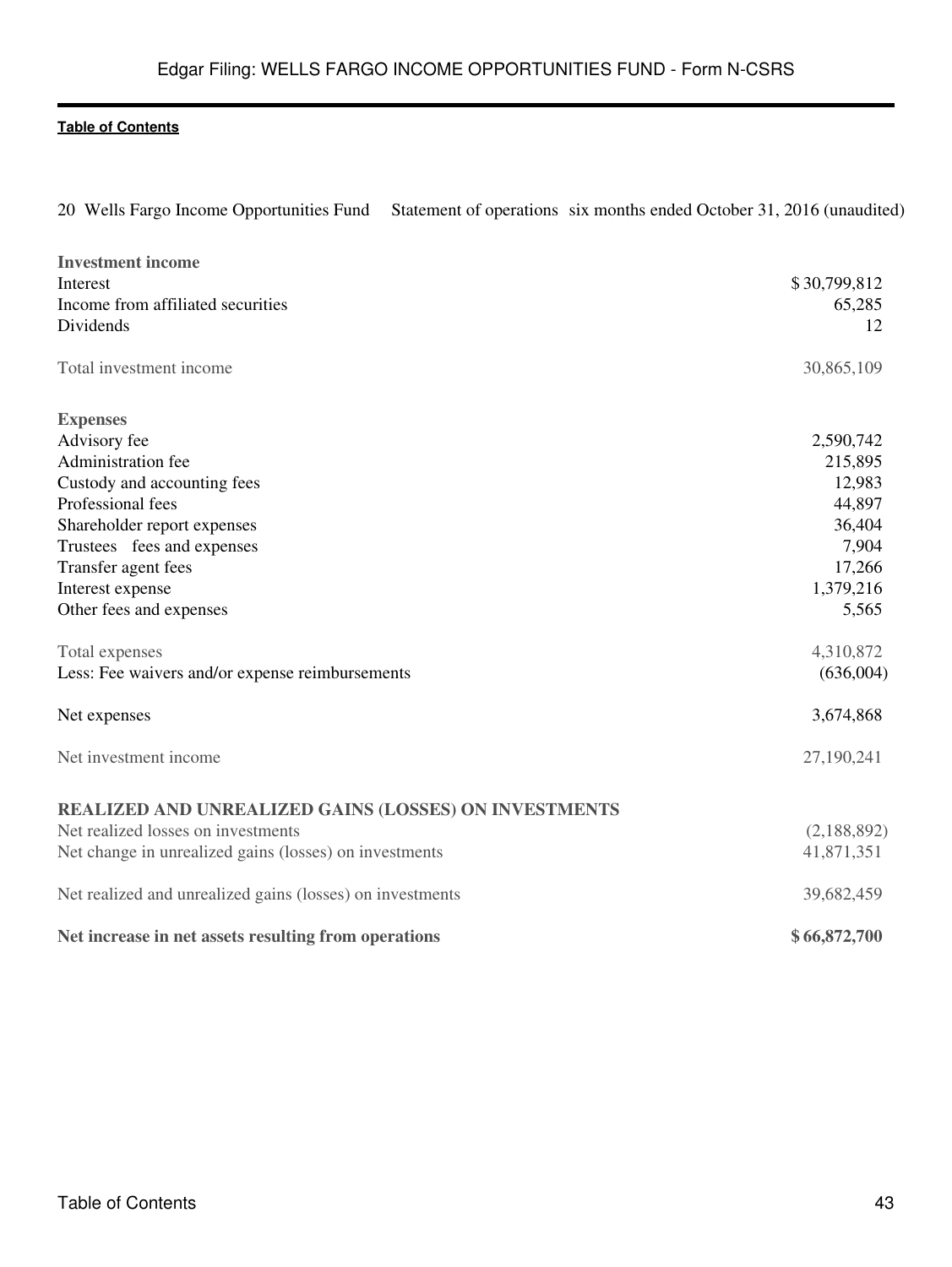20 Wells Fargo Income Opportunities Fund Statement of operations six months ended October 31, 2016 (unaudited)

| <b>Investment income</b>                                     |              |
|--------------------------------------------------------------|--------------|
| <b>Interest</b>                                              | \$30,799,812 |
| Income from affiliated securities                            | 65,285       |
| Dividends                                                    | 12           |
| Total investment income                                      | 30,865,109   |
| <b>Expenses</b>                                              |              |
| Advisory fee                                                 | 2,590,742    |
| Administration fee                                           | 215,895      |
| Custody and accounting fees                                  | 12,983       |
| Professional fees                                            | 44,897       |
| Shareholder report expenses                                  | 36,404       |
| Trustees fees and expenses                                   | 7,904        |
| Transfer agent fees                                          | 17,266       |
| Interest expense                                             | 1,379,216    |
| Other fees and expenses                                      | 5,565        |
| Total expenses                                               | 4,310,872    |
| Less: Fee waivers and/or expense reimbursements              | (636,004)    |
| Net expenses                                                 | 3,674,868    |
| Net investment income                                        | 27,190,241   |
| <b>REALIZED AND UNREALIZED GAINS (LOSSES) ON INVESTMENTS</b> |              |
| Net realized losses on investments                           | (2,188,892)  |
| Net change in unrealized gains (losses) on investments       | 41,871,351   |
|                                                              |              |
| Net realized and unrealized gains (losses) on investments    | 39,682,459   |
| Net increase in net assets resulting from operations         | \$66,872,700 |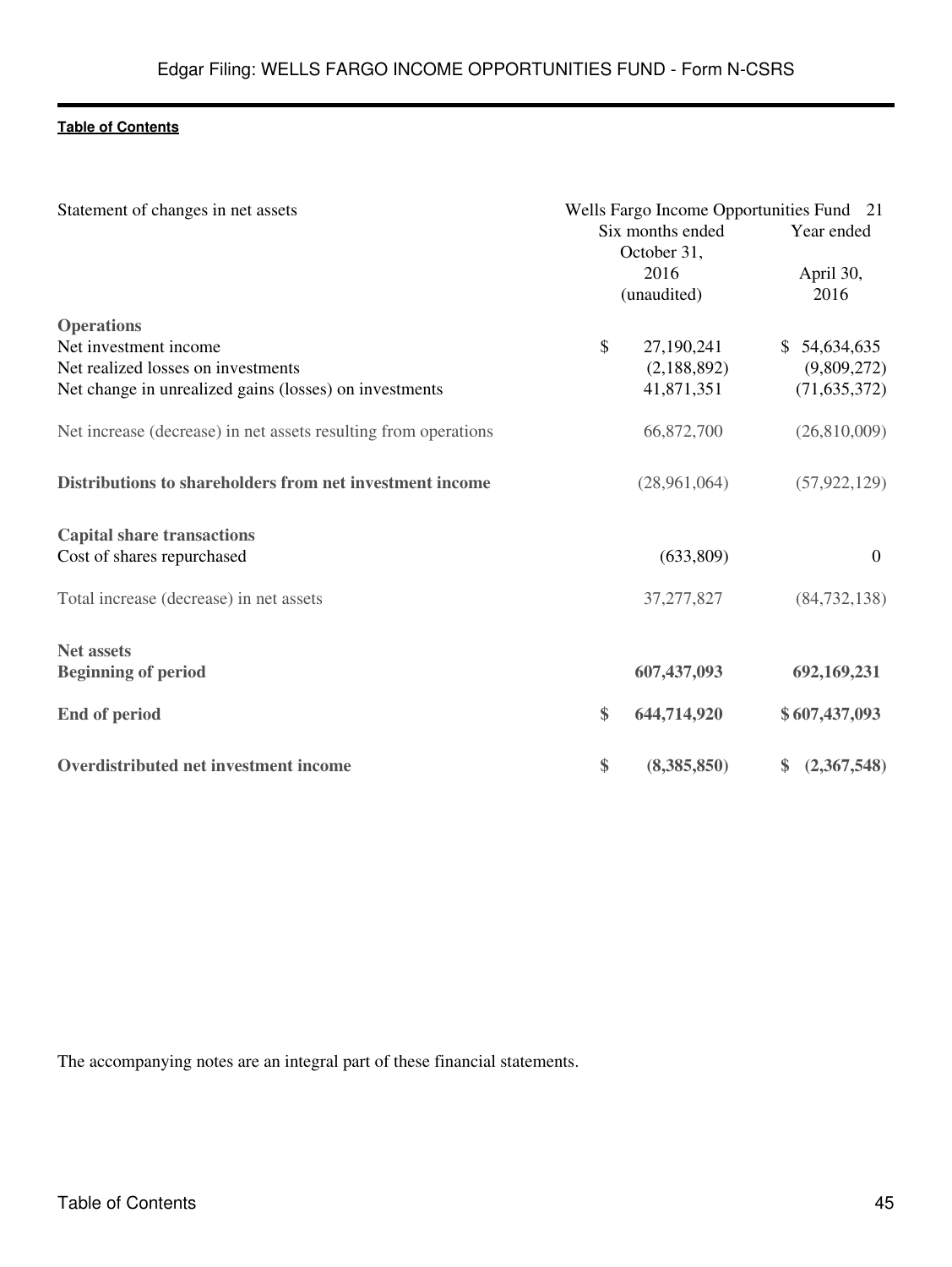| Statement of changes in net assets                              |               | Wells Fargo Income Opportunities Fund 21<br>Six months ended<br>October 31,<br>2016<br>(unaudited) | Year ended<br>April 30,<br>2016 |  |
|-----------------------------------------------------------------|---------------|----------------------------------------------------------------------------------------------------|---------------------------------|--|
| <b>Operations</b>                                               |               |                                                                                                    |                                 |  |
| Net investment income                                           | $\mathcal{S}$ | 27,190,241                                                                                         | \$54,634,635                    |  |
| Net realized losses on investments                              |               | (2,188,892)                                                                                        | (9,809,272)                     |  |
| Net change in unrealized gains (losses) on investments          |               | 41,871,351                                                                                         | (71, 635, 372)                  |  |
| Net increase (decrease) in net assets resulting from operations |               | 66,872,700                                                                                         | (26,810,009)                    |  |
| Distributions to shareholders from net investment income        |               | (28,961,064)                                                                                       | (57, 922, 129)                  |  |
| <b>Capital share transactions</b>                               |               |                                                                                                    |                                 |  |
| Cost of shares repurchased                                      |               | (633,809)                                                                                          | $\mathbf{0}$                    |  |
| Total increase (decrease) in net assets                         |               | 37, 277, 827                                                                                       | (84, 732, 138)                  |  |
| <b>Net assets</b>                                               |               |                                                                                                    |                                 |  |
| <b>Beginning of period</b>                                      |               | 607,437,093                                                                                        | 692,169,231                     |  |
| <b>End of period</b>                                            | \$            | 644,714,920                                                                                        | \$607,437,093                   |  |
| Overdistributed net investment income                           | \$            | (8,385,850)                                                                                        | \$ (2,367,548)                  |  |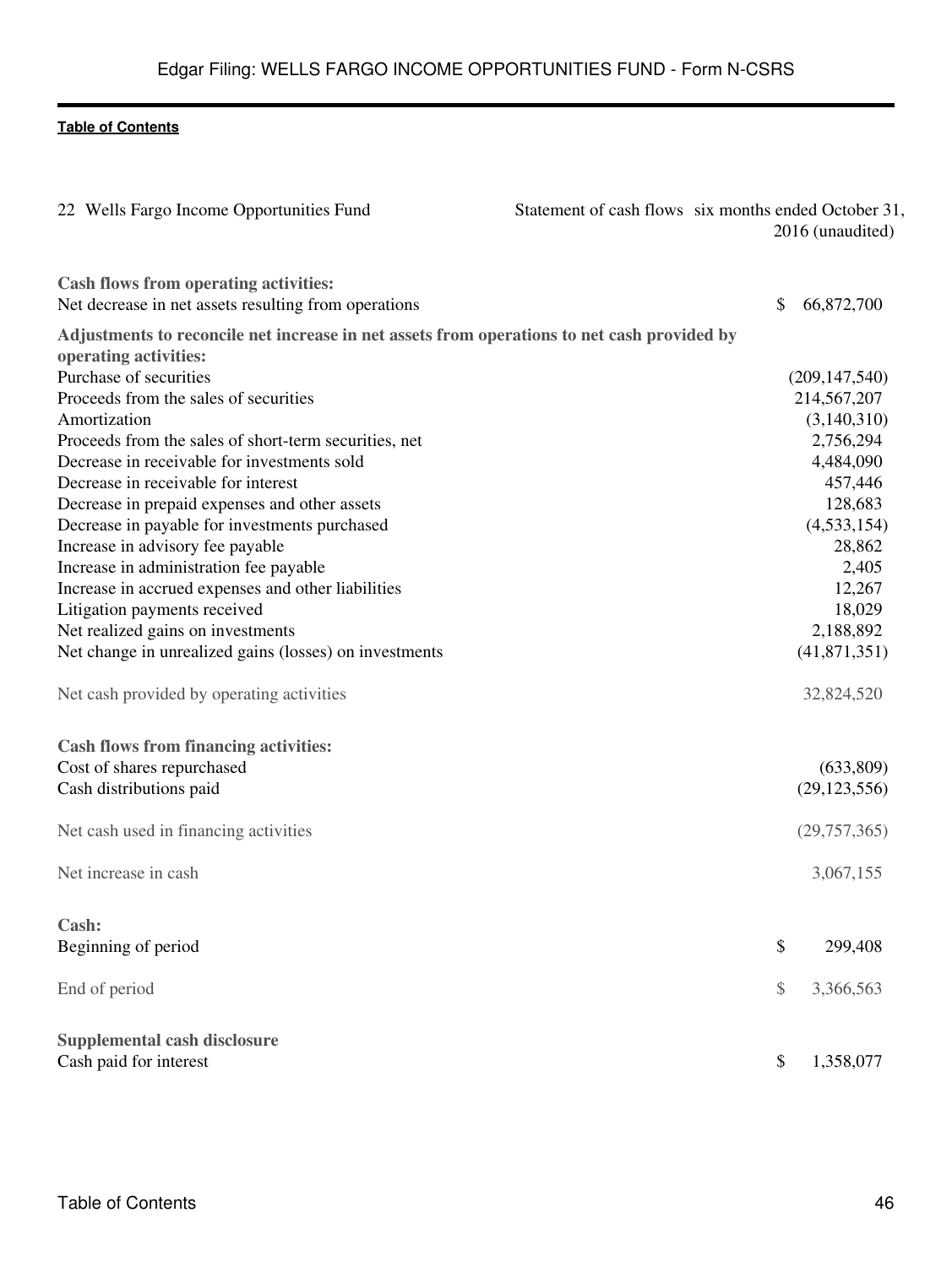| 22 Wells Fargo Income Opportunities Fund                                                      | Statement of cash flows six months ended October 31, | 2016 (unaudited) |
|-----------------------------------------------------------------------------------------------|------------------------------------------------------|------------------|
| Cash flows from operating activities:<br>Net decrease in net assets resulting from operations | \$                                                   | 66,872,700       |
| Adjustments to reconcile net increase in net assets from operations to net cash provided by   |                                                      |                  |
| operating activities:                                                                         |                                                      |                  |
| Purchase of securities                                                                        |                                                      | (209, 147, 540)  |
| Proceeds from the sales of securities                                                         |                                                      | 214,567,207      |
| Amortization                                                                                  |                                                      | (3,140,310)      |
| Proceeds from the sales of short-term securities, net                                         |                                                      | 2,756,294        |
| Decrease in receivable for investments sold                                                   |                                                      | 4,484,090        |
| Decrease in receivable for interest                                                           |                                                      | 457,446          |
| Decrease in prepaid expenses and other assets                                                 |                                                      | 128,683          |
| Decrease in payable for investments purchased                                                 |                                                      | (4,533,154)      |
| Increase in advisory fee payable                                                              |                                                      | 28,862           |
| Increase in administration fee payable                                                        |                                                      | 2,405            |
| Increase in accrued expenses and other liabilities                                            |                                                      | 12,267           |
| Litigation payments received                                                                  |                                                      | 18,029           |
| Net realized gains on investments                                                             |                                                      | 2,188,892        |
| Net change in unrealized gains (losses) on investments                                        |                                                      | (41,871,351)     |
| Net cash provided by operating activities                                                     |                                                      | 32,824,520       |
| <b>Cash flows from financing activities:</b>                                                  |                                                      |                  |
| Cost of shares repurchased                                                                    |                                                      | (633,809)        |
| Cash distributions paid                                                                       |                                                      | (29, 123, 556)   |
| Net cash used in financing activities                                                         |                                                      | (29,757,365)     |
| Net increase in cash                                                                          |                                                      | 3,067,155        |
| Cash:                                                                                         |                                                      |                  |
| Beginning of period                                                                           | \$                                                   | 299,408          |
| End of period                                                                                 | \$                                                   | 3,366,563        |
| Supplemental cash disclosure                                                                  |                                                      |                  |
| Cash paid for interest                                                                        | \$                                                   | 1,358,077        |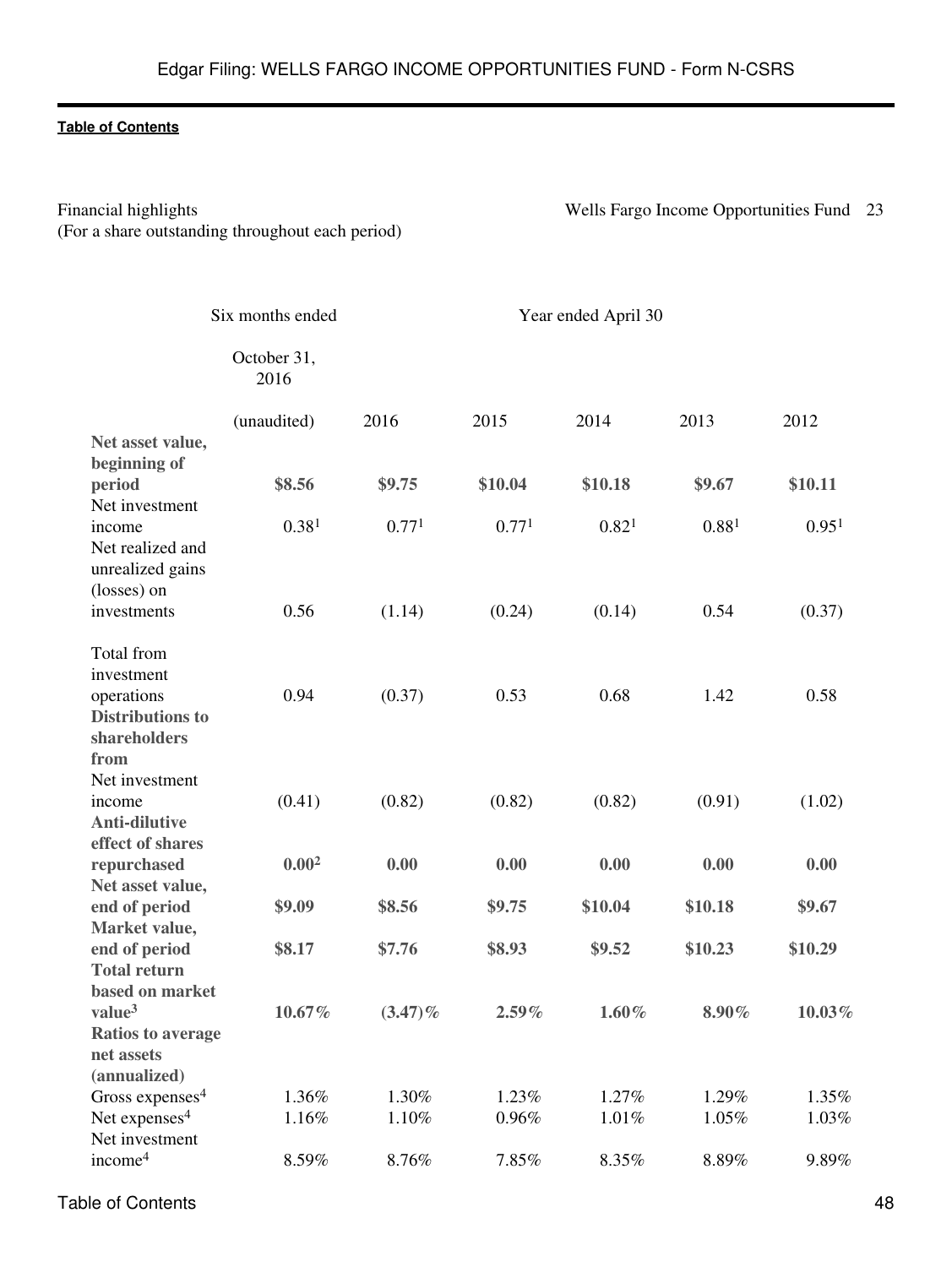(For a share outstanding throughout each period)

Financial highlights Wells Fargo Income Opportunities Fund 23

|                                                                                   | Six months ended    |            |          | Year ended April 30 |         |                   |
|-----------------------------------------------------------------------------------|---------------------|------------|----------|---------------------|---------|-------------------|
|                                                                                   | October 31,<br>2016 |            |          |                     |         |                   |
| Net asset value,                                                                  | (unaudited)         | 2016       | 2015     | 2014                | 2013    | 2012              |
| beginning of<br>period<br>Net investment                                          | \$8.56              | \$9.75     | \$10.04  | \$10.18             | \$9.67  | \$10.11           |
| income<br>Net realized and<br>unrealized gains<br>(losses) on                     | 0.38 <sup>1</sup>   | 0.771      | 0.771    | 0.82 <sup>1</sup>   | 0.881   | 0.95 <sup>1</sup> |
| investments                                                                       | 0.56                | (1.14)     | (0.24)   | (0.14)              | 0.54    | (0.37)            |
| Total from<br>investment<br>operations<br><b>Distributions to</b><br>shareholders | 0.94                | (0.37)     | 0.53     | 0.68                | 1.42    | 0.58              |
| from<br>Net investment<br>income<br><b>Anti-dilutive</b><br>effect of shares      | (0.41)              | (0.82)     | (0.82)   | (0.82)              | (0.91)  | (1.02)            |
| repurchased<br>Net asset value,                                                   | 0.00 <sup>2</sup>   | 0.00       | 0.00     | 0.00                | 0.00    | 0.00              |
| end of period<br>Market value,                                                    | \$9.09              | \$8.56     | \$9.75   | \$10.04             | \$10.18 | \$9.67            |
| end of period<br><b>Total return</b><br>based on market                           | \$8.17              | \$7.76     | \$8.93   | \$9.52              | \$10.23 | \$10.29           |
| value <sup>3</sup><br><b>Ratios to average</b><br>net assets<br>(annualized)      | $10.67\%$           | $(3.47)\%$ | $2.59\%$ | $1.60\%$            | 8.90%   | $10.03\%$         |
| Gross expenses <sup>4</sup>                                                       | 1.36%               | 1.30%      | 1.23%    | $1.27\%$            | 1.29%   | 1.35%             |
| Net expenses <sup>4</sup><br>Net investment                                       | 1.16%               | 1.10%      | 0.96%    | 1.01%               | 1.05%   | 1.03%             |
| income <sup>4</sup>                                                               | 8.59%               | 8.76%      | 7.85%    | 8.35%               | 8.89%   | 9.89%             |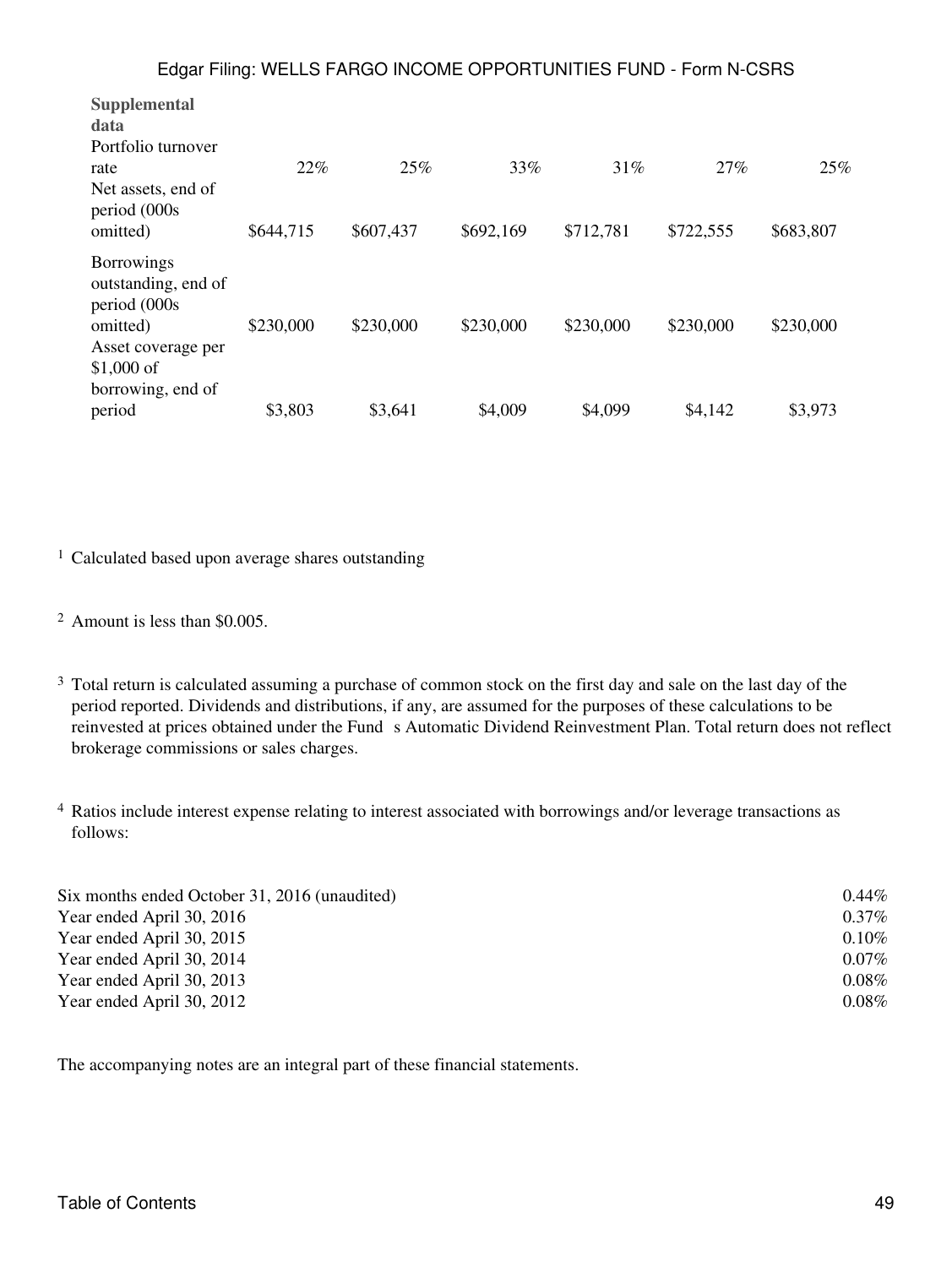| Supplemental<br>data<br>Portfolio turnover                                                                |           |           |           |           |           |           |
|-----------------------------------------------------------------------------------------------------------|-----------|-----------|-----------|-----------|-----------|-----------|
| rate                                                                                                      | 22%       | 25%       | 33%       | 31%       | 27%       | 25%       |
| Net assets, end of<br>period (000s<br>omitted)                                                            | \$644,715 | \$607,437 | \$692,169 | \$712,781 | \$722,555 | \$683,807 |
| <b>Borrowings</b><br>outstanding, end of<br>period (000s<br>omitted)<br>Asset coverage per<br>$$1,000$ of | \$230,000 | \$230,000 | \$230,000 | \$230,000 | \$230,000 | \$230,000 |
| borrowing, end of<br>period                                                                               | \$3,803   | \$3,641   | \$4,009   | \$4,099   | \$4,142   | \$3,973   |

<sup>1</sup> Calculated based upon average shares outstanding

<sup>2</sup> Amount is less than \$0.005.

- <sup>3</sup> Total return is calculated assuming a purchase of common stock on the first day and sale on the last day of the period reported. Dividends and distributions, if any, are assumed for the purposes of these calculations to be reinvested at prices obtained under the Fund s Automatic Dividend Reinvestment Plan. Total return does not reflect brokerage commissions or sales charges.
- <sup>4</sup> Ratios include interest expense relating to interest associated with borrowings and/or leverage transactions as follows:

| Six months ended October 31, 2016 (unaudited) | $0.44\%$ |
|-----------------------------------------------|----------|
| Year ended April 30, 2016                     | $0.37\%$ |
| Year ended April 30, 2015                     | $0.10\%$ |
| Year ended April 30, 2014                     | $0.07\%$ |
| Year ended April 30, 2013                     | $0.08\%$ |
| Year ended April 30, 2012                     | $0.08\%$ |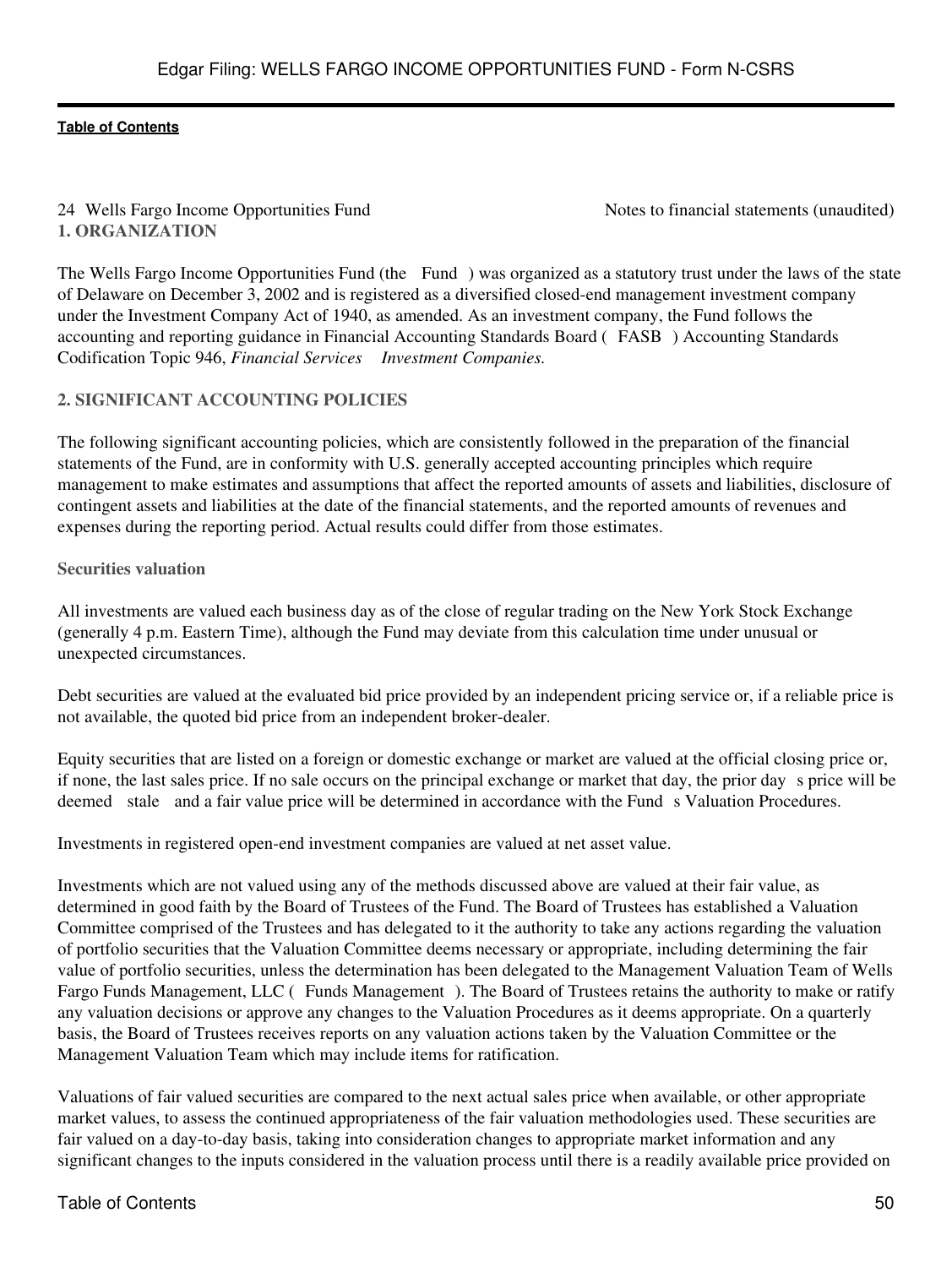# 24 Wells Fargo Income Opportunities Fund Notes to financial statements (unaudited) **1. ORGANIZATION**

The Wells Fargo Income Opportunities Fund (the Fund) was organized as a statutory trust under the laws of the state of Delaware on December 3, 2002 and is registered as a diversified closed-end management investment company under the Investment Company Act of 1940, as amended. As an investment company, the Fund follows the accounting and reporting guidance in Financial Accounting Standards Board (FASB) Accounting Standards Codification Topic 946, *Financial Services Investment Companies.*

# **2. SIGNIFICANT ACCOUNTING POLICIES**

The following significant accounting policies, which are consistently followed in the preparation of the financial statements of the Fund, are in conformity with U.S. generally accepted accounting principles which require management to make estimates and assumptions that affect the reported amounts of assets and liabilities, disclosure of contingent assets and liabilities at the date of the financial statements, and the reported amounts of revenues and expenses during the reporting period. Actual results could differ from those estimates.

# **Securities valuation**

All investments are valued each business day as of the close of regular trading on the New York Stock Exchange (generally 4 p.m. Eastern Time), although the Fund may deviate from this calculation time under unusual or unexpected circumstances.

Debt securities are valued at the evaluated bid price provided by an independent pricing service or, if a reliable price is not available, the quoted bid price from an independent broker-dealer.

Equity securities that are listed on a foreign or domestic exchange or market are valued at the official closing price or, if none, the last sales price. If no sale occurs on the principal exchange or market that day, the prior days price will be deemed stale and a fair value price will be determined in accordance with the Fund s Valuation Procedures.

Investments in registered open-end investment companies are valued at net asset value.

Investments which are not valued using any of the methods discussed above are valued at their fair value, as determined in good faith by the Board of Trustees of the Fund. The Board of Trustees has established a Valuation Committee comprised of the Trustees and has delegated to it the authority to take any actions regarding the valuation of portfolio securities that the Valuation Committee deems necessary or appropriate, including determining the fair value of portfolio securities, unless the determination has been delegated to the Management Valuation Team of Wells Fargo Funds Management, LLC (Funds Management). The Board of Trustees retains the authority to make or ratify any valuation decisions or approve any changes to the Valuation Procedures as it deems appropriate. On a quarterly basis, the Board of Trustees receives reports on any valuation actions taken by the Valuation Committee or the Management Valuation Team which may include items for ratification.

Valuations of fair valued securities are compared to the next actual sales price when available, or other appropriate market values, to assess the continued appropriateness of the fair valuation methodologies used. These securities are fair valued on a day-to-day basis, taking into consideration changes to appropriate market information and any significant changes to the inputs considered in the valuation process until there is a readily available price provided on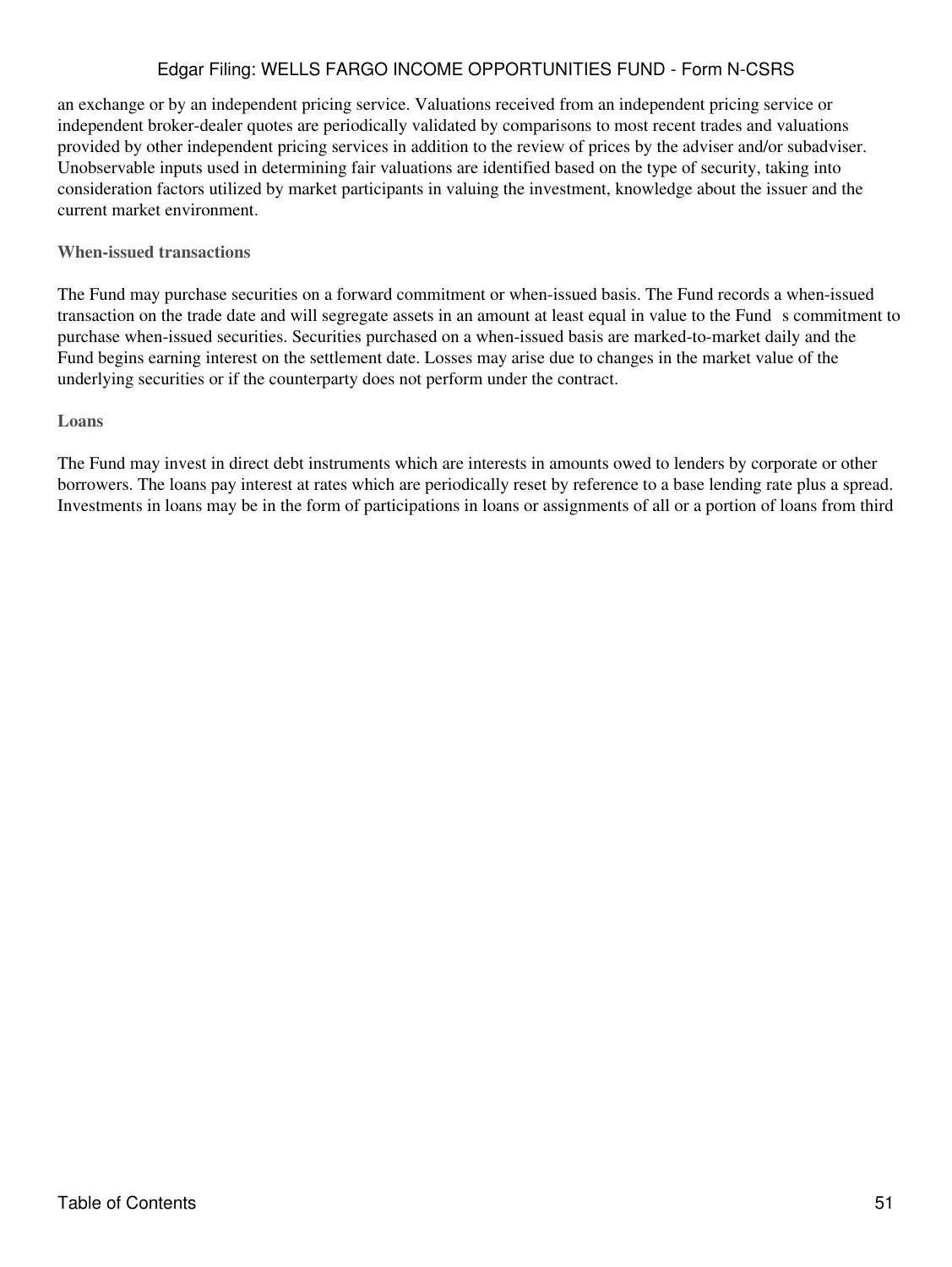an exchange or by an independent pricing service. Valuations received from an independent pricing service or independent broker-dealer quotes are periodically validated by comparisons to most recent trades and valuations provided by other independent pricing services in addition to the review of prices by the adviser and/or subadviser. Unobservable inputs used in determining fair valuations are identified based on the type of security, taking into consideration factors utilized by market participants in valuing the investment, knowledge about the issuer and the current market environment.

# **When-issued transactions**

The Fund may purchase securities on a forward commitment or when-issued basis. The Fund records a when-issued transaction on the trade date and will segregate assets in an amount at least equal in value to the Funds commitment to purchase when-issued securities. Securities purchased on a when-issued basis are marked-to-market daily and the Fund begins earning interest on the settlement date. Losses may arise due to changes in the market value of the underlying securities or if the counterparty does not perform under the contract.

# **Loans**

The Fund may invest in direct debt instruments which are interests in amounts owed to lenders by corporate or other borrowers. The loans pay interest at rates which are periodically reset by reference to a base lending rate plus a spread. Investments in loans may be in the form of participations in loans or assignments of all or a portion of loans from third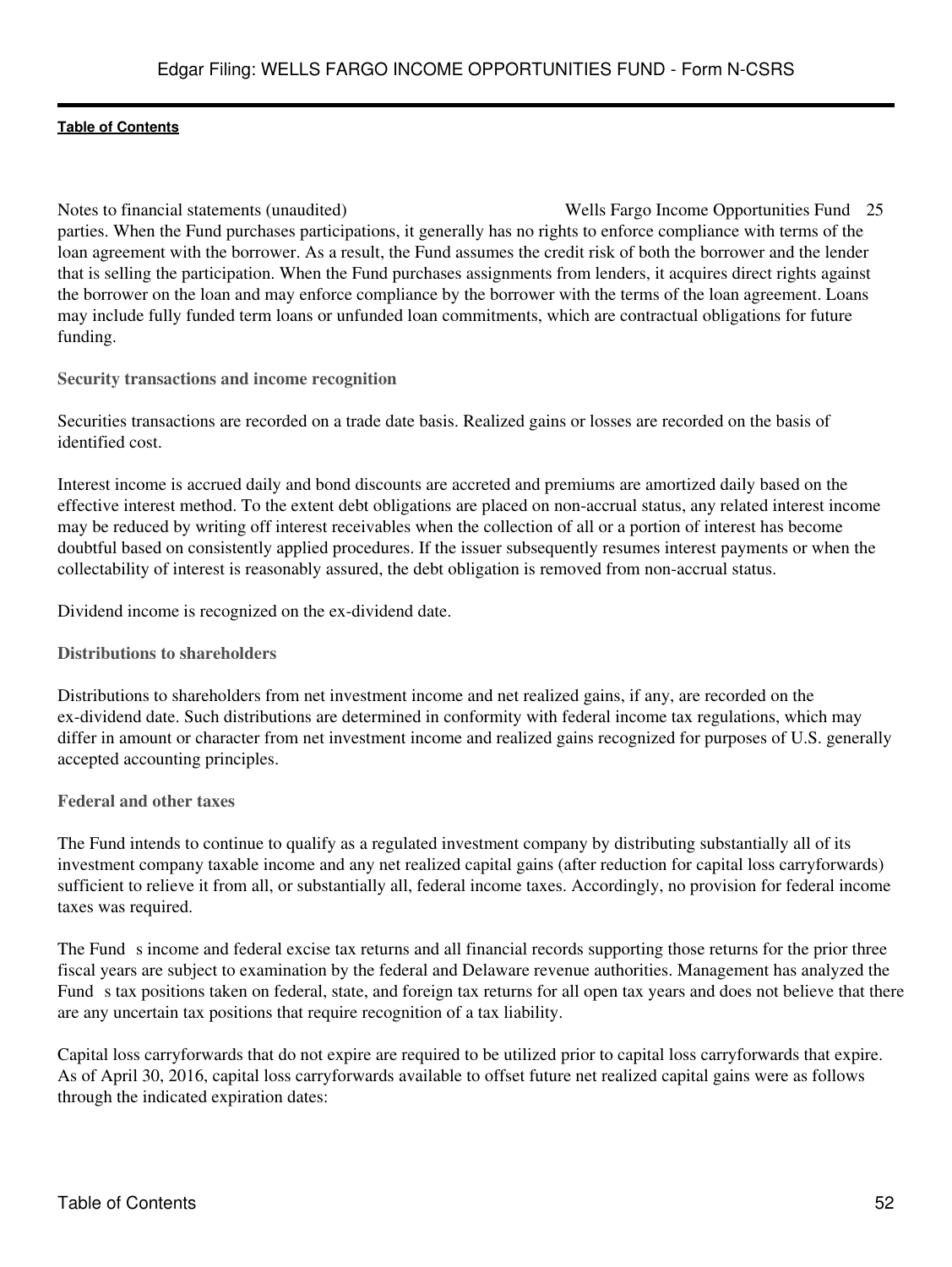Notes to financial statements (unaudited) Wells Fargo Income Opportunities Fund 25 parties. When the Fund purchases participations, it generally has no rights to enforce compliance with terms of the loan agreement with the borrower. As a result, the Fund assumes the credit risk of both the borrower and the lender that is selling the participation. When the Fund purchases assignments from lenders, it acquires direct rights against the borrower on the loan and may enforce compliance by the borrower with the terms of the loan agreement. Loans may include fully funded term loans or unfunded loan commitments, which are contractual obligations for future funding.

**Security transactions and income recognition**

Securities transactions are recorded on a trade date basis. Realized gains or losses are recorded on the basis of identified cost.

Interest income is accrued daily and bond discounts are accreted and premiums are amortized daily based on the effective interest method. To the extent debt obligations are placed on non-accrual status, any related interest income may be reduced by writing off interest receivables when the collection of all or a portion of interest has become doubtful based on consistently applied procedures. If the issuer subsequently resumes interest payments or when the collectability of interest is reasonably assured, the debt obligation is removed from non-accrual status.

Dividend income is recognized on the ex-dividend date.

**Distributions to shareholders**

Distributions to shareholders from net investment income and net realized gains, if any, are recorded on the ex-dividend date. Such distributions are determined in conformity with federal income tax regulations, which may differ in amount or character from net investment income and realized gains recognized for purposes of U.S. generally accepted accounting principles.

**Federal and other taxes**

The Fund intends to continue to qualify as a regulated investment company by distributing substantially all of its investment company taxable income and any net realized capital gains (after reduction for capital loss carryforwards) sufficient to relieve it from all, or substantially all, federal income taxes. Accordingly, no provision for federal income taxes was required.

The Funds income and federal excise tax returns and all financial records supporting those returns for the prior three fiscal years are subject to examination by the federal and Delaware revenue authorities. Management has analyzed the Fund s tax positions taken on federal, state, and foreign tax returns for all open tax years and does not believe that there are any uncertain tax positions that require recognition of a tax liability.

Capital loss carryforwards that do not expire are required to be utilized prior to capital loss carryforwards that expire. As of April 30, 2016, capital loss carryforwards available to offset future net realized capital gains were as follows through the indicated expiration dates: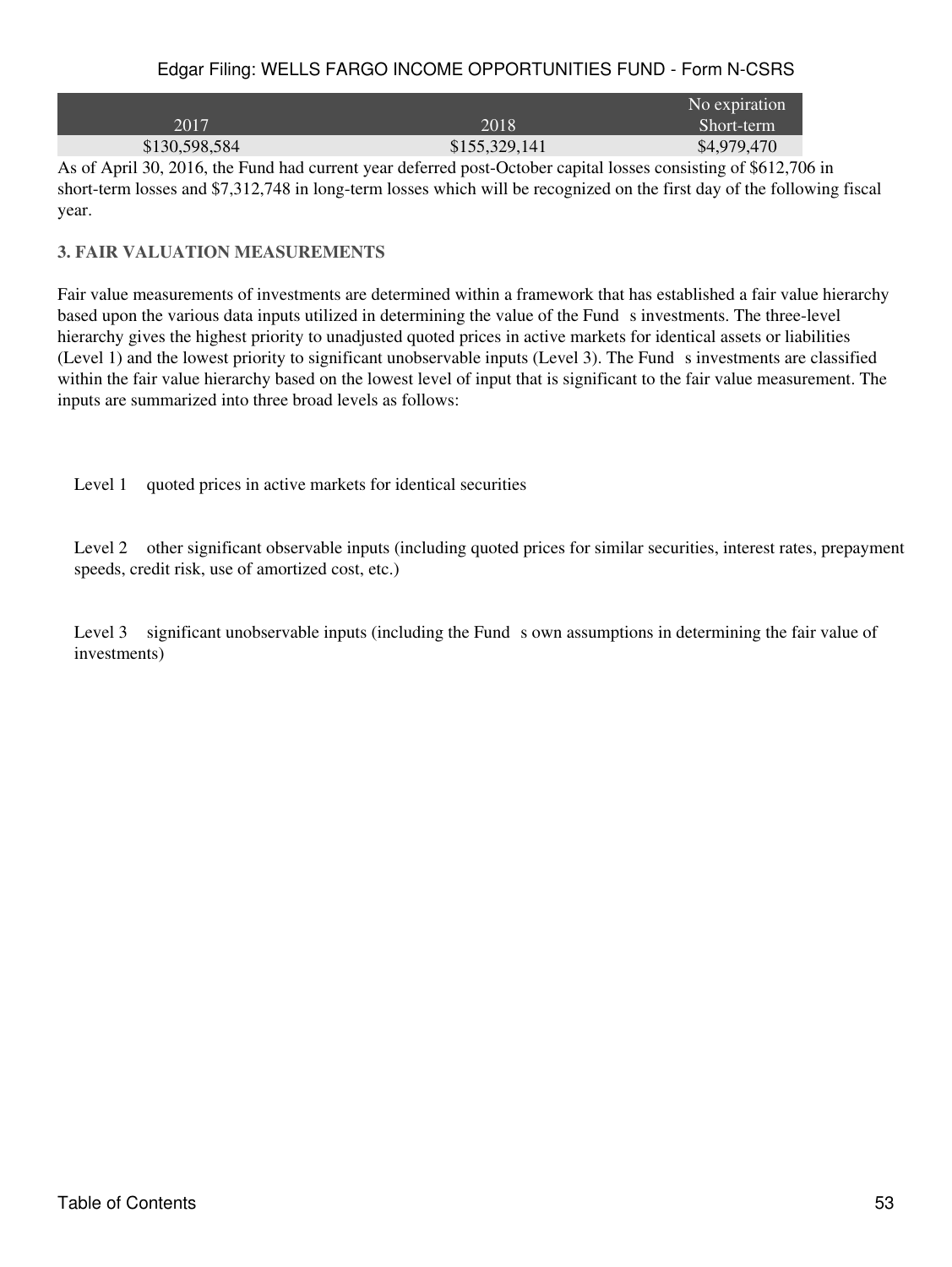|               |               | No expiration |
|---------------|---------------|---------------|
| 2017          | 2018          | Short-term    |
| \$130,598,584 | \$155,329,141 | \$4,979,470   |

As of April 30, 2016, the Fund had current year deferred post-October capital losses consisting of \$612,706 in short-term losses and \$7,312,748 in long-term losses which will be recognized on the first day of the following fiscal year.

# **3. FAIR VALUATION MEASUREMENTS**

Fair value measurements of investments are determined within a framework that has established a fair value hierarchy based upon the various data inputs utilized in determining the value of the Fund s investments. The three-level hierarchy gives the highest priority to unadjusted quoted prices in active markets for identical assets or liabilities (Level 1) and the lowest priority to significant unobservable inputs (Level 3). The Funds investments are classified within the fair value hierarchy based on the lowest level of input that is significant to the fair value measurement. The inputs are summarized into three broad levels as follows:

Level 1 quoted prices in active markets for identical securities

Level 2 other significant observable inputs (including quoted prices for similar securities, interest rates, prepayment speeds, credit risk, use of amortized cost, etc.)

Level 3 significant unobservable inputs (including the Funds own assumptions in determining the fair value of investments)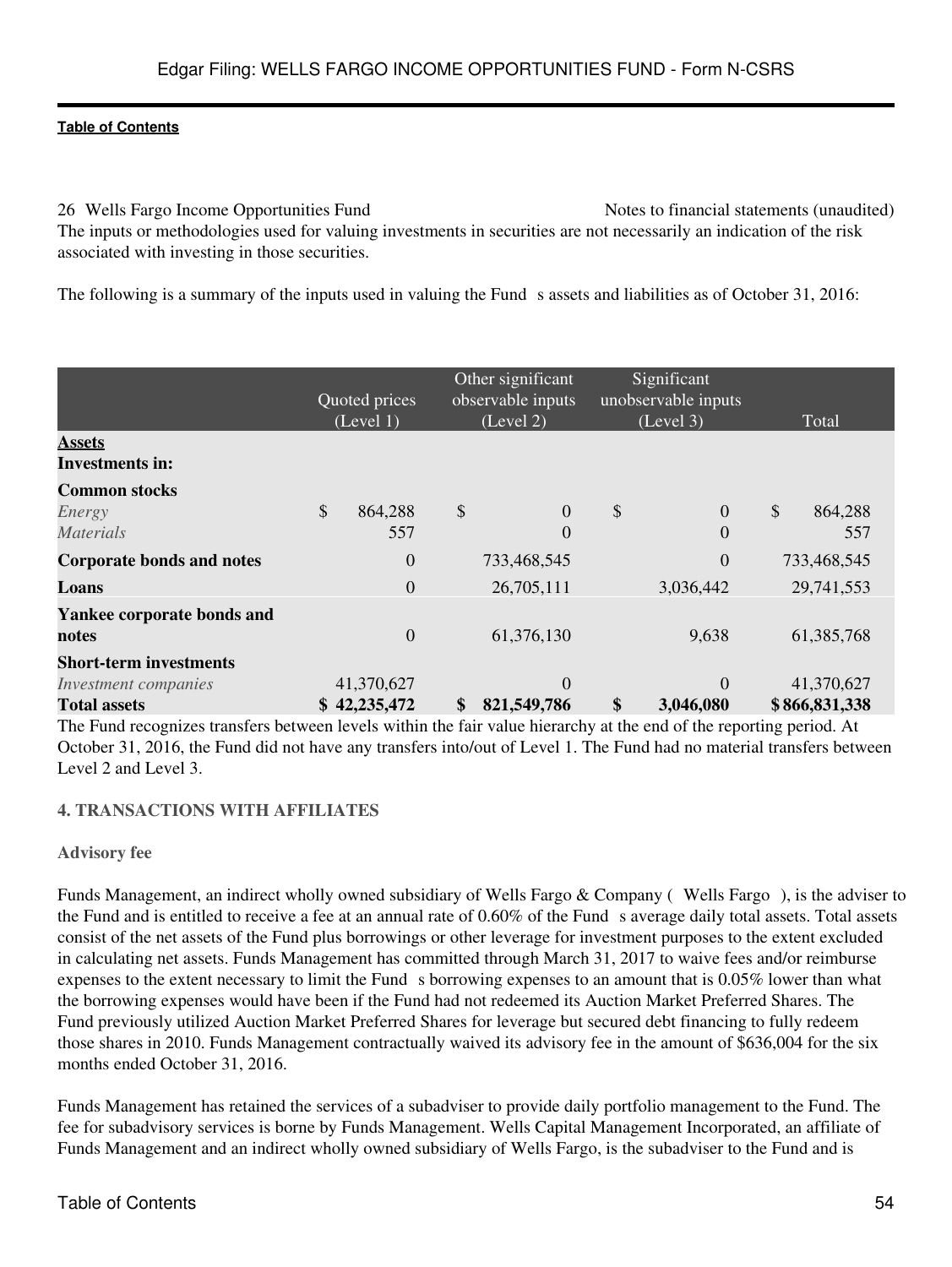26 Wells Fargo Income Opportunities Fund Notes to financial statements (unaudited) The inputs or methodologies used for valuing investments in securities are not necessarily an indication of the risk associated with investing in those securities.

The following is a summary of the inputs used in valuing the Fund s assets and liabilities as of October 31, 2016:

|                |                                                          |          |                                                                                                               |           |                                                 | Total                                                                                                                       |
|----------------|----------------------------------------------------------|----------|---------------------------------------------------------------------------------------------------------------|-----------|-------------------------------------------------|-----------------------------------------------------------------------------------------------------------------------------|
|                |                                                          |          |                                                                                                               |           |                                                 |                                                                                                                             |
|                |                                                          |          |                                                                                                               |           |                                                 |                                                                                                                             |
| \$<br>864,288  | \$                                                       | $\theta$ | \$                                                                                                            | $\Omega$  | $\mathcal{S}$                                   | 864,288                                                                                                                     |
| 557            |                                                          | $\Omega$ |                                                                                                               | $\Omega$  |                                                 | 557                                                                                                                         |
| $\theta$       |                                                          |          |                                                                                                               | $\Omega$  |                                                 | 733,468,545                                                                                                                 |
| $\overline{0}$ |                                                          |          |                                                                                                               | 3,036,442 |                                                 | 29,741,553                                                                                                                  |
|                |                                                          |          |                                                                                                               |           |                                                 |                                                                                                                             |
| $\overline{0}$ |                                                          |          |                                                                                                               | 9,638     |                                                 | 61,385,768                                                                                                                  |
|                |                                                          |          |                                                                                                               |           |                                                 |                                                                                                                             |
|                |                                                          | $\Omega$ |                                                                                                               | $\Omega$  |                                                 | 41,370,627                                                                                                                  |
|                | \$                                                       |          | $\mathbf{\$}$                                                                                                 | 3,046,080 |                                                 | \$866,831,338                                                                                                               |
|                | Quoted prices<br>(Level 1)<br>41,370,627<br>\$42,235,472 |          | Other significant<br>observable inputs<br>(Level 2)<br>733,468,545<br>26,705,111<br>61,376,130<br>821,549,786 |           | Significant<br>unobservable inputs<br>(Level 3) | The Found are openings togethers heaters on levels within the foin value biomerates of the and of the accounts opening A.A. |

The Fund recognizes transfers between levels within the fair value hierarchy at the end of the reporting period. At October 31, 2016, the Fund did not have any transfers into/out of Level 1. The Fund had no material transfers between Level 2 and Level 3.

# **4. TRANSACTIONS WITH AFFILIATES**

# **Advisory fee**

Funds Management, an indirect wholly owned subsidiary of Wells Fargo & Company (Wells Fargo), is the adviser to the Fund and is entitled to receive a fee at an annual rate of  $0.60\%$  of the Fund s average daily total assets. Total assets consist of the net assets of the Fund plus borrowings or other leverage for investment purposes to the extent excluded in calculating net assets. Funds Management has committed through March 31, 2017 to waive fees and/or reimburse expenses to the extent necessary to limit the Fund s borrowing expenses to an amount that is  $0.05\%$  lower than what the borrowing expenses would have been if the Fund had not redeemed its Auction Market Preferred Shares. The Fund previously utilized Auction Market Preferred Shares for leverage but secured debt financing to fully redeem those shares in 2010. Funds Management contractually waived its advisory fee in the amount of \$636,004 for the six months ended October 31, 2016.

Funds Management has retained the services of a subadviser to provide daily portfolio management to the Fund. The fee for subadvisory services is borne by Funds Management. Wells Capital Management Incorporated, an affiliate of Funds Management and an indirect wholly owned subsidiary of Wells Fargo, is the subadviser to the Fund and is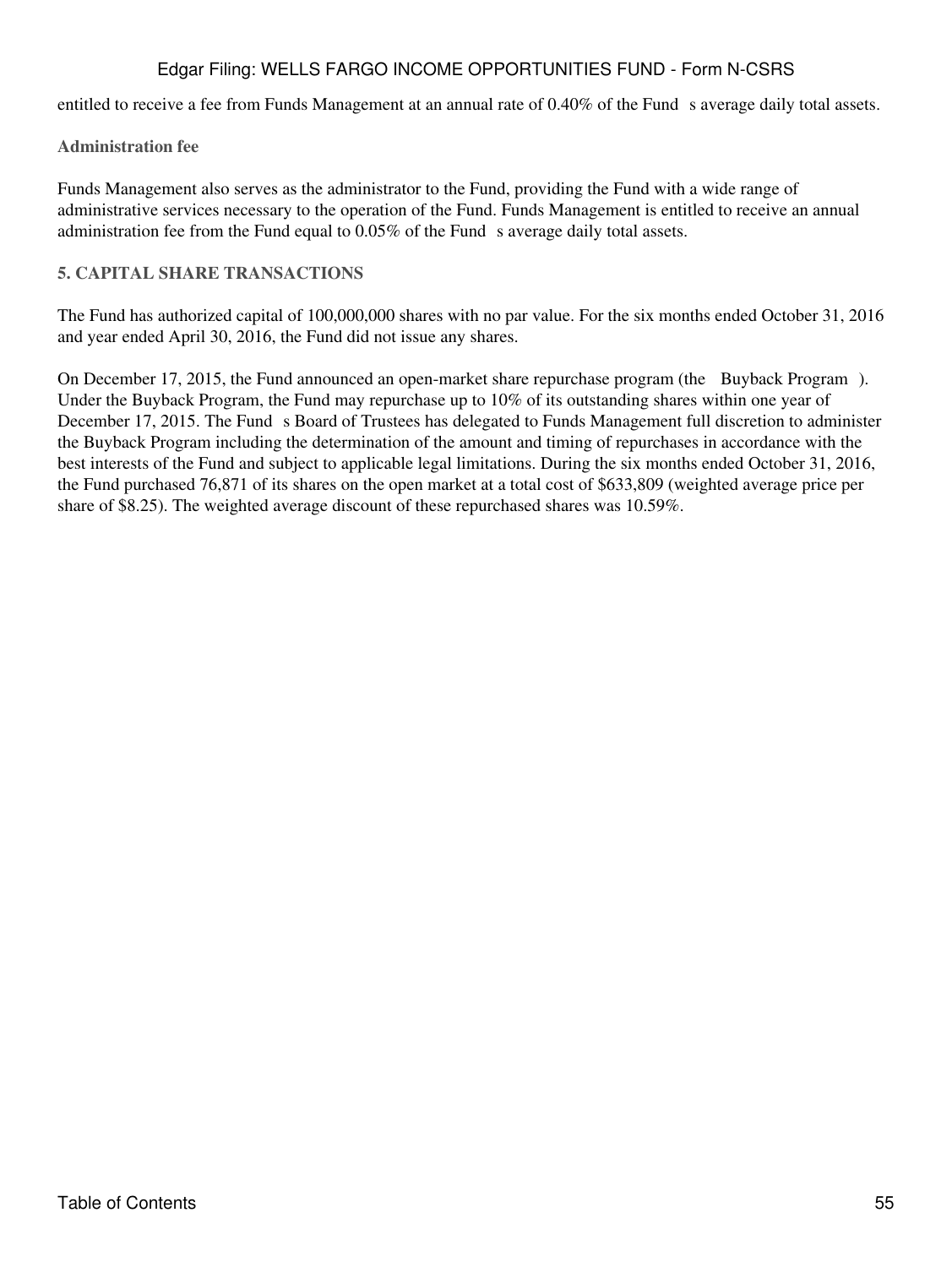entitled to receive a fee from Funds Management at an annual rate of 0.40% of the Fund s average daily total assets.

# **Administration fee**

Funds Management also serves as the administrator to the Fund, providing the Fund with a wide range of administrative services necessary to the operation of the Fund. Funds Management is entitled to receive an annual administration fee from the Fund equal to  $0.05\%$  of the Fund s average daily total assets.

# **5. CAPITAL SHARE TRANSACTIONS**

The Fund has authorized capital of 100,000,000 shares with no par value. For the six months ended October 31, 2016 and year ended April 30, 2016, the Fund did not issue any shares.

On December 17, 2015, the Fund announced an open-market share repurchase program (the Buyback Program). Under the Buyback Program, the Fund may repurchase up to 10% of its outstanding shares within one year of December 17, 2015. The Fund s Board of Trustees has delegated to Funds Management full discretion to administer the Buyback Program including the determination of the amount and timing of repurchases in accordance with the best interests of the Fund and subject to applicable legal limitations. During the six months ended October 31, 2016, the Fund purchased 76,871 of its shares on the open market at a total cost of \$633,809 (weighted average price per share of \$8.25). The weighted average discount of these repurchased shares was 10.59%.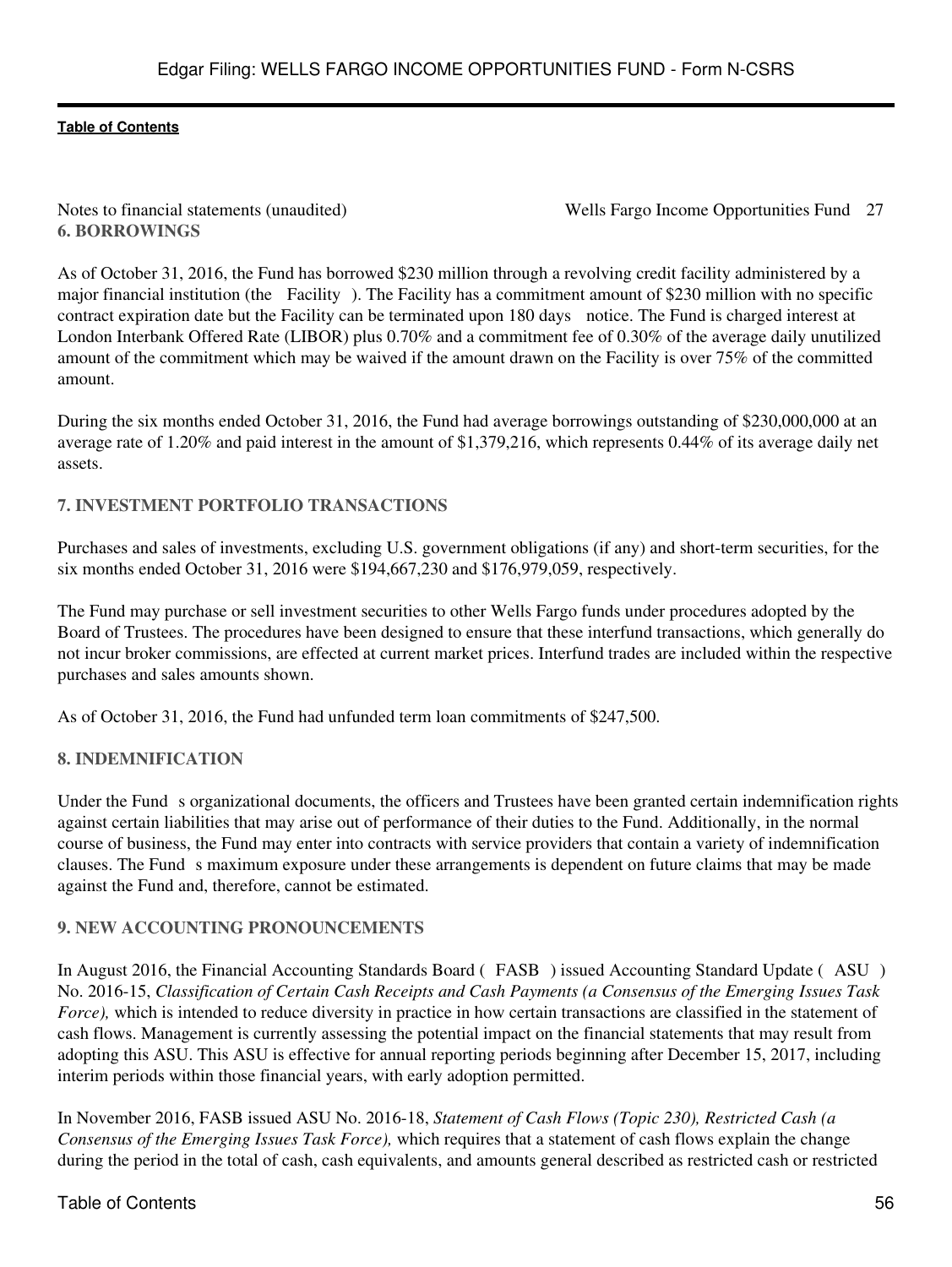**6. BORROWINGS**

Notes to financial statements (unaudited) Wells Fargo Income Opportunities Fund 27

As of October 31, 2016, the Fund has borrowed \$230 million through a revolving credit facility administered by a major financial institution (the Facility). The Facility has a commitment amount of \$230 million with no specific contract expiration date but the Facility can be terminated upon 180 days notice. The Fund is charged interest at London Interbank Offered Rate (LIBOR) plus 0.70% and a commitment fee of 0.30% of the average daily unutilized amount of the commitment which may be waived if the amount drawn on the Facility is over 75% of the committed amount.

During the six months ended October 31, 2016, the Fund had average borrowings outstanding of \$230,000,000 at an average rate of 1.20% and paid interest in the amount of \$1,379,216, which represents 0.44% of its average daily net assets.

# **7. INVESTMENT PORTFOLIO TRANSACTIONS**

Purchases and sales of investments, excluding U.S. government obligations (if any) and short-term securities, for the six months ended October 31, 2016 were \$194,667,230 and \$176,979,059, respectively.

The Fund may purchase or sell investment securities to other Wells Fargo funds under procedures adopted by the Board of Trustees. The procedures have been designed to ensure that these interfund transactions, which generally do not incur broker commissions, are effected at current market prices. Interfund trades are included within the respective purchases and sales amounts shown.

As of October 31, 2016, the Fund had unfunded term loan commitments of \$247,500.

# **8. INDEMNIFICATION**

Under the Fund s organizational documents, the officers and Trustees have been granted certain indemnification rights against certain liabilities that may arise out of performance of their duties to the Fund. Additionally, in the normal course of business, the Fund may enter into contracts with service providers that contain a variety of indemnification clauses. The Fund s maximum exposure under these arrangements is dependent on future claims that may be made against the Fund and, therefore, cannot be estimated.

# **9. NEW ACCOUNTING PRONOUNCEMENTS**

In August 2016, the Financial Accounting Standards Board (FASB) issued Accounting Standard Update (ASU) No. 2016-15, *Classification of Certain Cash Receipts and Cash Payments (a Consensus of the Emerging Issues Task Force*), which is intended to reduce diversity in practice in how certain transactions are classified in the statement of cash flows. Management is currently assessing the potential impact on the financial statements that may result from adopting this ASU. This ASU is effective for annual reporting periods beginning after December 15, 2017, including interim periods within those financial years, with early adoption permitted.

In November 2016, FASB issued ASU No. 2016-18, *Statement of Cash Flows (Topic 230), Restricted Cash (a Consensus of the Emerging Issues Task Force),* which requires that a statement of cash flows explain the change during the period in the total of cash, cash equivalents, and amounts general described as restricted cash or restricted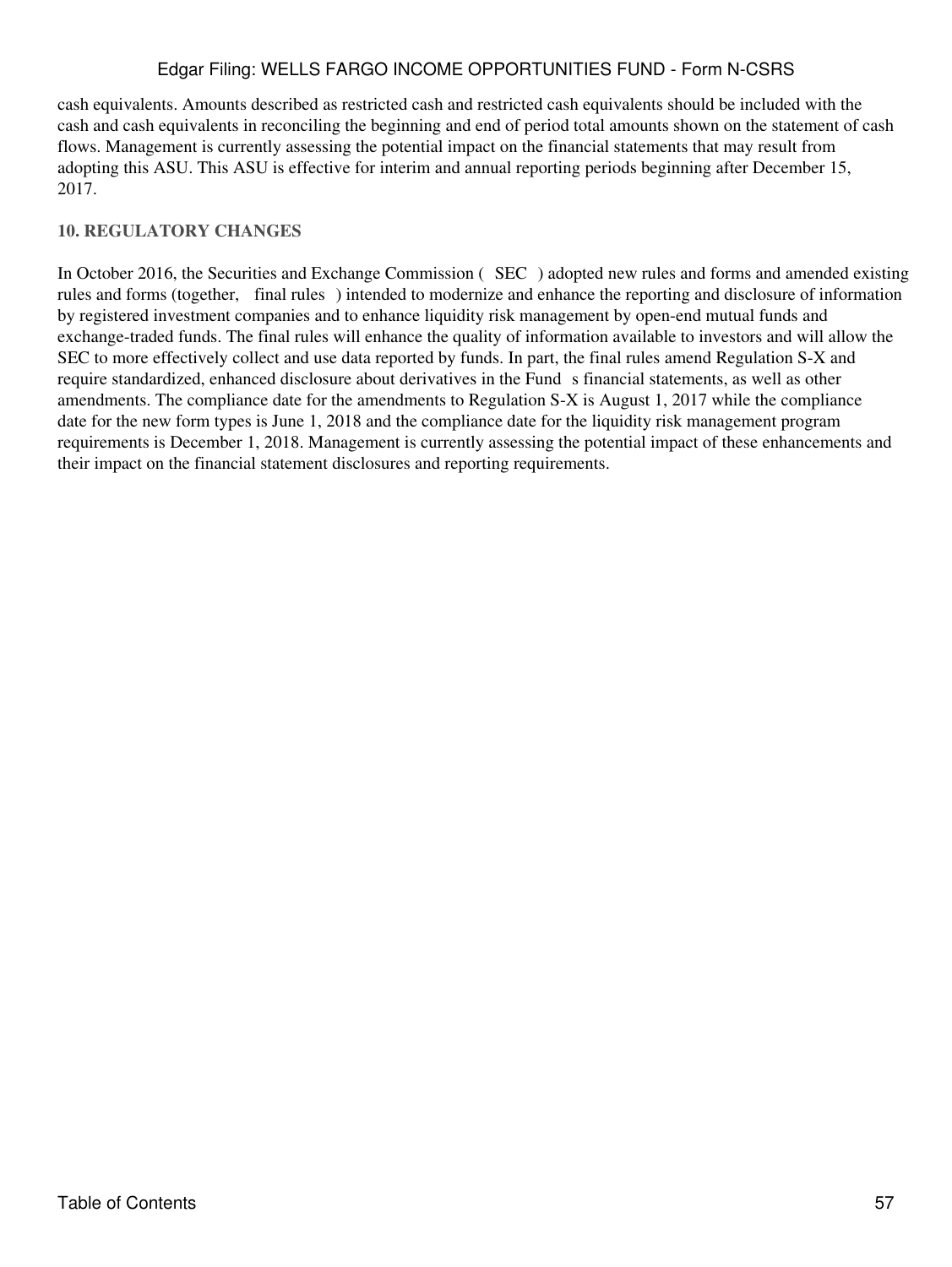cash equivalents. Amounts described as restricted cash and restricted cash equivalents should be included with the cash and cash equivalents in reconciling the beginning and end of period total amounts shown on the statement of cash flows. Management is currently assessing the potential impact on the financial statements that may result from adopting this ASU. This ASU is effective for interim and annual reporting periods beginning after December 15, 2017.

# **10. REGULATORY CHANGES**

In October 2016, the Securities and Exchange Commission (SEC) adopted new rules and forms and amended existing rules and forms (together, final rules) intended to modernize and enhance the reporting and disclosure of information by registered investment companies and to enhance liquidity risk management by open-end mutual funds and exchange-traded funds. The final rules will enhance the quality of information available to investors and will allow the SEC to more effectively collect and use data reported by funds. In part, the final rules amend Regulation S-X and require standardized, enhanced disclosure about derivatives in the Fund s financial statements, as well as other amendments. The compliance date for the amendments to Regulation S-X is August 1, 2017 while the compliance date for the new form types is June 1, 2018 and the compliance date for the liquidity risk management program requirements is December 1, 2018. Management is currently assessing the potential impact of these enhancements and their impact on the financial statement disclosures and reporting requirements.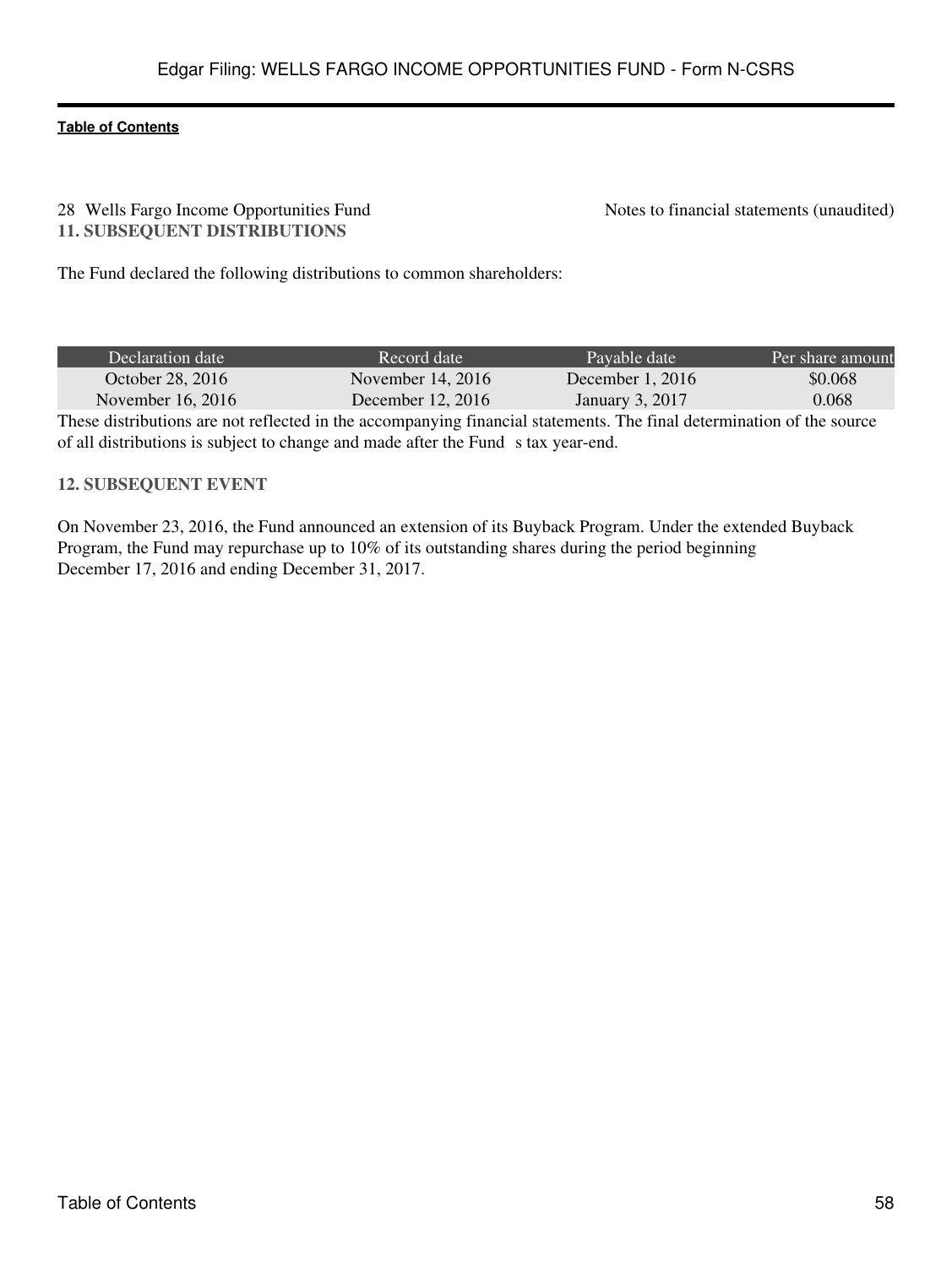#### 28 Wells Fargo Income Opportunities Fund Notes to financial statements (unaudited) **11. SUBSEQUENT DISTRIBUTIONS**

The Fund declared the following distributions to common shareholders:

| Declaration date  | Record date         | Pavable date       | Per share amount |
|-------------------|---------------------|--------------------|------------------|
| October 28, 2016  | November $14, 2016$ | December 1, $2016$ | \$0.068          |
| November 16, 2016 | December 12, 2016   | January 3, 2017    | 0.068            |

These distributions are not reflected in the accompanying financial statements. The final determination of the source of all distributions is subject to change and made after the Fund s tax year-end.

# **12. SUBSEQUENT EVENT**

On November 23, 2016, the Fund announced an extension of its Buyback Program. Under the extended Buyback Program, the Fund may repurchase up to 10% of its outstanding shares during the period beginning December 17, 2016 and ending December 31, 2017.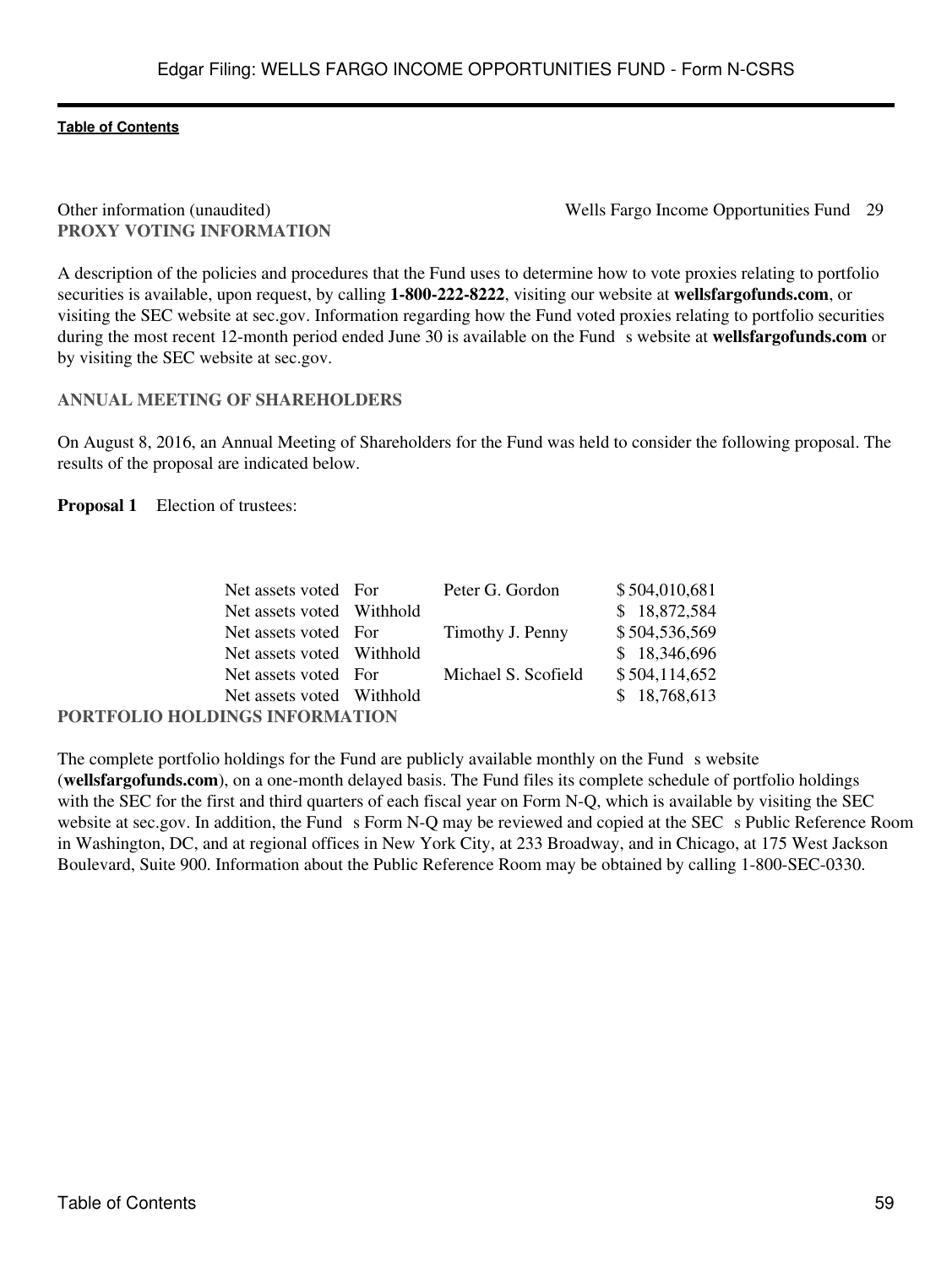# **PROXY VOTING INFORMATION**

Other information (unaudited) Wells Fargo Income Opportunities Fund 29

A description of the policies and procedures that the Fund uses to determine how to vote proxies relating to portfolio securities is available, upon request, by calling **1-800-222-8222**, visiting our website at **wellsfargofunds.com**, or visiting the SEC website at sec.gov. Information regarding how the Fund voted proxies relating to portfolio securities during the most recent 12-month period ended June 30 is available on the Funds website at **wellsfargofunds.com** or by visiting the SEC website at sec.gov.

# **ANNUAL MEETING OF SHAREHOLDERS**

On August 8, 2016, an Annual Meeting of Shareholders for the Fund was held to consider the following proposal. The results of the proposal are indicated below.

**Proposal 1** Election of trustees:

| Net assets voted For           | Peter G. Gordon     | \$504,010,681 |
|--------------------------------|---------------------|---------------|
| Net assets voted Withhold      |                     | \$18,872,584  |
| Net assets voted For           | Timothy J. Penny    | \$504,536,569 |
| Net assets voted Withhold      |                     | \$18,346,696  |
| Net assets voted For           | Michael S. Scofield | \$504,114,652 |
| Net assets voted Withhold      |                     | \$18,768,613  |
| PORTFOLIO HOLDINGS INFORMATION |                     |               |

The complete portfolio holdings for the Fund are publicly available monthly on the Fund s website (**wellsfargofunds.com**), on a one-month delayed basis. The Fund files its complete schedule of portfolio holdings with the SEC for the first and third quarters of each fiscal year on Form N-Q, which is available by visiting the SEC website at sec.gov. In addition, the Fund s Form N-Q may be reviewed and copied at the SEC s Public Reference Room in Washington, DC, and at regional offices in New York City, at 233 Broadway, and in Chicago, at 175 West Jackson Boulevard, Suite 900. Information about the Public Reference Room may be obtained by calling 1-800-SEC-0330.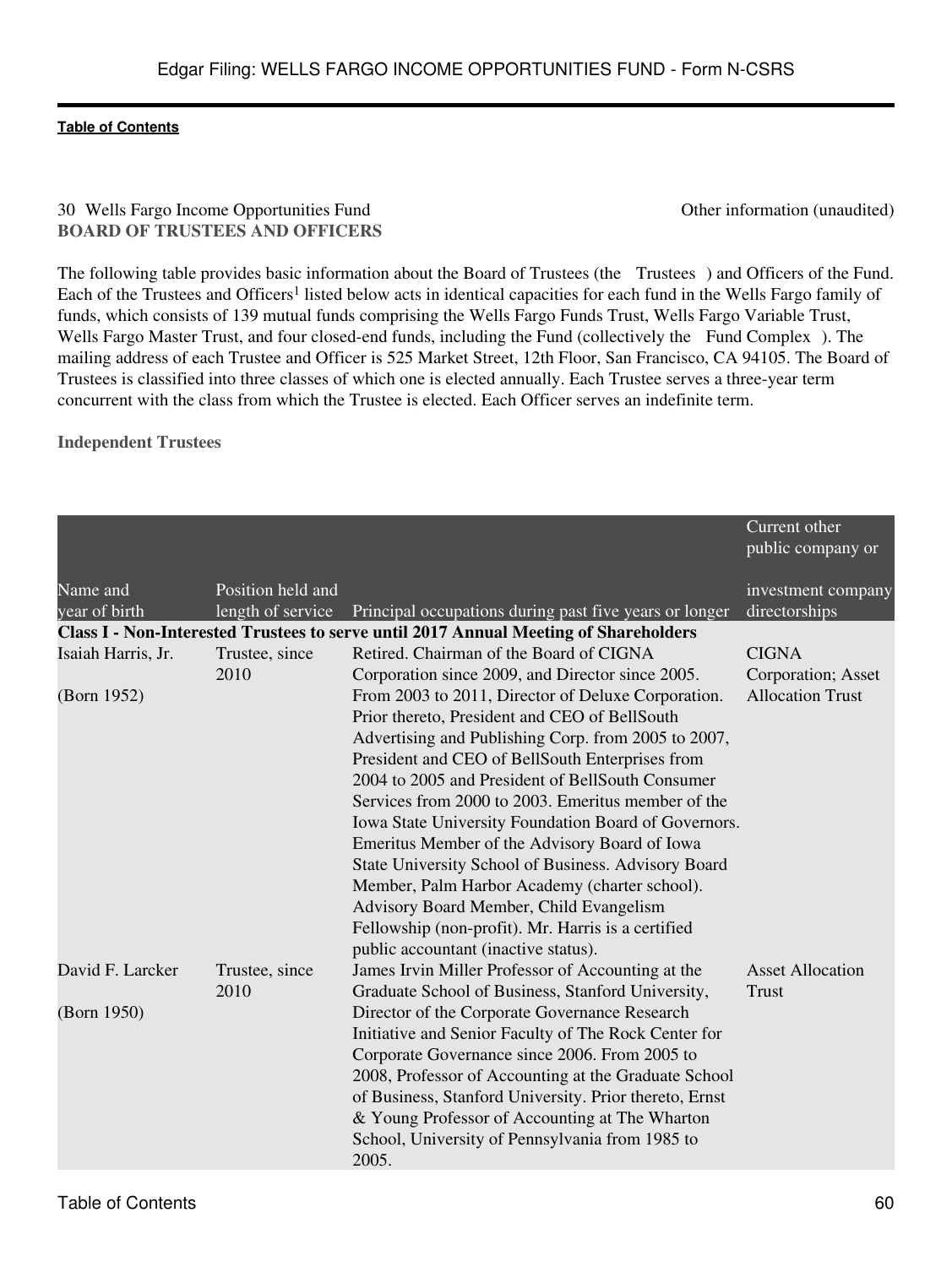# 30 Wells Fargo Income Opportunities Fund Other information (unaudited) **BOARD OF TRUSTEES AND OFFICERS**

The following table provides basic information about the Board of Trustees (the Trustees) and Officers of the Fund. Each of the Trustees and Officers<sup>1</sup> listed below acts in identical capacities for each fund in the Wells Fargo family of funds, which consists of 139 mutual funds comprising the Wells Fargo Funds Trust, Wells Fargo Variable Trust, Wells Fargo Master Trust, and four closed-end funds, including the Fund (collectively the Fund Complex). The mailing address of each Trustee and Officer is 525 Market Street, 12th Floor, San Francisco, CA 94105. The Board of Trustees is classified into three classes of which one is elected annually. Each Trustee serves a three-year term concurrent with the class from which the Trustee is elected. Each Officer serves an indefinite term.

**Independent Trustees**

|                    |                   |                                                                                             | Current other<br>public company or |
|--------------------|-------------------|---------------------------------------------------------------------------------------------|------------------------------------|
| Name and           | Position held and |                                                                                             | investment company                 |
| year of birth      | length of service | Principal occupations during past five years or longer                                      | directorships                      |
|                    |                   | <b>Class I - Non-Interested Trustees to serve until 2017 Annual Meeting of Shareholders</b> |                                    |
| Isaiah Harris, Jr. | Trustee, since    | Retired. Chairman of the Board of CIGNA                                                     | <b>CIGNA</b>                       |
|                    | 2010              | Corporation since 2009, and Director since 2005.                                            | Corporation; Asset                 |
| (Born 1952)        |                   | From 2003 to 2011, Director of Deluxe Corporation.                                          | <b>Allocation Trust</b>            |
|                    |                   | Prior thereto, President and CEO of BellSouth                                               |                                    |
|                    |                   | Advertising and Publishing Corp. from 2005 to 2007,                                         |                                    |
|                    |                   | President and CEO of BellSouth Enterprises from                                             |                                    |
|                    |                   | 2004 to 2005 and President of BellSouth Consumer                                            |                                    |
|                    |                   | Services from 2000 to 2003. Emeritus member of the                                          |                                    |
|                    |                   | Iowa State University Foundation Board of Governors.                                        |                                    |
|                    |                   | Emeritus Member of the Advisory Board of Iowa                                               |                                    |
|                    |                   | State University School of Business. Advisory Board                                         |                                    |
|                    |                   | Member, Palm Harbor Academy (charter school).                                               |                                    |
|                    |                   | Advisory Board Member, Child Evangelism                                                     |                                    |
|                    |                   | Fellowship (non-profit). Mr. Harris is a certified                                          |                                    |
|                    |                   | public accountant (inactive status).                                                        |                                    |
| David F. Larcker   | Trustee, since    | James Irvin Miller Professor of Accounting at the                                           | <b>Asset Allocation</b>            |
|                    | 2010              | Graduate School of Business, Stanford University,                                           | <b>Trust</b>                       |
| (Born 1950)        |                   | Director of the Corporate Governance Research                                               |                                    |
|                    |                   | Initiative and Senior Faculty of The Rock Center for                                        |                                    |
|                    |                   | Corporate Governance since 2006. From 2005 to                                               |                                    |
|                    |                   | 2008, Professor of Accounting at the Graduate School                                        |                                    |
|                    |                   | of Business, Stanford University. Prior thereto, Ernst                                      |                                    |
|                    |                   | & Young Professor of Accounting at The Wharton                                              |                                    |
|                    |                   | School, University of Pennsylvania from 1985 to                                             |                                    |
|                    |                   | 2005.                                                                                       |                                    |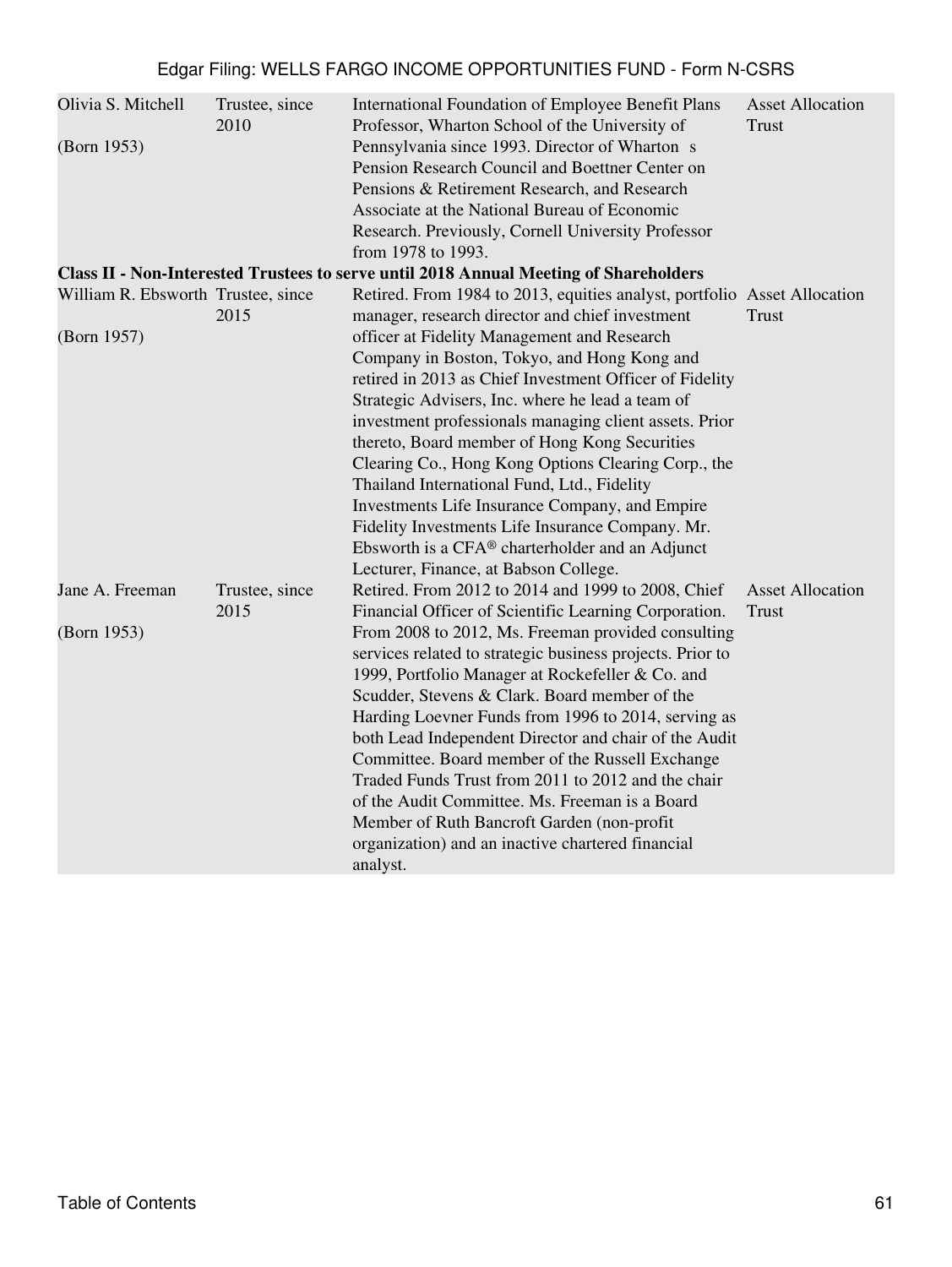| Olivia S. Mitchell                 | Trustee, since<br>2010 | <b>International Foundation of Employee Benefit Plans</b><br>Professor, Wharton School of the University of | <b>Asset Allocation</b><br><b>Trust</b> |
|------------------------------------|------------------------|-------------------------------------------------------------------------------------------------------------|-----------------------------------------|
| (Born 1953)                        |                        | Pennsylvania since 1993. Director of Wharton s                                                              |                                         |
|                                    |                        | Pension Research Council and Boettner Center on                                                             |                                         |
|                                    |                        | Pensions & Retirement Research, and Research                                                                |                                         |
|                                    |                        | Associate at the National Bureau of Economic                                                                |                                         |
|                                    |                        | Research. Previously, Cornell University Professor                                                          |                                         |
|                                    |                        | from 1978 to 1993.                                                                                          |                                         |
|                                    |                        | Class II - Non-Interested Trustees to serve until 2018 Annual Meeting of Shareholders                       |                                         |
| William R. Ebsworth Trustee, since |                        | Retired. From 1984 to 2013, equities analyst, portfolio Asset Allocation                                    |                                         |
|                                    | 2015                   | manager, research director and chief investment                                                             | <b>Trust</b>                            |
| (Born 1957)                        |                        | officer at Fidelity Management and Research                                                                 |                                         |
|                                    |                        | Company in Boston, Tokyo, and Hong Kong and                                                                 |                                         |
|                                    |                        | retired in 2013 as Chief Investment Officer of Fidelity                                                     |                                         |
|                                    |                        | Strategic Advisers, Inc. where he lead a team of                                                            |                                         |
|                                    |                        | investment professionals managing client assets. Prior                                                      |                                         |
|                                    |                        | thereto, Board member of Hong Kong Securities                                                               |                                         |
|                                    |                        | Clearing Co., Hong Kong Options Clearing Corp., the                                                         |                                         |
|                                    |                        | Thailand International Fund, Ltd., Fidelity                                                                 |                                         |
|                                    |                        | Investments Life Insurance Company, and Empire                                                              |                                         |
|                                    |                        | Fidelity Investments Life Insurance Company. Mr.                                                            |                                         |
|                                    |                        | Ebsworth is a $CFA^{\circledast}$ charterholder and an Adjunct                                              |                                         |
|                                    |                        | Lecturer, Finance, at Babson College.                                                                       |                                         |
| Jane A. Freeman                    | Trustee, since         | Retired. From 2012 to 2014 and 1999 to 2008, Chief                                                          | <b>Asset Allocation</b>                 |
|                                    | 2015                   | Financial Officer of Scientific Learning Corporation.                                                       | <b>Trust</b>                            |
| (Born 1953)                        |                        | From 2008 to 2012, Ms. Freeman provided consulting                                                          |                                         |
|                                    |                        | services related to strategic business projects. Prior to                                                   |                                         |
|                                    |                        |                                                                                                             |                                         |
|                                    |                        | 1999, Portfolio Manager at Rockefeller & Co. and                                                            |                                         |
|                                    |                        | Scudder, Stevens & Clark. Board member of the                                                               |                                         |
|                                    |                        | Harding Loevner Funds from 1996 to 2014, serving as                                                         |                                         |
|                                    |                        | both Lead Independent Director and chair of the Audit                                                       |                                         |
|                                    |                        | Committee. Board member of the Russell Exchange                                                             |                                         |
|                                    |                        | Traded Funds Trust from 2011 to 2012 and the chair                                                          |                                         |
|                                    |                        | of the Audit Committee. Ms. Freeman is a Board                                                              |                                         |
|                                    |                        | Member of Ruth Bancroft Garden (non-profit                                                                  |                                         |
|                                    |                        | organization) and an inactive chartered financial                                                           |                                         |
|                                    |                        | analyst.                                                                                                    |                                         |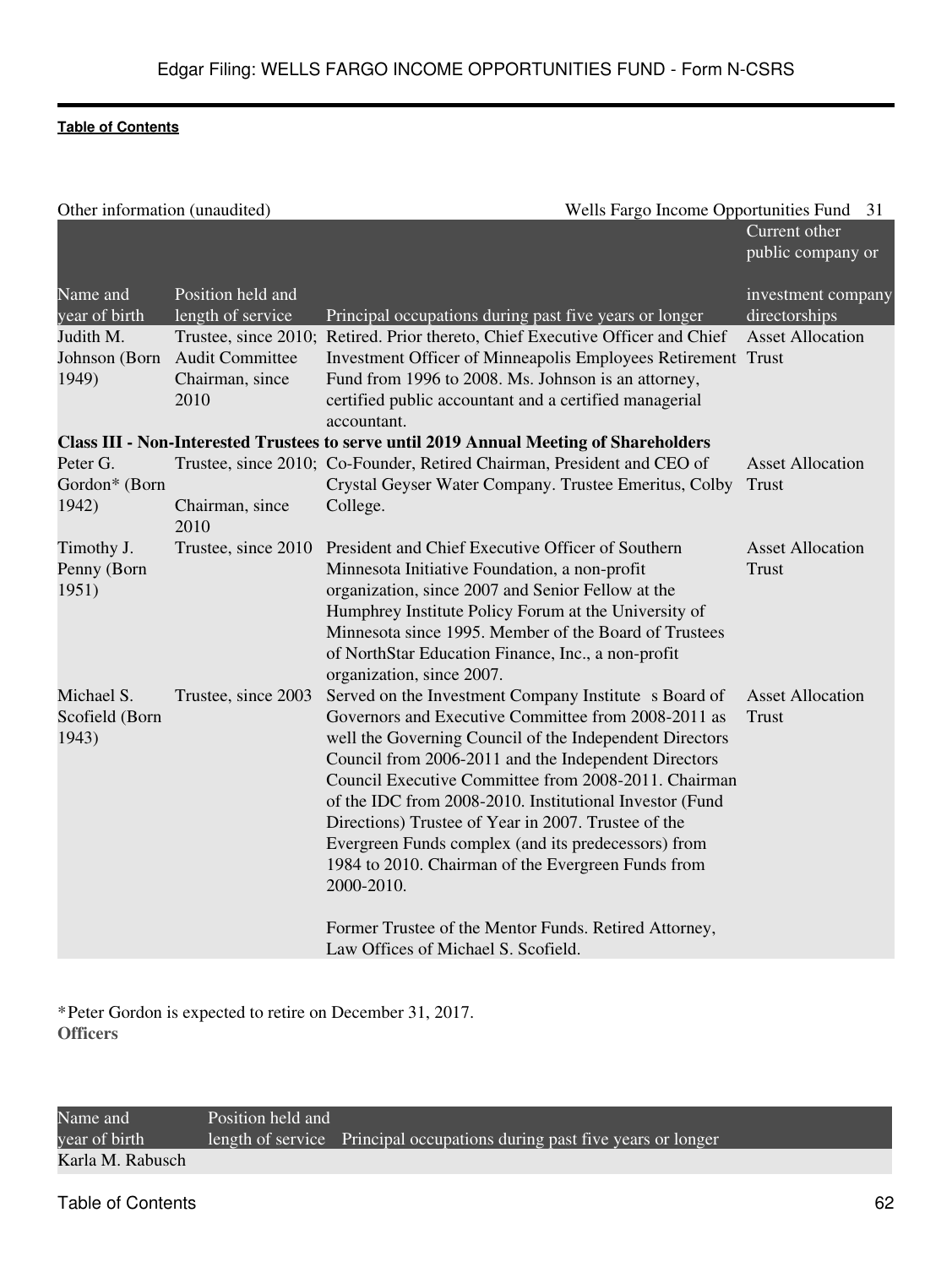| Other information (unaudited)         |                                                   | Wells Fargo Income Opportunities Fund                                                                                                                                                                                                                                                                                                                                                                                                                                                                                                | 31                                      |
|---------------------------------------|---------------------------------------------------|--------------------------------------------------------------------------------------------------------------------------------------------------------------------------------------------------------------------------------------------------------------------------------------------------------------------------------------------------------------------------------------------------------------------------------------------------------------------------------------------------------------------------------------|-----------------------------------------|
|                                       |                                                   |                                                                                                                                                                                                                                                                                                                                                                                                                                                                                                                                      | Current other<br>public company or      |
| Name and<br>year of birth             | Position held and<br>length of service            | Principal occupations during past five years or longer                                                                                                                                                                                                                                                                                                                                                                                                                                                                               | investment company<br>directorships     |
| Judith M.<br>Johnson (Born<br>1949)   | <b>Audit Committee</b><br>Chairman, since<br>2010 | Trustee, since 2010; Retired. Prior thereto, Chief Executive Officer and Chief<br>Investment Officer of Minneapolis Employees Retirement Trust<br>Fund from 1996 to 2008. Ms. Johnson is an attorney,<br>certified public accountant and a certified managerial<br>accountant.                                                                                                                                                                                                                                                       | <b>Asset Allocation</b>                 |
|                                       |                                                   | <b>Class III - Non-Interested Trustees to serve until 2019 Annual Meeting of Shareholders</b>                                                                                                                                                                                                                                                                                                                                                                                                                                        |                                         |
| Peter G.<br>Gordon* (Born<br>1942)    | Chairman, since<br>2010                           | Trustee, since 2010; Co-Founder, Retired Chairman, President and CEO of<br>Crystal Geyser Water Company. Trustee Emeritus, Colby<br>College.                                                                                                                                                                                                                                                                                                                                                                                         | <b>Asset Allocation</b><br><b>Trust</b> |
| Timothy J.<br>Penny (Born<br>1951)    |                                                   | Trustee, since 2010 President and Chief Executive Officer of Southern<br>Minnesota Initiative Foundation, a non-profit<br>organization, since 2007 and Senior Fellow at the<br>Humphrey Institute Policy Forum at the University of<br>Minnesota since 1995. Member of the Board of Trustees<br>of NorthStar Education Finance, Inc., a non-profit<br>organization, since 2007.                                                                                                                                                      | <b>Asset Allocation</b><br><b>Trust</b> |
| Michael S.<br>Scofield (Born<br>1943) | Trustee, since 2003                               | Served on the Investment Company Institute s Board of<br>Governors and Executive Committee from 2008-2011 as<br>well the Governing Council of the Independent Directors<br>Council from 2006-2011 and the Independent Directors<br>Council Executive Committee from 2008-2011. Chairman<br>of the IDC from 2008-2010. Institutional Investor (Fund<br>Directions) Trustee of Year in 2007. Trustee of the<br>Evergreen Funds complex (and its predecessors) from<br>1984 to 2010. Chairman of the Evergreen Funds from<br>2000-2010. | <b>Asset Allocation</b><br><b>Trust</b> |
|                                       |                                                   | Former Trustee of the Mentor Funds. Retired Attorney,<br>Law Offices of Michael S. Scofield.                                                                                                                                                                                                                                                                                                                                                                                                                                         |                                         |

\*Peter Gordon is expected to retire on December 31, 2017. **Officers**

Name and year of birth Position held and length of service Principal occupations during past five years or longer Karla M. Rabusch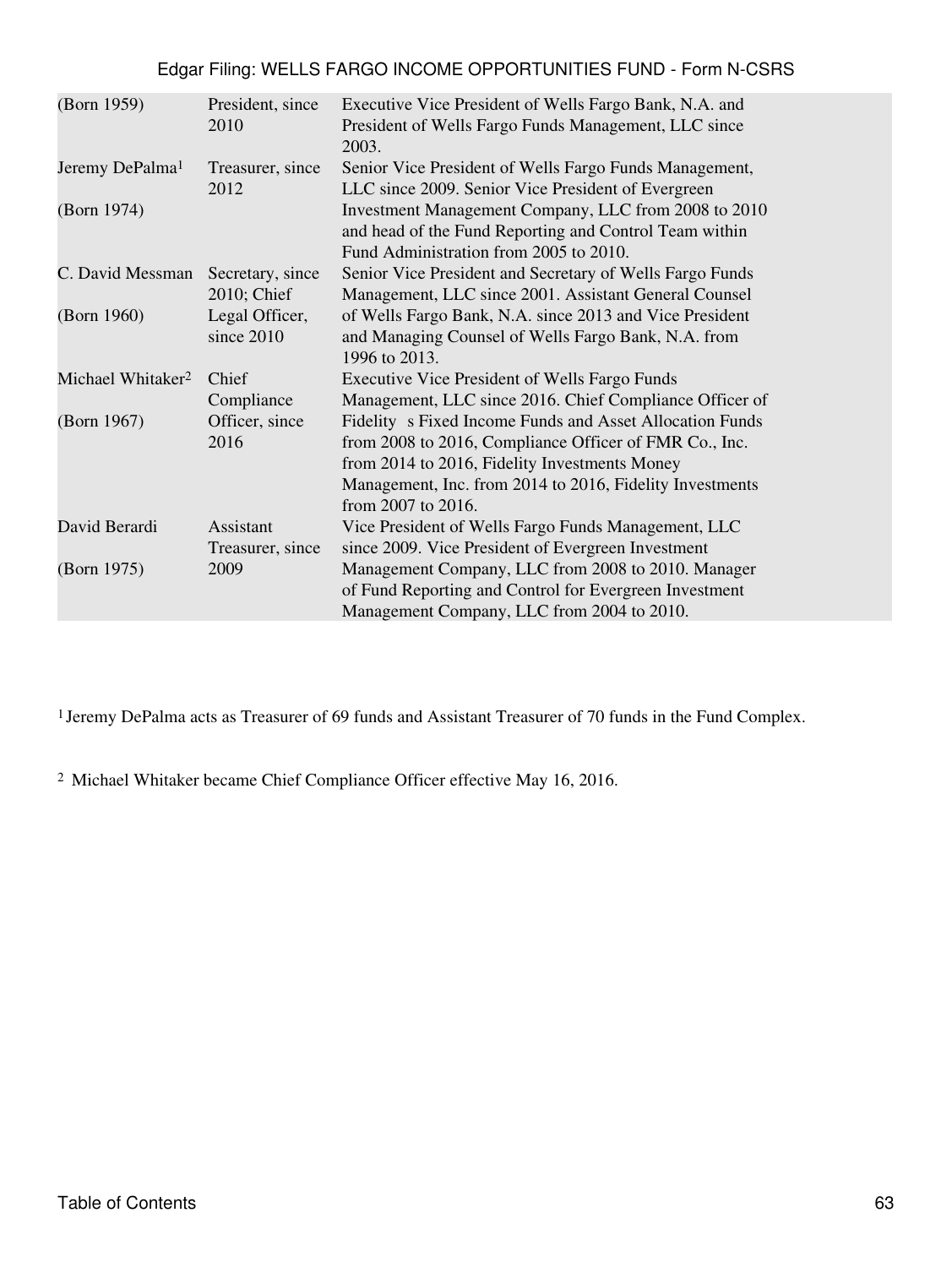| (Born 1959)                   | President, since<br>2010        | Executive Vice President of Wells Fargo Bank, N.A. and<br>President of Wells Fargo Funds Management, LLC since<br>2003.                                                                                                                                    |
|-------------------------------|---------------------------------|------------------------------------------------------------------------------------------------------------------------------------------------------------------------------------------------------------------------------------------------------------|
| Jeremy DePalma <sup>1</sup>   | Treasurer, since<br>2012        | Senior Vice President of Wells Fargo Funds Management,<br>LLC since 2009. Senior Vice President of Evergreen                                                                                                                                               |
| (Born 1974)                   |                                 | Investment Management Company, LLC from 2008 to 2010<br>and head of the Fund Reporting and Control Team within<br>Fund Administration from 2005 to 2010.                                                                                                   |
| C. David Messman              | Secretary, since<br>2010; Chief | Senior Vice President and Secretary of Wells Fargo Funds<br>Management, LLC since 2001. Assistant General Counsel                                                                                                                                          |
| (Born 1960)                   | Legal Officer,<br>since 2010    | of Wells Fargo Bank, N.A. since 2013 and Vice President<br>and Managing Counsel of Wells Fargo Bank, N.A. from<br>1996 to 2013.                                                                                                                            |
| Michael Whitaker <sup>2</sup> | Chief<br>Compliance             | <b>Executive Vice President of Wells Fargo Funds</b><br>Management, LLC since 2016. Chief Compliance Officer of                                                                                                                                            |
| (Born 1967)                   | Officer, since<br>2016          | Fidelity s Fixed Income Funds and Asset Allocation Funds<br>from 2008 to 2016, Compliance Officer of FMR Co., Inc.<br>from 2014 to 2016, Fidelity Investments Money<br>Management, Inc. from 2014 to 2016, Fidelity Investments<br>from $2007$ to $2016$ . |
| David Berardi                 | Assistant<br>Treasurer, since   | Vice President of Wells Fargo Funds Management, LLC<br>since 2009. Vice President of Evergreen Investment                                                                                                                                                  |
| (Born 1975)                   | 2009                            | Management Company, LLC from 2008 to 2010. Manager<br>of Fund Reporting and Control for Evergreen Investment<br>Management Company, LLC from 2004 to 2010.                                                                                                 |

<sup>1</sup> Jeremy DePalma acts as Treasurer of 69 funds and Assistant Treasurer of 70 funds in the Fund Complex.

<sup>2</sup> Michael Whitaker became Chief Compliance Officer effective May 16, 2016.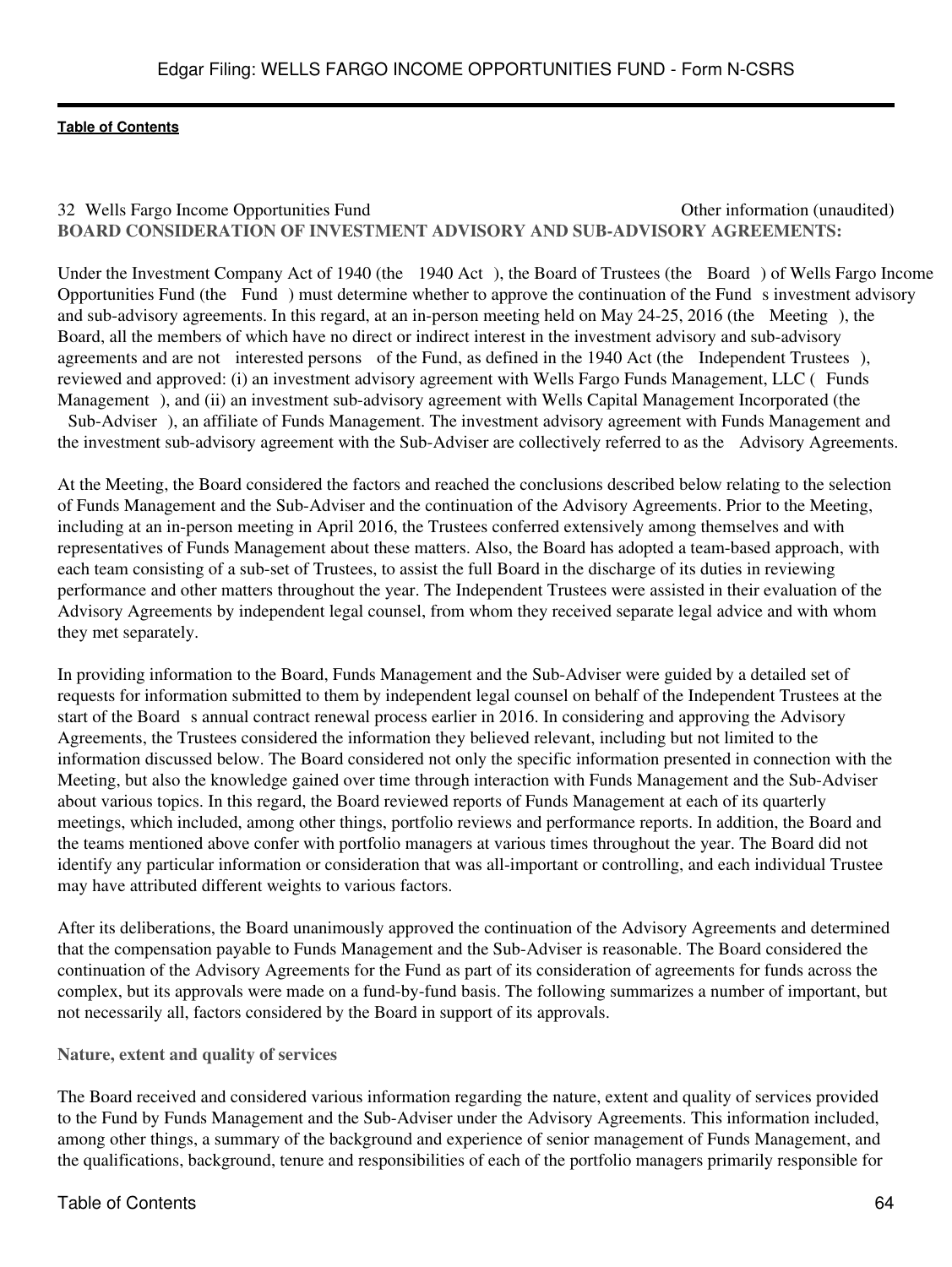# 32 Wells Fargo Income Opportunities Fund **Other information (unaudited)** Other information (unaudited) **BOARD CONSIDERATION OF INVESTMENT ADVISORY AND SUB-ADVISORY AGREEMENTS:**

Under the Investment Company Act of 1940 (the 1940 Act), the Board of Trustees (the Board) of Wells Fargo Income Opportunities Fund (the Fund) must determine whether to approve the continuation of the Fund s investment advisory and sub-advisory agreements. In this regard, at an in-person meeting held on May 24-25, 2016 (the Meeting), the Board, all the members of which have no direct or indirect interest in the investment advisory and sub-advisory agreements and are not interested persons of the Fund, as defined in the 1940 Act (the Independent Trustees), reviewed and approved: (i) an investment advisory agreement with Wells Fargo Funds Management, LLC (Funds Management), and (ii) an investment sub-advisory agreement with Wells Capital Management Incorporated (the Sub-Adviser), an affiliate of Funds Management. The investment advisory agreement with Funds Management and the investment sub-advisory agreement with the Sub-Adviser are collectively referred to as the Advisory Agreements.

At the Meeting, the Board considered the factors and reached the conclusions described below relating to the selection of Funds Management and the Sub-Adviser and the continuation of the Advisory Agreements. Prior to the Meeting, including at an in-person meeting in April 2016, the Trustees conferred extensively among themselves and with representatives of Funds Management about these matters. Also, the Board has adopted a team-based approach, with each team consisting of a sub-set of Trustees, to assist the full Board in the discharge of its duties in reviewing performance and other matters throughout the year. The Independent Trustees were assisted in their evaluation of the Advisory Agreements by independent legal counsel, from whom they received separate legal advice and with whom they met separately.

In providing information to the Board, Funds Management and the Sub-Adviser were guided by a detailed set of requests for information submitted to them by independent legal counsel on behalf of the Independent Trustees at the start of the Board s annual contract renewal process earlier in 2016. In considering and approving the Advisory Agreements, the Trustees considered the information they believed relevant, including but not limited to the information discussed below. The Board considered not only the specific information presented in connection with the Meeting, but also the knowledge gained over time through interaction with Funds Management and the Sub-Adviser about various topics. In this regard, the Board reviewed reports of Funds Management at each of its quarterly meetings, which included, among other things, portfolio reviews and performance reports. In addition, the Board and the teams mentioned above confer with portfolio managers at various times throughout the year. The Board did not identify any particular information or consideration that was all-important or controlling, and each individual Trustee may have attributed different weights to various factors.

After its deliberations, the Board unanimously approved the continuation of the Advisory Agreements and determined that the compensation payable to Funds Management and the Sub-Adviser is reasonable. The Board considered the continuation of the Advisory Agreements for the Fund as part of its consideration of agreements for funds across the complex, but its approvals were made on a fund-by-fund basis. The following summarizes a number of important, but not necessarily all, factors considered by the Board in support of its approvals.

# **Nature, extent and quality of services**

The Board received and considered various information regarding the nature, extent and quality of services provided to the Fund by Funds Management and the Sub-Adviser under the Advisory Agreements. This information included, among other things, a summary of the background and experience of senior management of Funds Management, and the qualifications, background, tenure and responsibilities of each of the portfolio managers primarily responsible for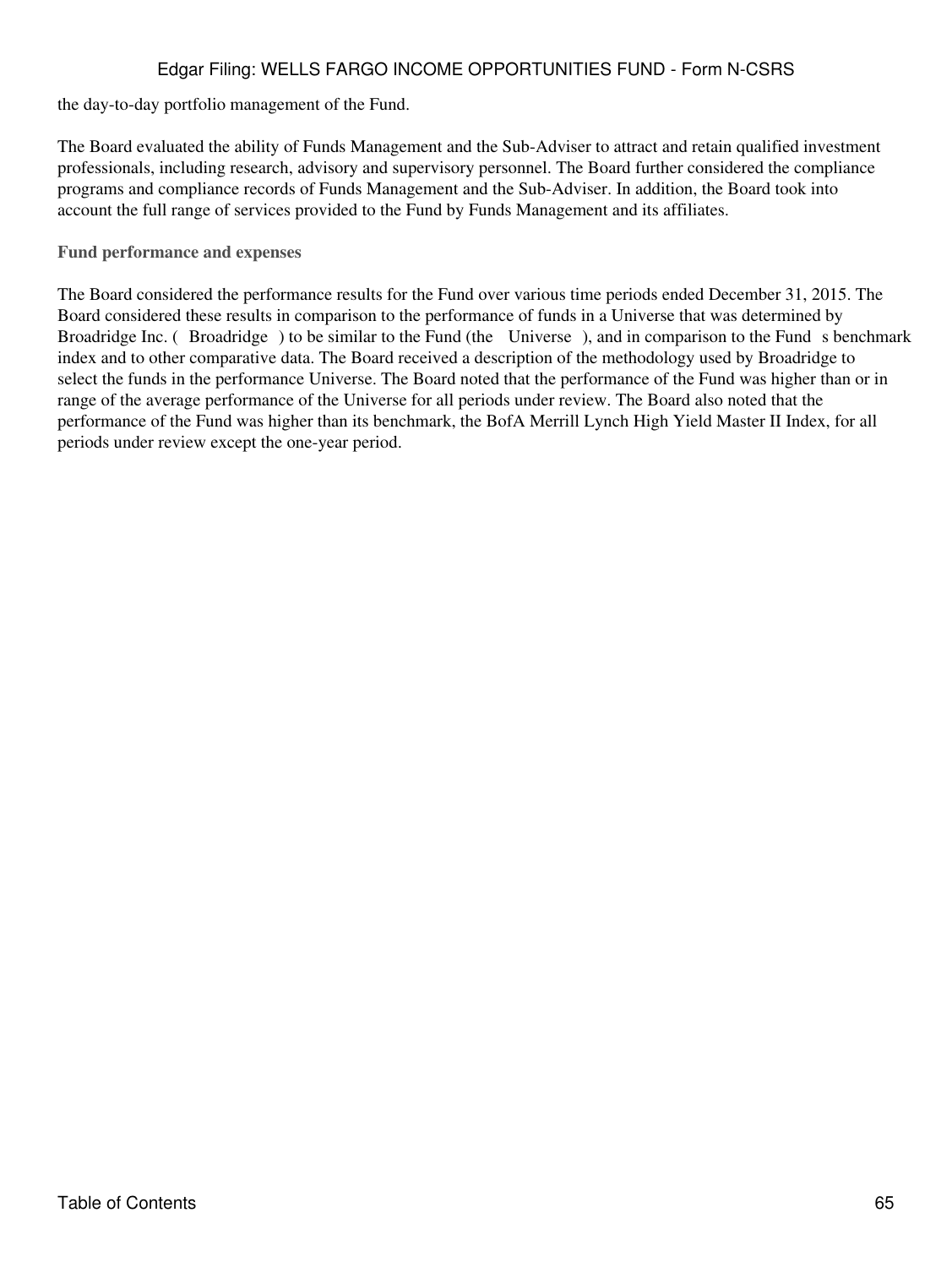the day-to-day portfolio management of the Fund.

The Board evaluated the ability of Funds Management and the Sub-Adviser to attract and retain qualified investment professionals, including research, advisory and supervisory personnel. The Board further considered the compliance programs and compliance records of Funds Management and the Sub-Adviser. In addition, the Board took into account the full range of services provided to the Fund by Funds Management and its affiliates.

**Fund performance and expenses**

The Board considered the performance results for the Fund over various time periods ended December 31, 2015. The Board considered these results in comparison to the performance of funds in a Universe that was determined by Broadridge Inc. (Broadridge) to be similar to the Fund (the Universe), and in comparison to the Fund s benchmark index and to other comparative data. The Board received a description of the methodology used by Broadridge to select the funds in the performance Universe. The Board noted that the performance of the Fund was higher than or in range of the average performance of the Universe for all periods under review. The Board also noted that the performance of the Fund was higher than its benchmark, the BofA Merrill Lynch High Yield Master II Index, for all periods under review except the one-year period.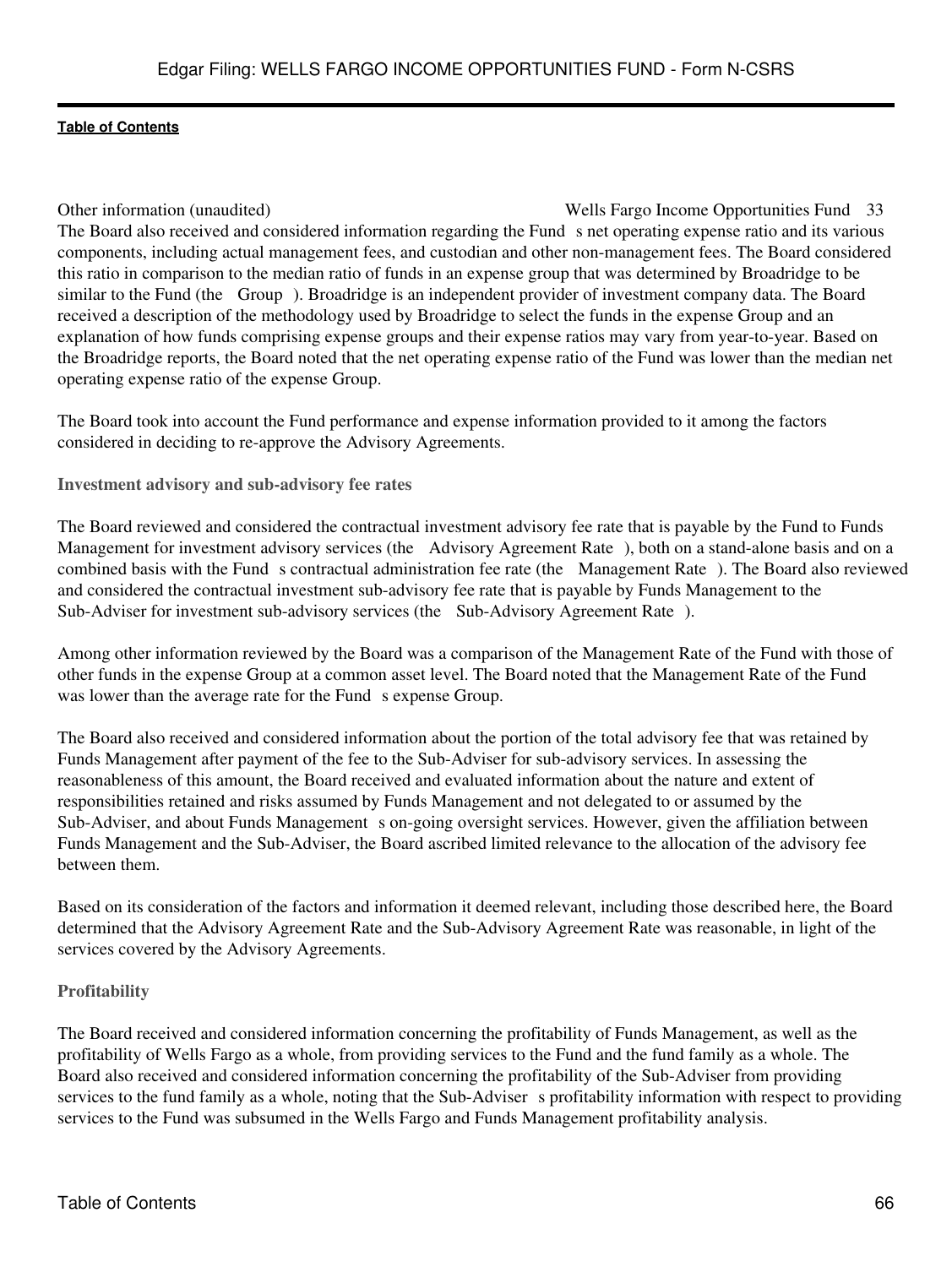Other information (unaudited) Wells Fargo Income Opportunities Fund 33 The Board also received and considered information regarding the Fund s net operating expense ratio and its various components, including actual management fees, and custodian and other non-management fees. The Board considered this ratio in comparison to the median ratio of funds in an expense group that was determined by Broadridge to be similar to the Fund (the Group). Broadridge is an independent provider of investment company data. The Board received a description of the methodology used by Broadridge to select the funds in the expense Group and an explanation of how funds comprising expense groups and their expense ratios may vary from year-to-year. Based on the Broadridge reports, the Board noted that the net operating expense ratio of the Fund was lower than the median net operating expense ratio of the expense Group.

The Board took into account the Fund performance and expense information provided to it among the factors considered in deciding to re-approve the Advisory Agreements.

**Investment advisory and sub-advisory fee rates**

The Board reviewed and considered the contractual investment advisory fee rate that is payable by the Fund to Funds Management for investment advisory services (the Advisory Agreement Rate), both on a stand-alone basis and on a combined basis with the Fund s contractual administration fee rate (the Management Rate). The Board also reviewed and considered the contractual investment sub-advisory fee rate that is payable by Funds Management to the Sub-Adviser for investment sub-advisory services (the Sub-Advisory Agreement Rate).

Among other information reviewed by the Board was a comparison of the Management Rate of the Fund with those of other funds in the expense Group at a common asset level. The Board noted that the Management Rate of the Fund was lower than the average rate for the Fund s expense Group.

The Board also received and considered information about the portion of the total advisory fee that was retained by Funds Management after payment of the fee to the Sub-Adviser for sub-advisory services. In assessing the reasonableness of this amount, the Board received and evaluated information about the nature and extent of responsibilities retained and risks assumed by Funds Management and not delegated to or assumed by the Sub-Adviser, and about Funds Management s on-going oversight services. However, given the affiliation between Funds Management and the Sub-Adviser, the Board ascribed limited relevance to the allocation of the advisory fee between them.

Based on its consideration of the factors and information it deemed relevant, including those described here, the Board determined that the Advisory Agreement Rate and the Sub-Advisory Agreement Rate was reasonable, in light of the services covered by the Advisory Agreements.

# **Profitability**

The Board received and considered information concerning the profitability of Funds Management, as well as the profitability of Wells Fargo as a whole, from providing services to the Fund and the fund family as a whole. The Board also received and considered information concerning the profitability of the Sub-Adviser from providing services to the fund family as a whole, noting that the Sub-Adviser s profitability information with respect to providing services to the Fund was subsumed in the Wells Fargo and Funds Management profitability analysis.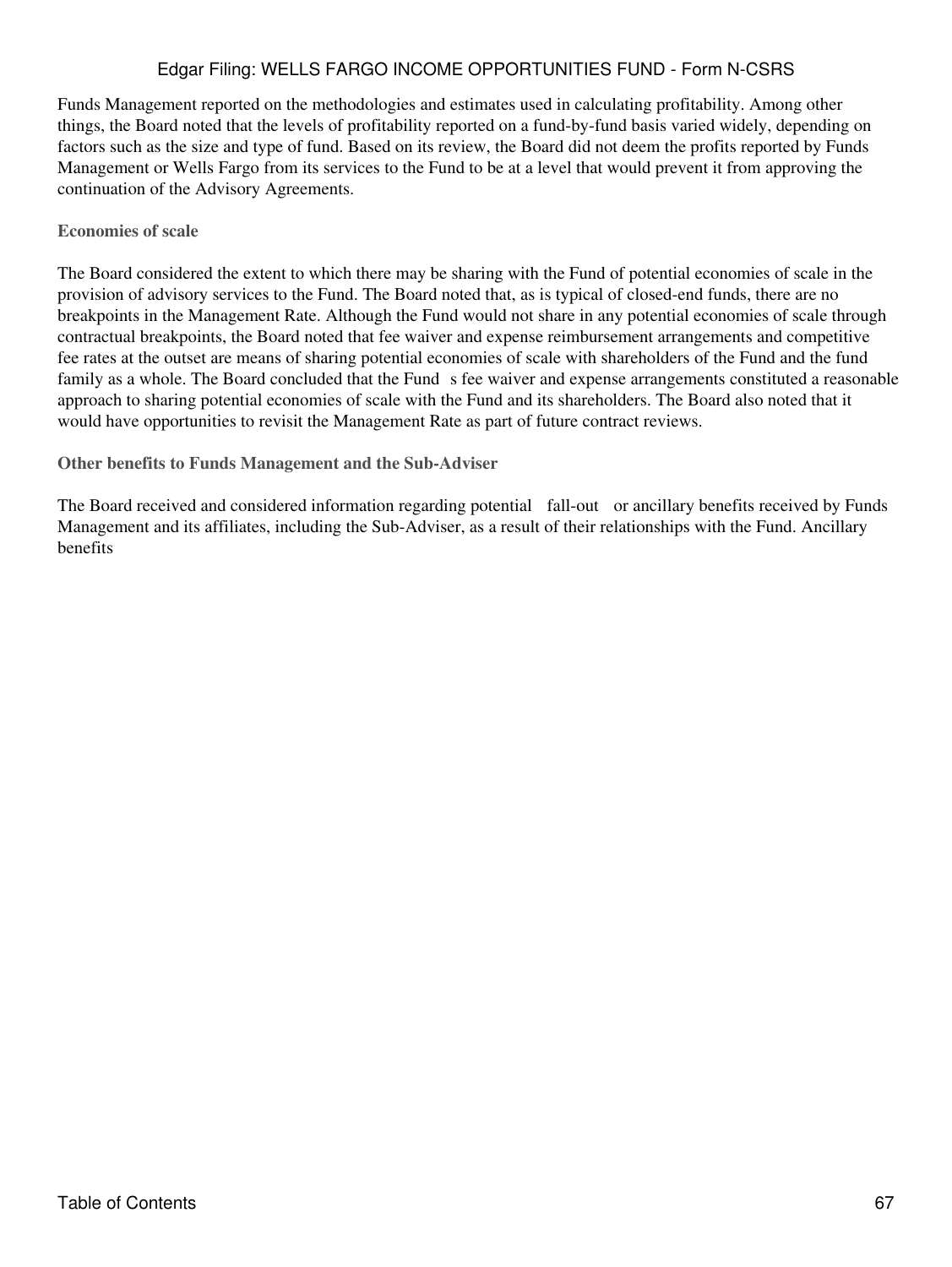Funds Management reported on the methodologies and estimates used in calculating profitability. Among other things, the Board noted that the levels of profitability reported on a fund-by-fund basis varied widely, depending on factors such as the size and type of fund. Based on its review, the Board did not deem the profits reported by Funds Management or Wells Fargo from its services to the Fund to be at a level that would prevent it from approving the continuation of the Advisory Agreements.

# **Economies of scale**

The Board considered the extent to which there may be sharing with the Fund of potential economies of scale in the provision of advisory services to the Fund. The Board noted that, as is typical of closed-end funds, there are no breakpoints in the Management Rate. Although the Fund would not share in any potential economies of scale through contractual breakpoints, the Board noted that fee waiver and expense reimbursement arrangements and competitive fee rates at the outset are means of sharing potential economies of scale with shareholders of the Fund and the fund family as a whole. The Board concluded that the Fund s fee waiver and expense arrangements constituted a reasonable approach to sharing potential economies of scale with the Fund and its shareholders. The Board also noted that it would have opportunities to revisit the Management Rate as part of future contract reviews.

**Other benefits to Funds Management and the Sub-Adviser**

The Board received and considered information regarding potential fall-out or ancillary benefits received by Funds Management and its affiliates, including the Sub-Adviser, as a result of their relationships with the Fund. Ancillary benefits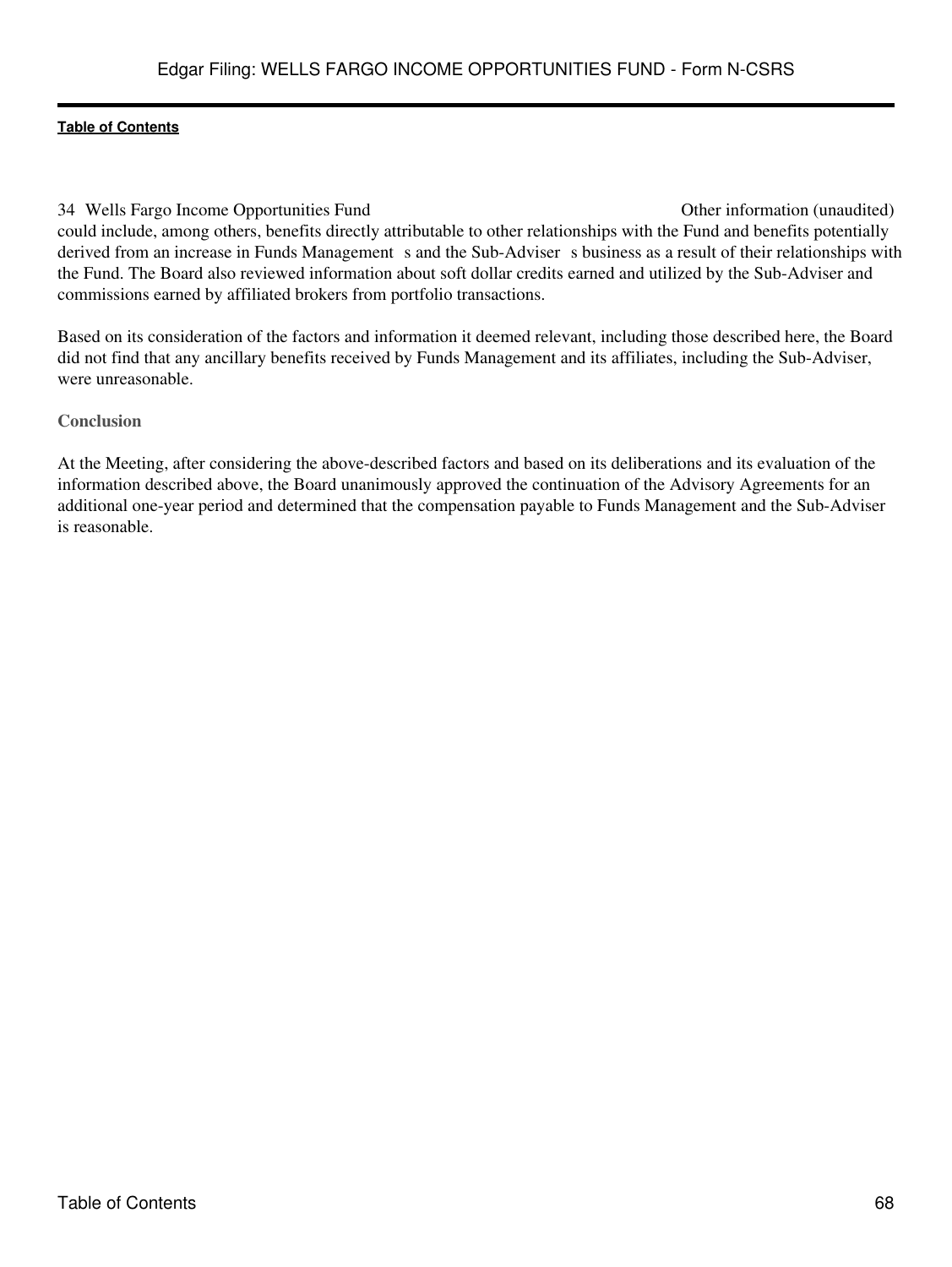34 Wells Fargo Income Opportunities Fund Other information (unaudited) could include, among others, benefits directly attributable to other relationships with the Fund and benefits potentially derived from an increase in Funds Management s and the Sub-Adviser s business as a result of their relationships with the Fund. The Board also reviewed information about soft dollar credits earned and utilized by the Sub-Adviser and commissions earned by affiliated brokers from portfolio transactions.

Based on its consideration of the factors and information it deemed relevant, including those described here, the Board did not find that any ancillary benefits received by Funds Management and its affiliates, including the Sub-Adviser, were unreasonable.

#### **Conclusion**

At the Meeting, after considering the above-described factors and based on its deliberations and its evaluation of the information described above, the Board unanimously approved the continuation of the Advisory Agreements for an additional one-year period and determined that the compensation payable to Funds Management and the Sub-Adviser is reasonable.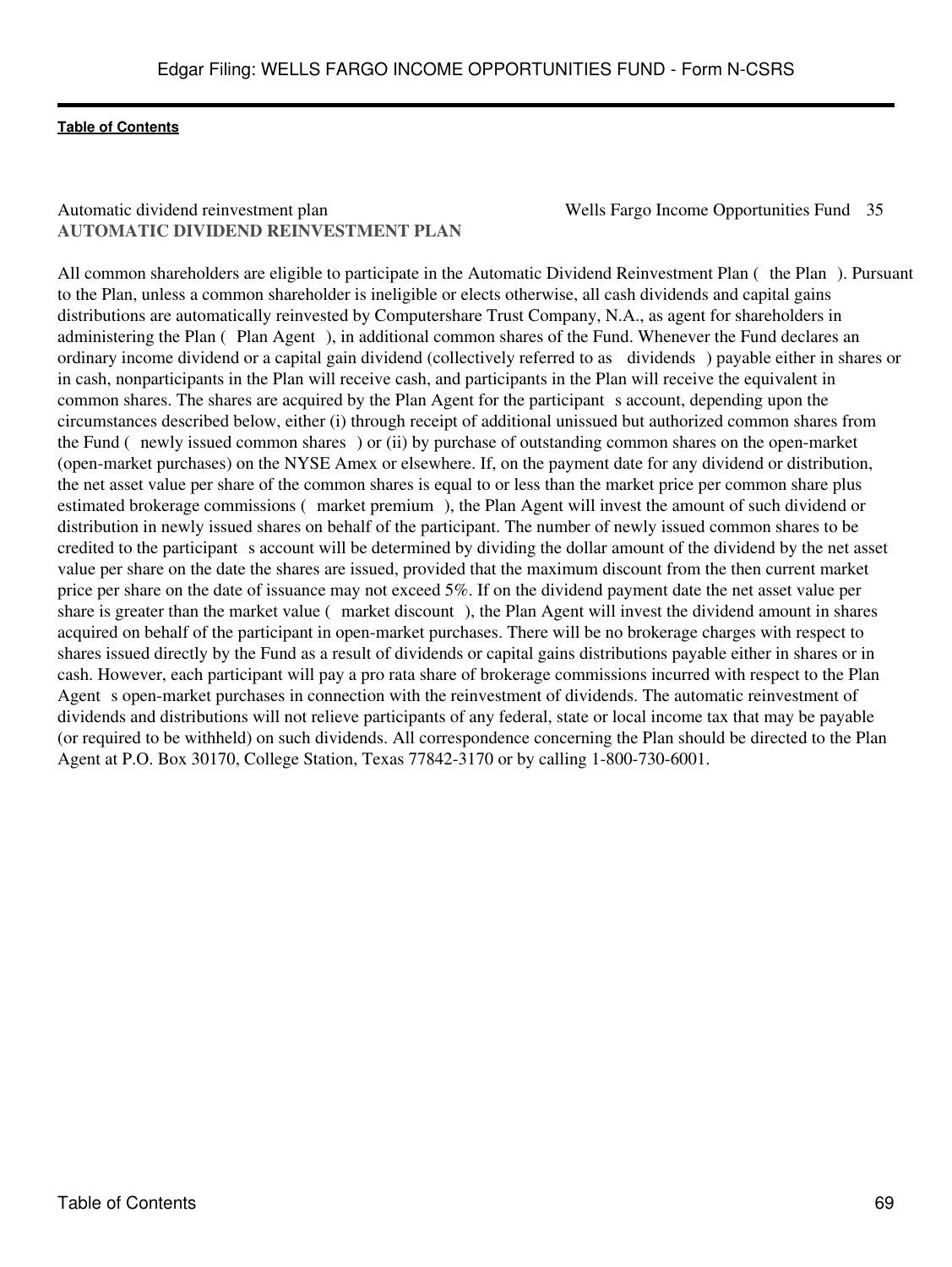# Automatic dividend reinvestment plan Wells Fargo Income Opportunities Fund 35 **AUTOMATIC DIVIDEND REINVESTMENT PLAN**

All common shareholders are eligible to participate in the Automatic Dividend Reinvestment Plan (the Plan). Pursuant to the Plan, unless a common shareholder is ineligible or elects otherwise, all cash dividends and capital gains distributions are automatically reinvested by Computershare Trust Company, N.A., as agent for shareholders in administering the Plan (Plan Agent), in additional common shares of the Fund. Whenever the Fund declares an ordinary income dividend or a capital gain dividend (collectively referred to as dividends) payable either in shares or in cash, nonparticipants in the Plan will receive cash, and participants in the Plan will receive the equivalent in common shares. The shares are acquired by the Plan Agent for the participant s account, depending upon the circumstances described below, either (i) through receipt of additional unissued but authorized common shares from the Fund (newly issued common shares) or (ii) by purchase of outstanding common shares on the open-market (open-market purchases) on the NYSE Amex or elsewhere. If, on the payment date for any dividend or distribution, the net asset value per share of the common shares is equal to or less than the market price per common share plus estimated brokerage commissions (market premium), the Plan Agent will invest the amount of such dividend or distribution in newly issued shares on behalf of the participant. The number of newly issued common shares to be credited to the participant s account will be determined by dividing the dollar amount of the dividend by the net asset value per share on the date the shares are issued, provided that the maximum discount from the then current market price per share on the date of issuance may not exceed 5%. If on the dividend payment date the net asset value per share is greater than the market value (market discount), the Plan Agent will invest the dividend amount in shares acquired on behalf of the participant in open-market purchases. There will be no brokerage charges with respect to shares issued directly by the Fund as a result of dividends or capital gains distributions payable either in shares or in cash. However, each participant will pay a pro rata share of brokerage commissions incurred with respect to the Plan Agent s open-market purchases in connection with the reinvestment of dividends. The automatic reinvestment of dividends and distributions will not relieve participants of any federal, state or local income tax that may be payable (or required to be withheld) on such dividends. All correspondence concerning the Plan should be directed to the Plan Agent at P.O. Box 30170, College Station, Texas 77842-3170 or by calling 1-800-730-6001.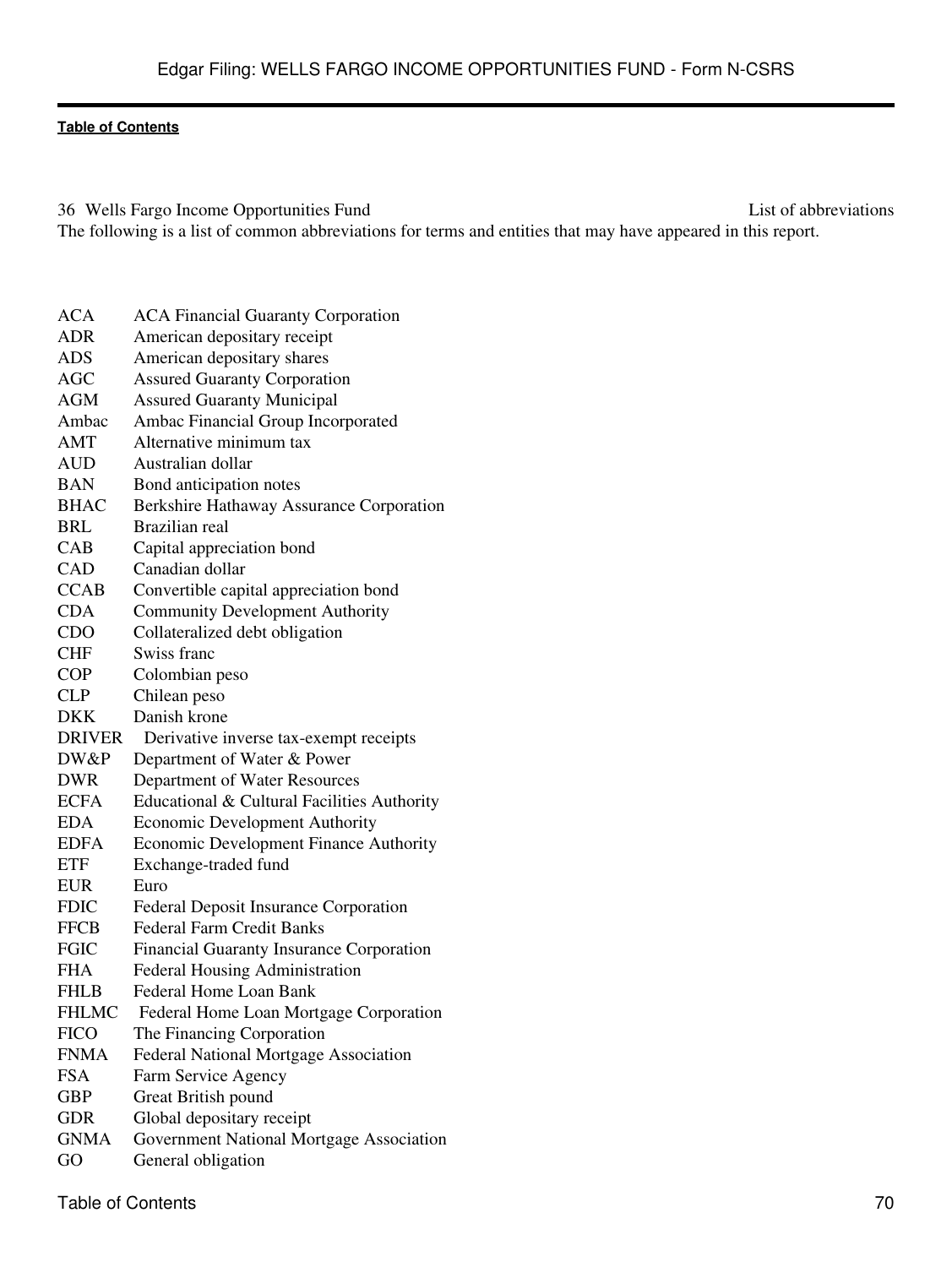36 Wells Fargo Income Opportunities Fund List of abbreviations The following is a list of common abbreviations for terms and entities that may have appeared in this report.

| <b>ACA</b>    | <b>ACA Financial Guaranty Corporation</b>       |
|---------------|-------------------------------------------------|
| <b>ADR</b>    | American depositary receipt                     |
| <b>ADS</b>    | American depositary shares                      |
| <b>AGC</b>    | <b>Assured Guaranty Corporation</b>             |
| <b>AGM</b>    | <b>Assured Guaranty Municipal</b>               |
| Ambac         | Ambac Financial Group Incorporated              |
| AMT           | Alternative minimum tax                         |
| <b>AUD</b>    | Australian dollar                               |
| BAN           | Bond anticipation notes                         |
| <b>BHAC</b>   | Berkshire Hathaway Assurance Corporation        |
| <b>BRL</b>    | Brazilian real                                  |
| CAB           | Capital appreciation bond                       |
| CAD           | Canadian dollar                                 |
| <b>CCAB</b>   | Convertible capital appreciation bond           |
| <b>CDA</b>    | <b>Community Development Authority</b>          |
| <b>CDO</b>    | Collateralized debt obligation                  |
| <b>CHF</b>    | Swiss franc                                     |
| <b>COP</b>    | Colombian peso                                  |
| <b>CLP</b>    | Chilean peso                                    |
| <b>DKK</b>    | Danish krone                                    |
| <b>DRIVER</b> | Derivative inverse tax-exempt receipts          |
| DW&P          | Department of Water & Power                     |
| <b>DWR</b>    | Department of Water Resources                   |
| <b>ECFA</b>   | Educational & Cultural Facilities Authority     |
| <b>EDA</b>    | <b>Economic Development Authority</b>           |
| <b>EDFA</b>   | <b>Economic Development Finance Authority</b>   |
| <b>ETF</b>    | Exchange-traded fund                            |
| <b>EUR</b>    | Euro                                            |
| <b>FDIC</b>   | <b>Federal Deposit Insurance Corporation</b>    |
| <b>FFCB</b>   | <b>Federal Farm Credit Banks</b>                |
| <b>FGIC</b>   | <b>Financial Guaranty Insurance Corporation</b> |
| <b>FHA</b>    | <b>Federal Housing Administration</b>           |
| <b>FHLB</b>   | <b>Federal Home Loan Bank</b>                   |
| <b>FHLMC</b>  | Federal Home Loan Mortgage Corporation          |
| <b>FICO</b>   | The Financing Corporation                       |
| <b>FNMA</b>   | Federal National Mortgage Association           |
| <b>FSA</b>    | Farm Service Agency                             |
| <b>GBP</b>    | Great British pound                             |
| <b>GDR</b>    | Global depositary receipt                       |
| <b>GNMA</b>   | Government National Mortgage Association        |
| GO            | General obligation                              |
|               |                                                 |

Table of Contents 70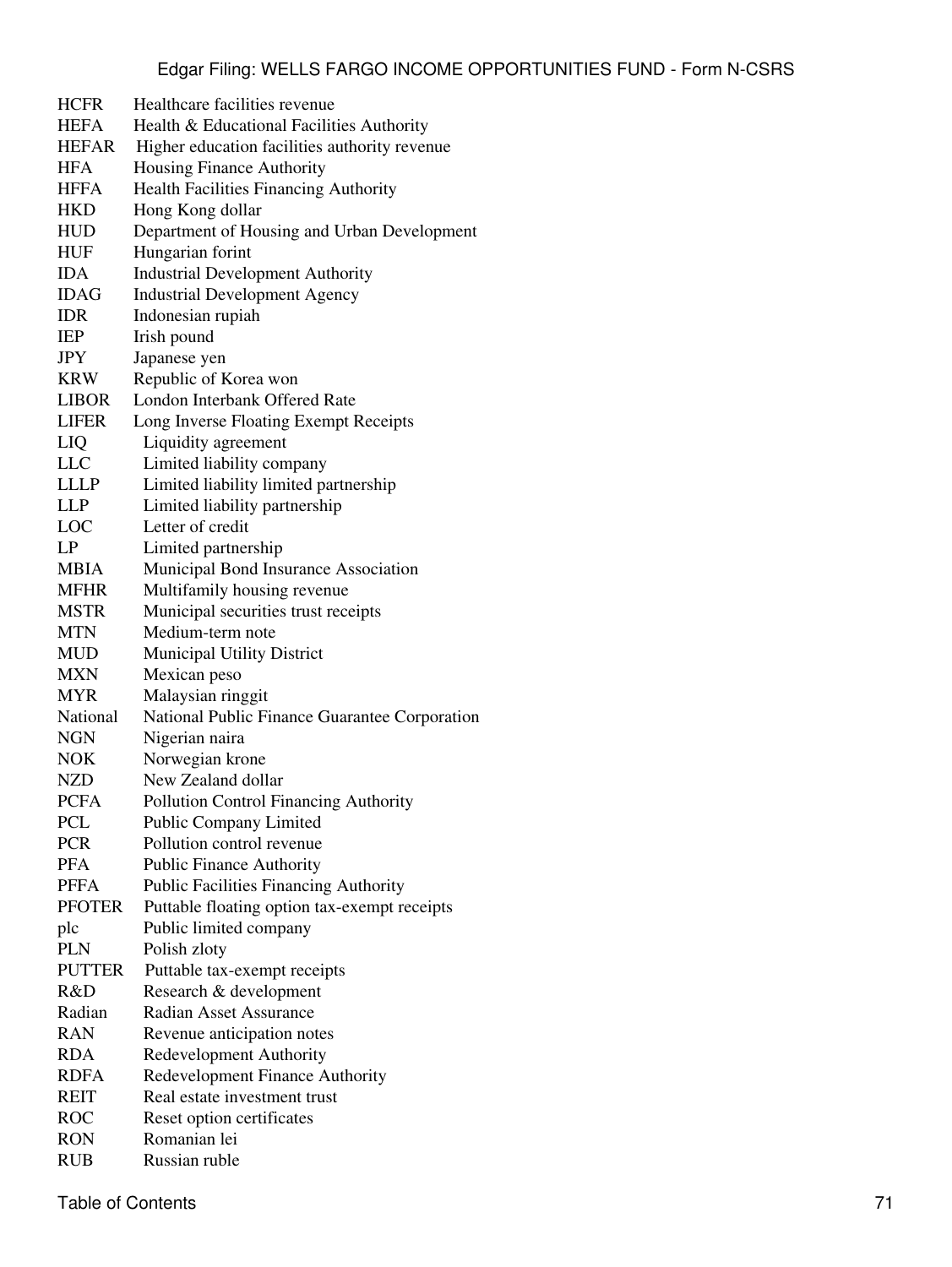| <b>HCFR</b>   | Healthcare facilities revenue                 |
|---------------|-----------------------------------------------|
| <b>HEFA</b>   | Health & Educational Facilities Authority     |
| <b>HEFAR</b>  | Higher education facilities authority revenue |
| <b>HFA</b>    | Housing Finance Authority                     |
| <b>HFFA</b>   | <b>Health Facilities Financing Authority</b>  |
| <b>HKD</b>    | Hong Kong dollar                              |
| <b>HUD</b>    |                                               |
|               | Department of Housing and Urban Development   |
| <b>HUF</b>    | Hungarian forint                              |
| <b>IDA</b>    | <b>Industrial Development Authority</b>       |
| <b>IDAG</b>   | <b>Industrial Development Agency</b>          |
| <b>IDR</b>    | Indonesian rupiah                             |
| IEP           | Irish pound                                   |
| JPY           | Japanese yen                                  |
| <b>KRW</b>    | Republic of Korea won                         |
| <b>LIBOR</b>  | London Interbank Offered Rate                 |
| <b>LIFER</b>  | Long Inverse Floating Exempt Receipts         |
| LIQ           | Liquidity agreement                           |
| <b>LLC</b>    | Limited liability company                     |
| <b>LLLP</b>   | Limited liability limited partnership         |
| <b>LLP</b>    | Limited liability partnership                 |
| LOC           | Letter of credit                              |
| LP            | Limited partnership                           |
| <b>MBIA</b>   | Municipal Bond Insurance Association          |
| <b>MFHR</b>   | Multifamily housing revenue                   |
| <b>MSTR</b>   | Municipal securities trust receipts           |
| <b>MTN</b>    | Medium-term note                              |
| <b>MUD</b>    | Municipal Utility District                    |
| <b>MXN</b>    | Mexican peso                                  |
| <b>MYR</b>    | Malaysian ringgit                             |
| National      | National Public Finance Guarantee Corporation |
| <b>NGN</b>    | Nigerian naira                                |
| <b>NOK</b>    | Norwegian krone                               |
| <b>NZD</b>    | New Zealand dollar                            |
| <b>PCFA</b>   | Pollution Control Financing Authority         |
| PCL           | Public Company Limited                        |
| <b>PCR</b>    | Pollution control revenue                     |
| <b>PFA</b>    | <b>Public Finance Authority</b>               |
| <b>PFFA</b>   | Public Facilities Financing Authority         |
| <b>PFOTER</b> | Puttable floating option tax-exempt receipts  |
| plc           | Public limited company                        |
| <b>PLN</b>    | Polish zloty                                  |
| <b>PUTTER</b> | Puttable tax-exempt receipts                  |
| R&D           |                                               |
|               | Research & development                        |
| Radian        | <b>Radian Asset Assurance</b>                 |
| <b>RAN</b>    | Revenue anticipation notes                    |
| <b>RDA</b>    | Redevelopment Authority                       |
| <b>RDFA</b>   | Redevelopment Finance Authority               |
| <b>REIT</b>   | Real estate investment trust                  |
| <b>ROC</b>    | Reset option certificates                     |
| <b>RON</b>    | Romanian lei                                  |
| <b>RUB</b>    | Russian ruble                                 |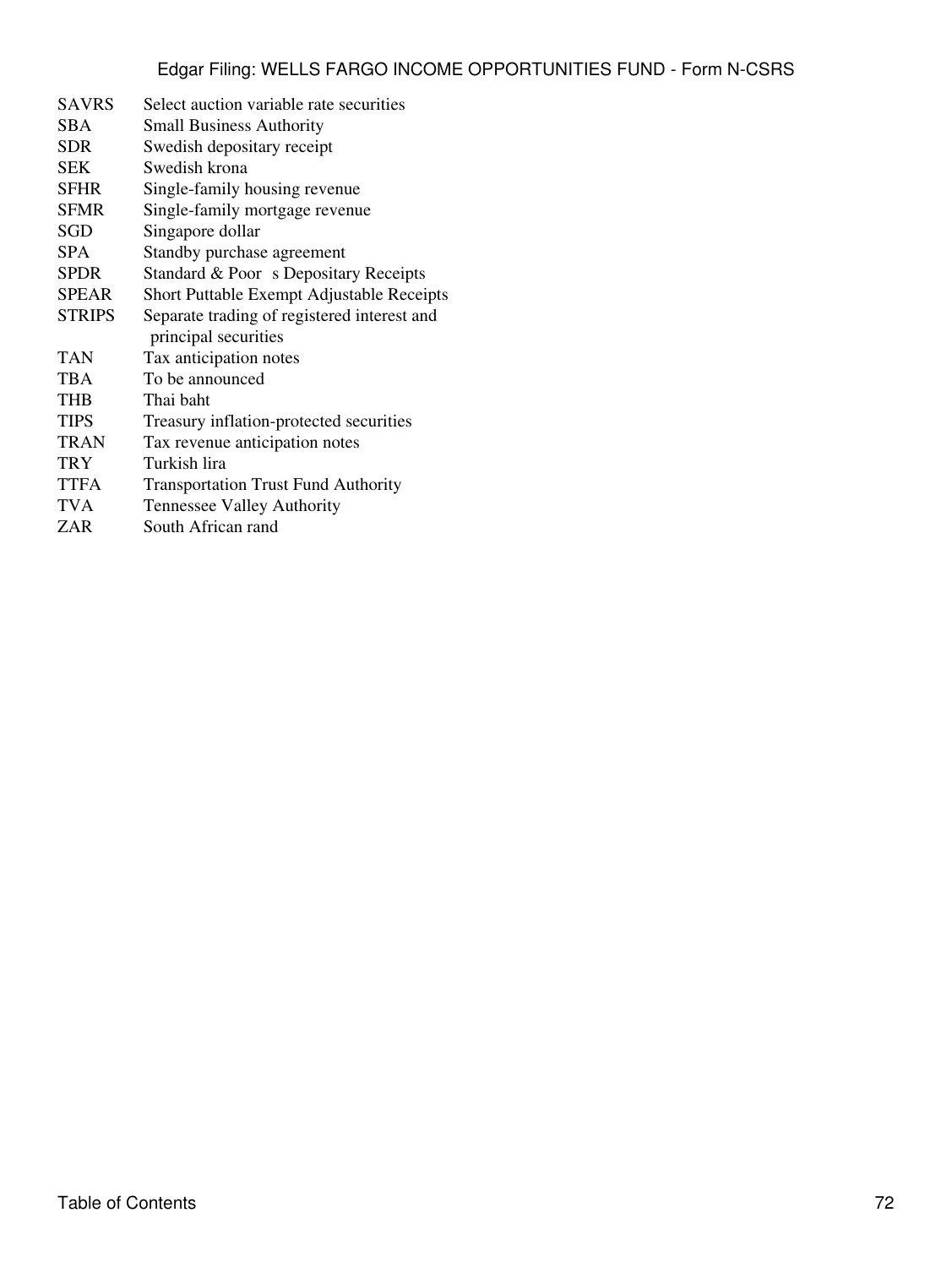| <b>SAVRS</b>  | Select auction variable rate securities     |
|---------------|---------------------------------------------|
| <b>SBA</b>    | <b>Small Business Authority</b>             |
| SDR           | Swedish depositary receipt                  |
| <b>SEK</b>    | Swedish krona                               |
| <b>SFHR</b>   | Single-family housing revenue               |
| <b>SFMR</b>   | Single-family mortgage revenue              |
| SGD           | Singapore dollar                            |
| <b>SPA</b>    | Standby purchase agreement                  |
| <b>SPDR</b>   | Standard & Poor s Depositary Receipts       |
| <b>SPEAR</b>  | Short Puttable Exempt Adjustable Receipts   |
| <b>STRIPS</b> | Separate trading of registered interest and |
|               | principal securities                        |
| TAN           | Tax anticipation notes                      |
| <b>TBA</b>    | To be announced                             |
| THB           | Thai baht                                   |
| <b>TIPS</b>   | Treasury inflation-protected securities     |
| TRAN          | Tax revenue anticipation notes              |
| TRY           | Turkish lira                                |
| <b>TTFA</b>   | <b>Transportation Trust Fund Authority</b>  |
| <b>TVA</b>    | Tennessee Valley Authority                  |
| ZAR           | South African rand                          |
|               |                                             |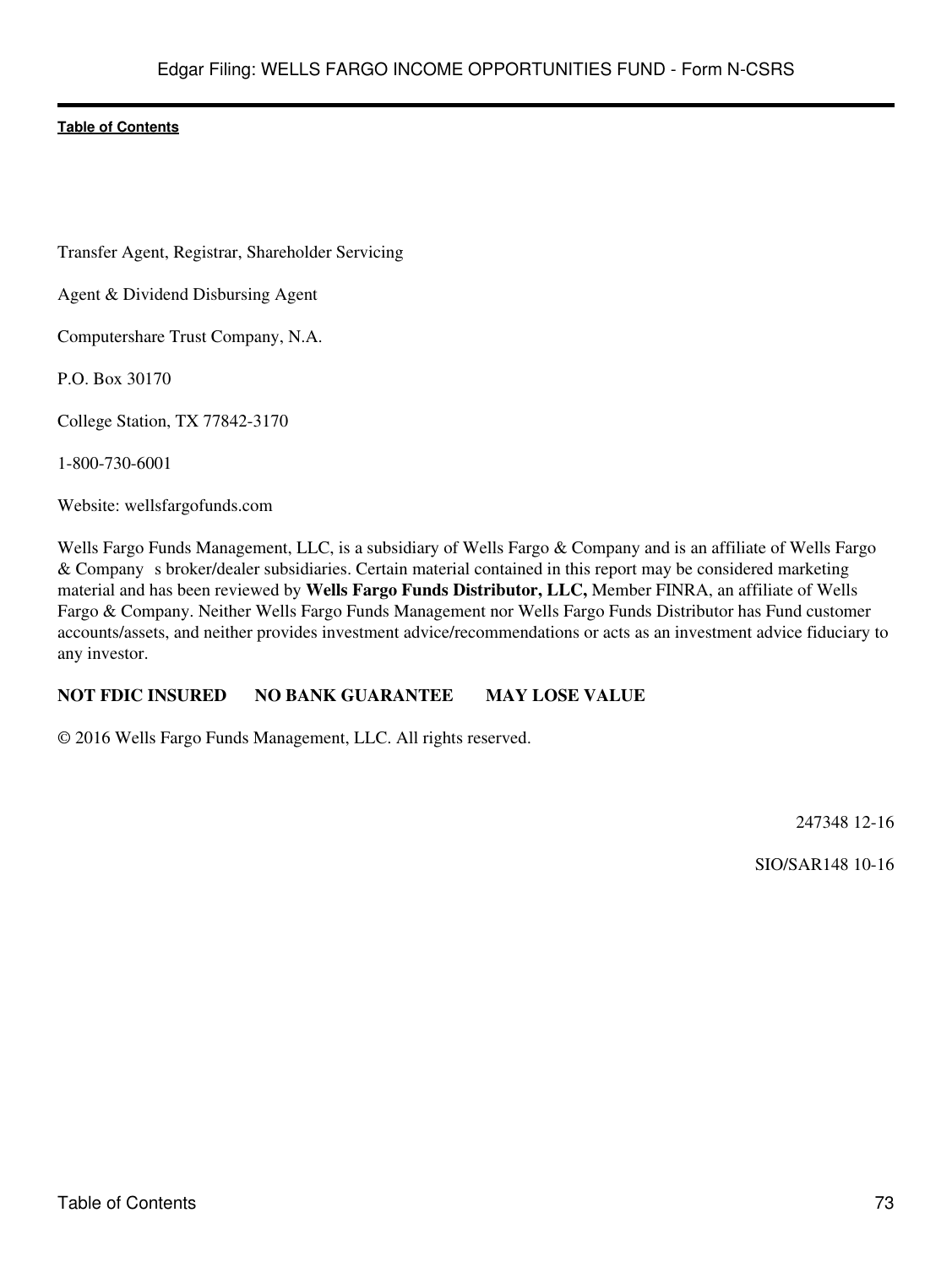Transfer Agent, Registrar, Shareholder Servicing

Agent & Dividend Disbursing Agent

Computershare Trust Company, N.A.

P.O. Box 30170

College Station, TX 77842-3170

1-800-730-6001

Website: wellsfargofunds.com

Wells Fargo Funds Management, LLC, is a subsidiary of Wells Fargo & Company and is an affiliate of Wells Fargo & Company s broker/dealer subsidiaries. Certain material contained in this report may be considered marketing material and has been reviewed by **Wells Fargo Funds Distributor, LLC,** Member FINRA, an affiliate of Wells Fargo & Company. Neither Wells Fargo Funds Management nor Wells Fargo Funds Distributor has Fund customer accounts/assets, and neither provides investment advice/recommendations or acts as an investment advice fiduciary to any investor.

# **NOT FDIC INSURED NO BANK GUARANTEE MAY LOSE VALUE**

© 2016 Wells Fargo Funds Management, LLC. All rights reserved.

247348 12-16

SIO/SAR148 10-16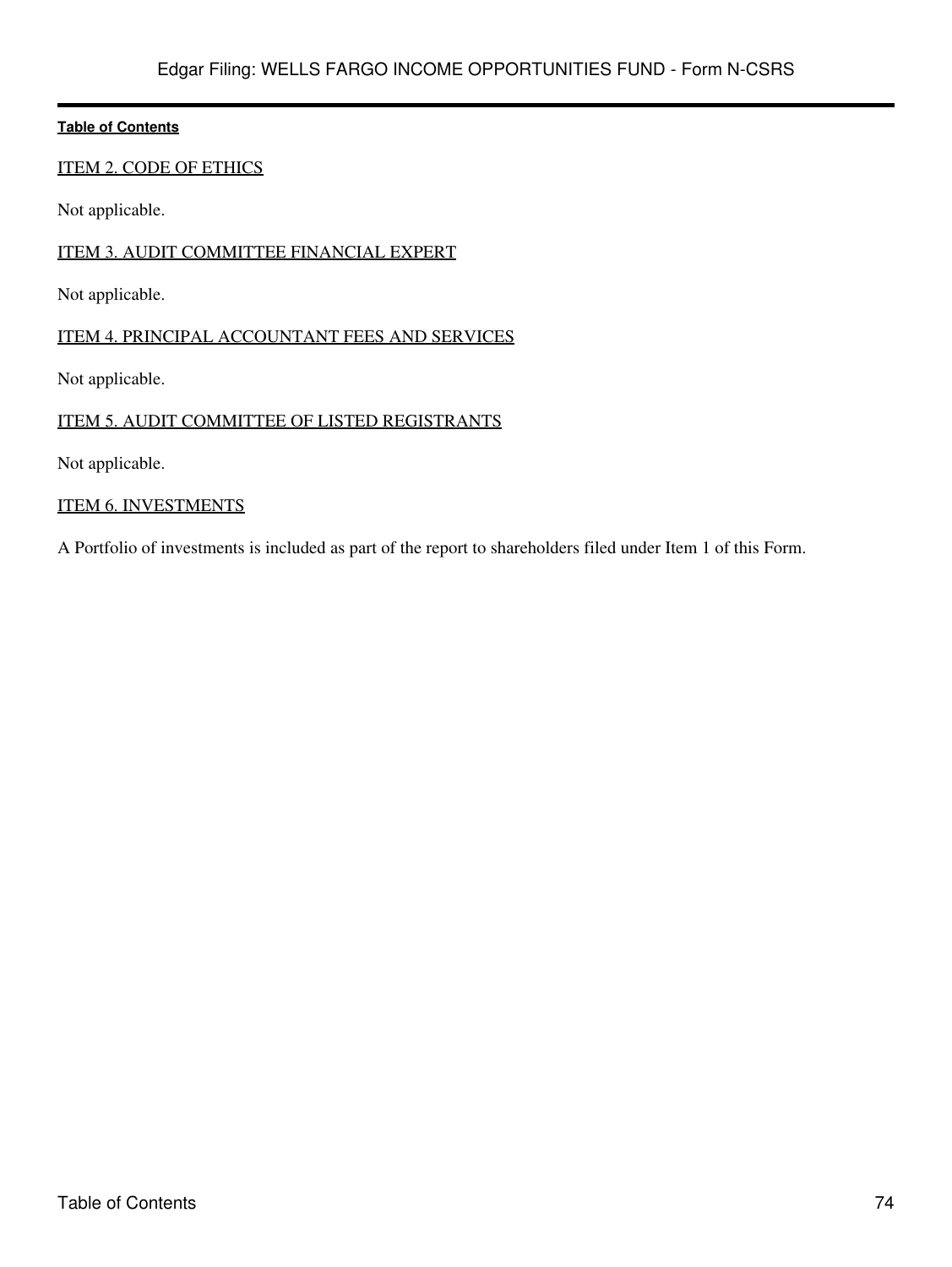# ITEM 2. CODE OF ETHICS

Not applicable.

## ITEM 3. AUDIT COMMITTEE FINANCIAL EXPERT

Not applicable.

# ITEM 4. PRINCIPAL ACCOUNTANT FEES AND SERVICES

Not applicable.

# ITEM 5. AUDIT COMMITTEE OF LISTED REGISTRANTS

Not applicable.

## ITEM 6. INVESTMENTS

A Portfolio of investments is included as part of the report to shareholders filed under Item 1 of this Form.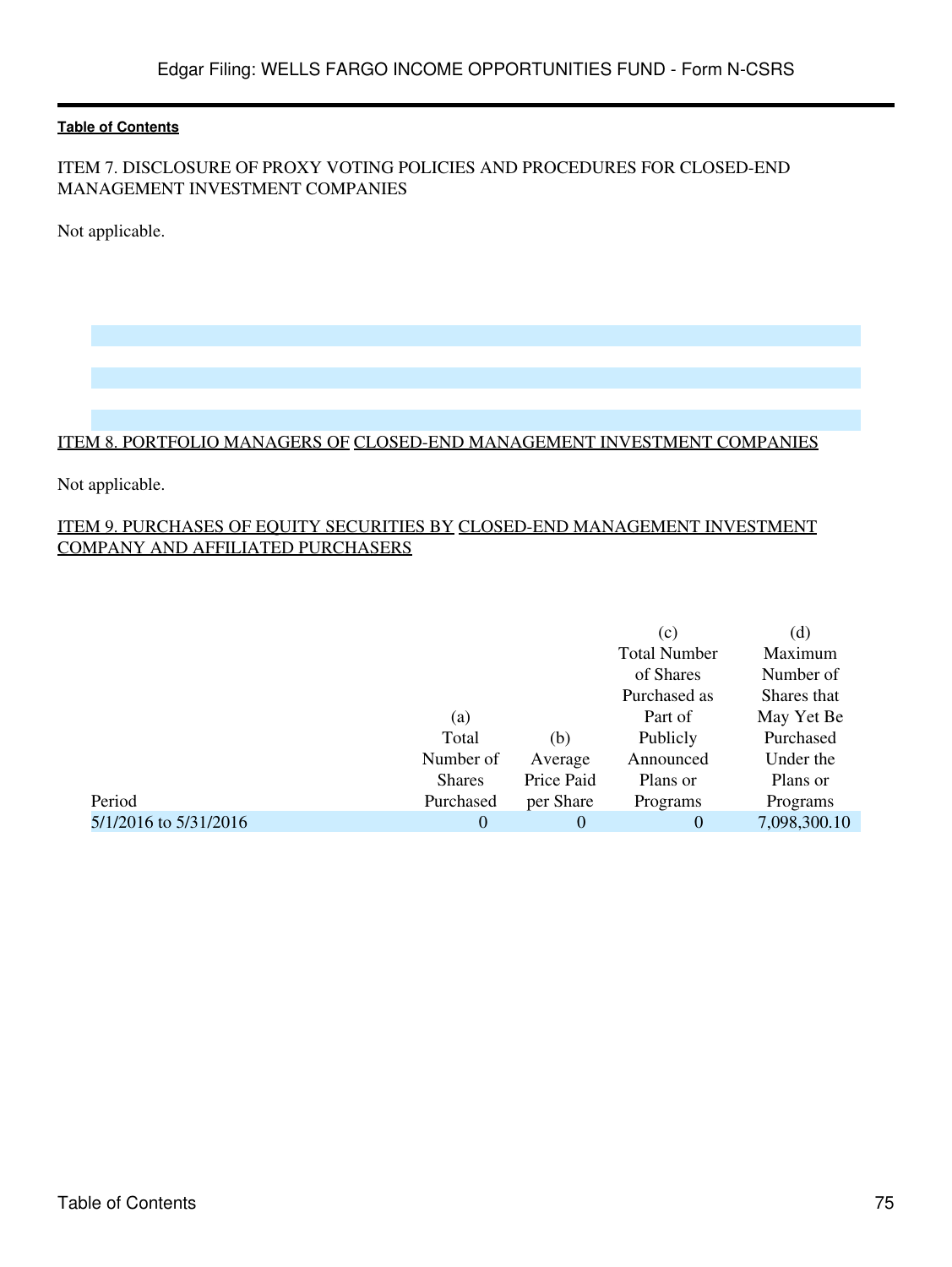# ITEM 7. DISCLOSURE OF PROXY VOTING POLICIES AND PROCEDURES FOR CLOSED-END MANAGEMENT INVESTMENT COMPANIES

Not applicable.

#### ITEM 8. PORTFOLIO MANAGERS OF CLOSED-END MANAGEMENT INVESTMENT COMPANIES

Not applicable.

# ITEM 9. PURCHASES OF EQUITY SECURITIES BY CLOSED-END MANAGEMENT INVESTMENT COMPANY AND AFFILIATED PURCHASERS

|                       |               |            | (c)                 | (d)          |
|-----------------------|---------------|------------|---------------------|--------------|
|                       |               |            | <b>Total Number</b> | Maximum      |
|                       |               |            | of Shares           | Number of    |
|                       |               |            | Purchased as        | Shares that  |
|                       | (a)           |            | Part of             | May Yet Be   |
|                       | Total         | (b)        | Publicly            | Purchased    |
|                       | Number of     | Average    | Announced           | Under the    |
|                       | <b>Shares</b> | Price Paid | Plans or            | Plans or     |
| Period                | Purchased     | per Share  | Programs            | Programs     |
| 5/1/2016 to 5/31/2016 | $\theta$      | 0          | 0                   | 7,098,300.10 |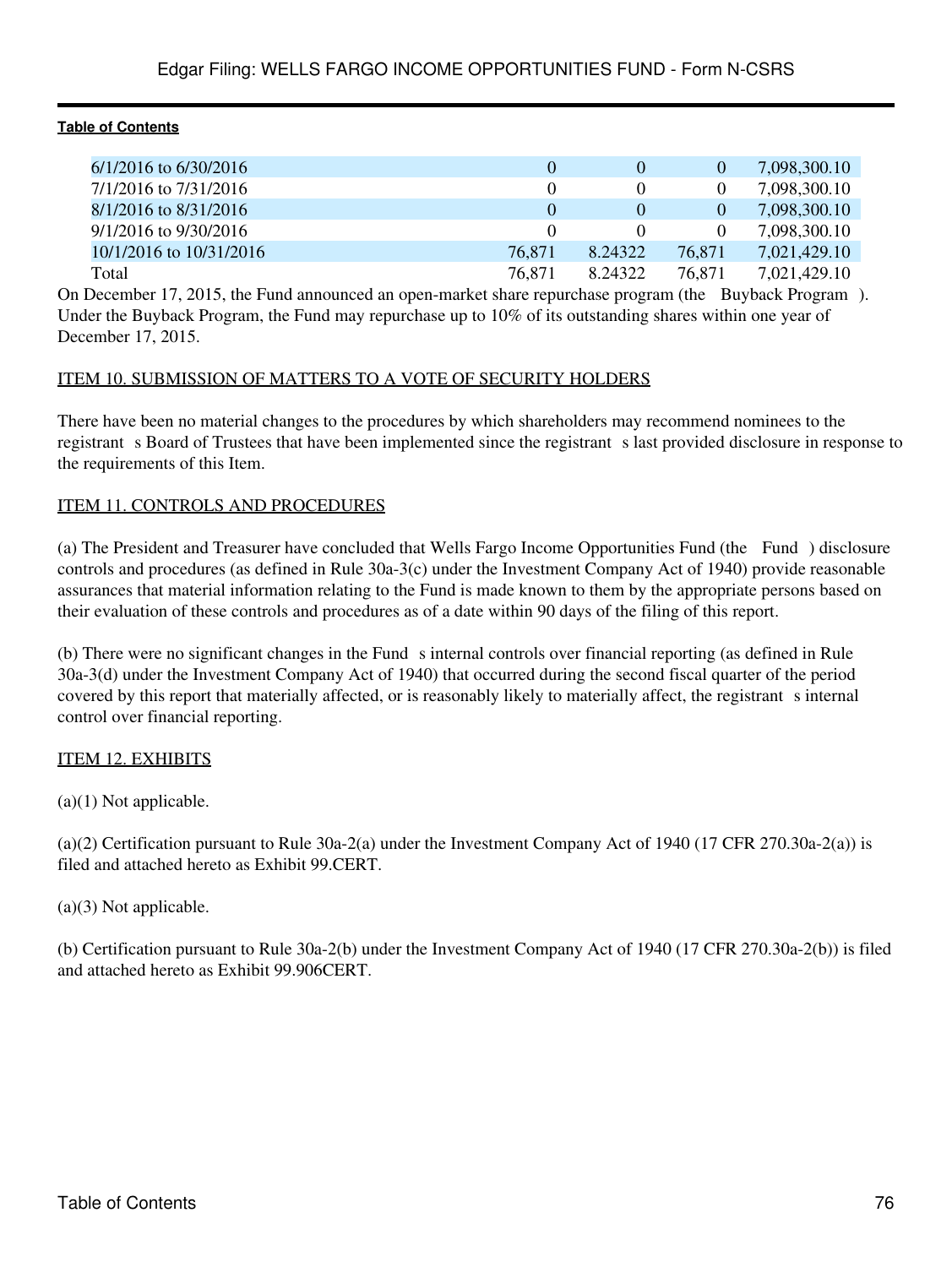| $6/1/2016$ to $6/30/2016$ |        |          | $\mathbf{0}$ | 7.098.300.10 |
|---------------------------|--------|----------|--------------|--------------|
| 7/1/2016 to 7/31/2016     |        |          |              | 7,098,300.10 |
| 8/1/2016 to 8/31/2016     |        | $\theta$ | $\theta$     | 7,098,300.10 |
| $9/1/2016$ to $9/30/2016$ |        |          |              | 7,098,300.10 |
| 10/1/2016 to 10/31/2016   | 76.871 | 8.24322  | 76.871       | 7,021,429.10 |
| Total                     | 76.871 | 8.24322  | 76.871       | 7,021,429.10 |

On December 17, 2015, the Fund announced an open-market share repurchase program (the Buyback Program). Under the Buyback Program, the Fund may repurchase up to 10% of its outstanding shares within one year of December 17, 2015.

#### ITEM 10. SUBMISSION OF MATTERS TO A VOTE OF SECURITY HOLDERS

There have been no material changes to the procedures by which shareholders may recommend nominees to the registrant s Board of Trustees that have been implemented since the registrant s last provided disclosure in response to the requirements of this Item.

# ITEM 11. CONTROLS AND PROCEDURES

(a) The President and Treasurer have concluded that Wells Fargo Income Opportunities Fund (the Fund) disclosure controls and procedures (as defined in Rule 30a-3(c) under the Investment Company Act of 1940) provide reasonable assurances that material information relating to the Fund is made known to them by the appropriate persons based on their evaluation of these controls and procedures as of a date within 90 days of the filing of this report.

(b) There were no significant changes in the Fund s internal controls over financial reporting (as defined in Rule 30a-3(d) under the Investment Company Act of 1940) that occurred during the second fiscal quarter of the period covered by this report that materially affected, or is reasonably likely to materially affect, the registrant s internal control over financial reporting.

# ITEM 12. EXHIBITS

 $(a)(1)$  Not applicable.

(a)(2) Certification pursuant to Rule 30a-2(a) under the Investment Company Act of 1940 (17 CFR 270.30a-2(a)) is filed and attached hereto as Exhibit 99.CERT.

(a)(3) Not applicable.

(b) Certification pursuant to Rule 30a-2(b) under the Investment Company Act of 1940 (17 CFR 270.30a-2(b)) is filed and attached hereto as Exhibit 99.906CERT.